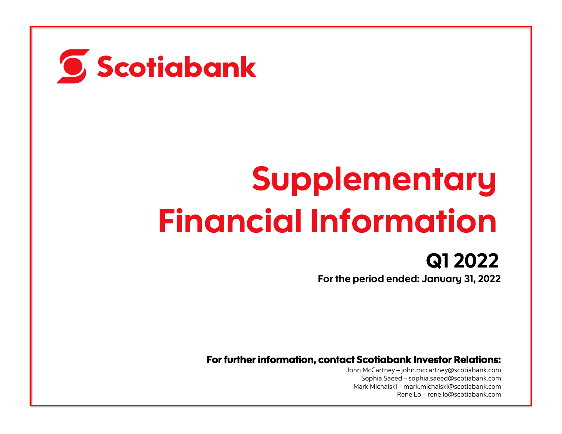

# **Supplementary** Financial Information

Q1 2022 For the period ended: January 31, 2022

For further information, contact Scotiabank Investor Relations:

John McCartney – [john.mccartney@scotiabank.com](mailto:john.mccartney@scotiabank.com) Sophia Saeed – [sophia.saeed@scotiabank.com](mailto:sophia.saeed@scotiabank.com) Mark Michalski – [mark.michalski@scotiabank.com](mailto:mark.michalski@scotiabank.com) Rene Lo – [rene.lo@scotiabank.com](mailto:rene.lo@scotiabank.com)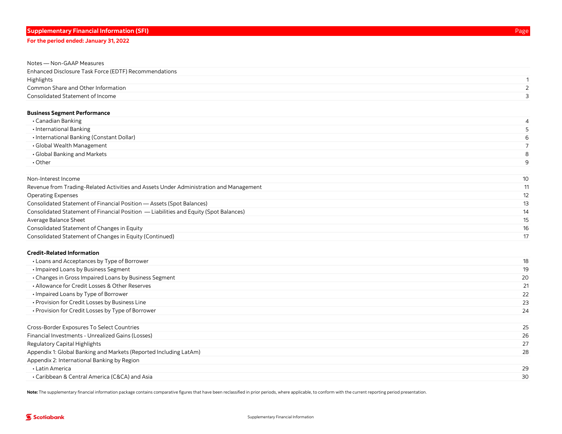| Notes - Non-GAAP Measures                             |  |
|-------------------------------------------------------|--|
| Enhanced Disclosure Task Force (EDTF) Recommendations |  |
| Highlights                                            |  |
| Common Share and Other Information                    |  |
| Consolidated Statement of Income                      |  |

#### [Business Segment Performance](#page-8-0)

| • Canadian Banking                        |    |
|-------------------------------------------|----|
| • International Banking                   |    |
| • International Banking (Constant Dollar) | 6  |
| • Global Wealth Management                |    |
| • Global Banking and Markets              |    |
| $\cdot$ Other                             | a  |
|                                           |    |
| Non-Interest Income                       | 10 |

| Revenue from Trading-Related Activities and Assets Under Administration and Management | 11 |
|----------------------------------------------------------------------------------------|----|
| <b>Operating Expenses</b>                                                              | 12 |
| Consolidated Statement of Financial Position - Assets (Spot Balances)                  | 13 |
| Consolidated Statement of Financial Position — Liabilities and Equity (Spot Balances)  | 14 |
| Average Balance Sheet                                                                  | 15 |
| Consolidated Statement of Changes in Equity                                            | 16 |
| Consolidated Statement of Changes in Equity (Continued)                                | 17 |

#### [Credit-Related Information](#page-20-0)

| • Loans and Acceptances by Type of Borrower           | 18 |
|-------------------------------------------------------|----|
| • Impaired Loans by Business Segment                  | 19 |
| • Changes in Gross Impaired Loans by Business Segment | 20 |
| • Allowance for Credit Losses & Other Reserves        | 21 |
| • Impaired Loans by Type of Borrower                  | 22 |
| • Provision for Credit Losses by Business Line        | 23 |
| • Provision for Credit Losses by Type of Borrower     | 24 |
|                                                       |    |

| Financial Investments - Unrealized Gains (Losses)<br>26<br>27<br>Regulatory Capital Highlights<br>Appendix 1: Global Banking and Markets (Reported Including LatAm)<br>28<br>Appendix 2: International Banking by Region<br>• Latin America<br>29<br>• Caribbean & Central America (C&CA) and Asia<br>30 | Cross-Border Exposures To Select Countries | 25 |
|----------------------------------------------------------------------------------------------------------------------------------------------------------------------------------------------------------------------------------------------------------------------------------------------------------|--------------------------------------------|----|
|                                                                                                                                                                                                                                                                                                          |                                            |    |
|                                                                                                                                                                                                                                                                                                          |                                            |    |
|                                                                                                                                                                                                                                                                                                          |                                            |    |
|                                                                                                                                                                                                                                                                                                          |                                            |    |
|                                                                                                                                                                                                                                                                                                          |                                            |    |
|                                                                                                                                                                                                                                                                                                          |                                            |    |

Note: [The supplementary financial information package](#page-2-0) contains comparative figures that have been reclassified in prior periods, where applicable, to conform with the current reporting period presentation.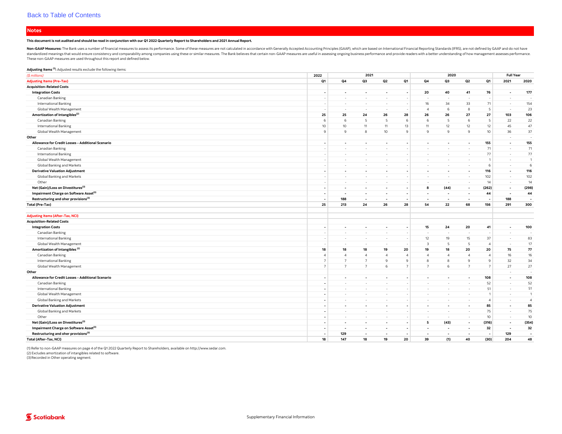#### <span id="page-2-0"></span>**Notes**

#### This document is not audited and should be read in conjunction with our Q1 2022 Quarterly Report to Shareholders and 2021 Annual Report.

Non-GAAP Measures: The Bank uses a number of financial measures to assess its performance. Some of these measures are not calculated in accordance with Generally Accepted Accounting Principles (GAAP), which are based on In standardized meanings that would ensure consistency and comparability among companies using these or similar measures. The Bank believes that certain non-GAAP measures are useful in assessing ongoing business performance a These non-GAAP measures are used throughout this report and defined below.

#### Adjusting Items<sup>(1)</sup>: Adjusted results exclude the following items:

| $($$ millions)                                     | 2022                     |                          | 2021                     |                          |                          |                          | 2020                     |                          |                | <b>Full Year</b>         |                          |
|----------------------------------------------------|--------------------------|--------------------------|--------------------------|--------------------------|--------------------------|--------------------------|--------------------------|--------------------------|----------------|--------------------------|--------------------------|
| <b>Adjusting Items (Pre-Tax)</b>                   | Q1                       | Q4                       | Q3                       | Q2                       | Q1                       | Q4                       | Q3                       | Q2                       | Q1             | 2021                     | 2020                     |
| <b>Acquisition-Related Costs</b>                   |                          |                          |                          |                          |                          |                          |                          |                          |                |                          |                          |
| <b>Integration Costs</b>                           | $\overline{\phantom{a}}$ | $\overline{\phantom{a}}$ | $\sim$                   | $\overline{\phantom{a}}$ |                          | 20                       | 40                       | 41                       | 76             | $\overline{\phantom{a}}$ | 177                      |
| Canadian Banking                                   |                          | $\sim$                   | $\sim$                   | $\sim$                   |                          | $\sim$                   | $\sim$                   | $\overline{\phantom{a}}$ |                | $\sim$                   |                          |
| <b>International Banking</b>                       |                          | $\sim$                   | $\sim$                   | $\sim$                   |                          | 16                       | 34                       | 33                       | 71             | $\sim$                   | 154                      |
| Global Wealth Management                           |                          | $\overline{\phantom{a}}$ | $\sim$                   | $\sim$                   |                          | $\overline{4}$           | $6\phantom{1}$           | 8                        | 5              | $\sim$                   | 23                       |
| Amortization of Intangibles <sup>(2)</sup>         | 25                       | 25                       | 24                       | 26                       | 28                       | 26                       | 26                       | 27                       | 27             | 103                      | 106                      |
| Canadian Banking                                   | 6                        | 6                        | 5                        | -5                       | 6                        | 6                        | 5                        | 6                        | 5              | 22                       | 22                       |
| <b>International Banking</b>                       | 10                       | 10                       | 11                       | 11                       | 13                       | 11                       | 12                       | 12                       | 12             | 45                       | 47                       |
| Global Wealth Management                           | $\mathbf{Q}$             | $\overline{9}$           | 8                        | 10                       | 9                        | $\overline{9}$           | 9                        | 9                        | 10             | 36                       | 37                       |
| Other                                              |                          |                          |                          |                          |                          |                          |                          |                          |                | $\sim$                   | $\sim$                   |
| Allowance for Credit Losses - Additional Scenario  |                          | $\blacksquare$           | $\overline{\phantom{a}}$ | $\overline{\phantom{a}}$ |                          | $\blacksquare$           | $\overline{\phantom{a}}$ | $\overline{\phantom{a}}$ | 155            | $\sim$                   | 155                      |
| Canadian Banking                                   |                          | $\overline{\phantom{a}}$ | $\sim$                   | $\sim$                   |                          | $\sim$                   | $\sim$                   | $\overline{\phantom{a}}$ | 71             | $\sim$                   | 71                       |
| <b>International Banking</b>                       |                          | $\sim$                   | $\sim$                   | $\sim$                   |                          | $\sim$                   | $\sim$                   | $\sim$                   | 77             | $\sim$                   | 77                       |
| Global Wealth Management                           |                          |                          | $\sim$                   |                          |                          |                          | $\sim$                   | $\sim$                   | $\mathbf{1}$   | $\sim$                   | $\overline{1}$           |
| Global Banking and Markets                         |                          |                          | $\sim$                   | $\sim$                   |                          |                          | $\sim$                   | $\overline{\phantom{a}}$ | 6              | $\sim$                   | 6                        |
| <b>Derivative Valuation Adjustment</b>             |                          | $\blacksquare$           | $\overline{\phantom{a}}$ | $\overline{\phantom{a}}$ |                          | $\overline{\phantom{a}}$ | $\overline{\phantom{a}}$ | $\overline{\phantom{a}}$ | 116            | $\overline{\phantom{a}}$ | 116                      |
| Global Banking and Markets                         |                          | $\sim$                   | $\sim$                   | $\sim$                   |                          | $\sim$                   | $\sim$                   | $\sim$                   | 102            |                          | 102                      |
| Other                                              |                          | $\sim$                   | $\sim$                   | $\sim$                   |                          | $\sim$                   | $\sim$                   | $\sim$                   | 14             | $\sim$                   | 14                       |
| Net (Gain)/Loss on Divestitures <sup>(3)</sup>     |                          | ÷                        | $\overline{\phantom{a}}$ | $\overline{\phantom{a}}$ |                          | 8                        | (44)                     | $\overline{\phantom{a}}$ | (262)          | $\overline{\phantom{a}}$ | (298)                    |
| Impairment Charge on Software Asset <sup>(3)</sup> |                          | $\overline{\phantom{a}}$ | $\overline{\phantom{a}}$ | $\overline{\phantom{a}}$ |                          | $\overline{\phantom{a}}$ | $\sim$                   | $\overline{\phantom{a}}$ | 44             | $\overline{\phantom{a}}$ | 44                       |
| Restructuring and oher provisions <sup>(3)</sup>   |                          | 188                      | $\overline{\phantom{a}}$ | $\overline{\phantom{a}}$ | $\overline{\phantom{a}}$ | $\overline{\phantom{a}}$ | $\overline{\phantom{a}}$ | $\overline{\phantom{a}}$ | ٠.             | 188                      | $\overline{\phantom{a}}$ |
| <b>Total (Pre-Tax)</b>                             | 25                       | 213                      | 24                       | 26                       | 28                       | 54                       | 22                       | 68                       | 156            | 291                      | 300                      |
|                                                    |                          |                          |                          |                          |                          |                          |                          |                          |                |                          |                          |
| <b>Adjusting Items (After-Tax, NCI)</b>            |                          |                          |                          |                          |                          |                          |                          |                          |                |                          |                          |
| <b>Acquisition-Related Costs</b>                   |                          |                          |                          |                          |                          |                          |                          |                          |                |                          |                          |
| <b>Integration Costs</b>                           |                          | $\blacksquare$           | $\overline{\phantom{a}}$ | $\overline{\phantom{a}}$ |                          | 15                       | 24                       | 20                       | 41             | $\overline{\phantom{a}}$ | 100                      |
| Canadian Banking                                   |                          | $\sim$                   | $\sim$                   | $\sim$                   |                          | $\overline{\phantom{a}}$ | $\sim$                   | $\overline{\phantom{a}}$ | ٠              | $\sim$                   | $\sim$                   |
| <b>International Banking</b>                       |                          | - 1                      | $\sim$                   | $\sim$                   |                          | 12                       | 19                       | 15                       | 37             | $\sim$                   | 83                       |
| Global Wealth Management                           |                          | $\overline{\phantom{a}}$ | $\sim$                   | $\sim$                   |                          | $\overline{\mathbf{3}}$  | 5                        | 5                        | $\overline{4}$ | $\overline{\phantom{a}}$ | 17                       |
| Amortization of Intangibles <sup>(2)</sup>         | 18                       | 18                       | 18                       | 19                       | 20                       | 19                       | 18                       | 20                       | 20             | 75                       | 77                       |
| Canadian Banking                                   | $\Delta$                 | $\overline{4}$           | $\overline{4}$           | $\overline{4}$           | $\overline{4}$           | $\overline{4}$           | $\overline{4}$           | $\overline{A}$           | $\overline{4}$ | 16                       | 16                       |
| <b>International Banking</b>                       | $\overline{7}$           | $\overline{7}$           | $7\overline{ }$          | 9                        | 9                        | 8                        | 8                        | 9                        | 9              | 32                       | 34                       |
| Global Wealth Management                           |                          | $\overline{7}$           | $\overline{7}$           | 6                        | $\overline{7}$           | $\overline{7}$           | 6                        | $7^{\circ}$              | $\overline{7}$ | 27                       | 27                       |
| Other                                              |                          |                          |                          |                          |                          |                          |                          |                          |                | $\sim$                   | $\sim$                   |
| Allowance for Credit Losses - Additional Scenario  |                          | $\overline{\phantom{a}}$ | $\overline{a}$           | $\overline{\phantom{a}}$ |                          | $\overline{a}$           | $\overline{\phantom{a}}$ | $\overline{\phantom{a}}$ | 108            | $\overline{a}$           | 108                      |
| Canadian Banking                                   |                          | i al                     | $\sim$                   | $\sim$                   |                          | i.                       | $\sim$                   | $\overline{\phantom{a}}$ | 52             | ٠.                       | 52                       |
| <b>International Banking</b>                       |                          |                          |                          |                          |                          |                          | $\sim$                   |                          | 51             |                          | 51                       |
| Global Wealth Management                           |                          | $\overline{\phantom{a}}$ | $\sim$                   | $\sim$                   |                          | $\sim$                   | $\sim$                   | $\overline{\phantom{a}}$ | $\overline{1}$ | $\sim$                   | $\mathbf{1}$             |
| Global Banking and Markets                         |                          | $\sim$                   | $\sim$                   | $\sim$                   |                          | $\sim$                   | $\sim$                   | $\sim$                   | $\overline{4}$ | $\sim$                   | $\overline{4}$           |
| <b>Derivative Valuation Adjustment</b>             |                          | $\overline{\phantom{a}}$ | $\overline{\phantom{a}}$ |                          |                          |                          | $\overline{\phantom{a}}$ | $\overline{\phantom{a}}$ | 85             | $\overline{\phantom{a}}$ | 85                       |
| Global Banking and Markets                         | ٠                        | $\sim$                   | $\sim$                   | $\sim$                   |                          | $\sim$                   | $\sim$                   | $\sim$                   | 75             | $\sim$                   | 75                       |
| Other                                              |                          | $\sim$                   | $\sim$                   | $\sim$                   |                          | $\sim$                   | $\sim$                   | $\sim$                   | 10             | $\sim$                   | 10                       |
| Net (Gain)/Loss on Divestitures <sup>(3)</sup>     |                          | $\overline{\phantom{a}}$ | $\overline{\phantom{a}}$ | $\overline{a}$           |                          | 5                        | (43)                     | $\overline{\phantom{a}}$ | (316)          | $\overline{\phantom{a}}$ | (354)                    |
| Impairment Charge on Software Asset <sup>(3)</sup> |                          | $\overline{\phantom{a}}$ | $\overline{\phantom{a}}$ |                          |                          |                          | $\sim$                   | $\overline{\phantom{a}}$ | 32             | $\overline{\phantom{a}}$ | 32                       |
| Restructuring and oher provisions <sup>(3)</sup>   | $\overline{\phantom{a}}$ | 129                      | $\overline{\phantom{a}}$ | $\overline{\phantom{a}}$ |                          | $\overline{\phantom{a}}$ | $\sim$                   | $\overline{\phantom{a}}$ |                | 129                      | $\overline{\phantom{a}}$ |
| Total (After-Tax, NCI)                             | 18                       | 147                      | 18                       | 19                       | 20                       | 39                       | (1)                      | 40                       | (30)           | 204                      | 48                       |

(1) Refer to non-GAAP measures on page 4 of the Q1 2022 Quarterly Report to Shareholders, available on [http://www.sedar.com.](http://www.sedar.com) (2) Excludes amortization of intangibles related to software.

(3)Recorded in Other operating segment.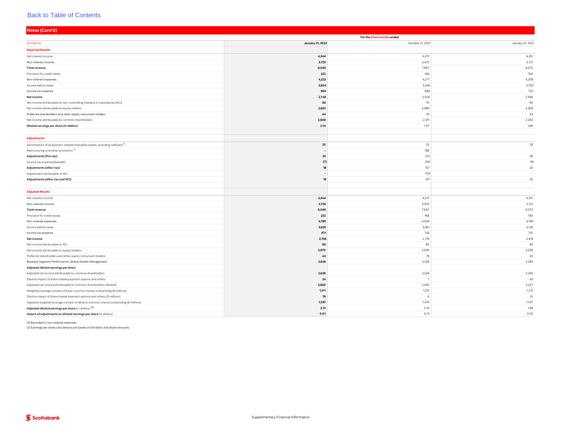| Notes (Cont'd)                                                                                                                      |                  |                            |                  |
|-------------------------------------------------------------------------------------------------------------------------------------|------------------|----------------------------|------------------|
|                                                                                                                                     |                  | For the three months ended |                  |
| (\$ millions)                                                                                                                       | January 31, 2022 | October 31, 2021           | January 31, 2021 |
| <b>Reported Results</b>                                                                                                             |                  |                            |                  |
| Net interest income                                                                                                                 | 4,344            | 4,217                      | 4,351            |
| Non-interest income                                                                                                                 | 3,705            | 3,470                      | 3,721            |
| <b>Total revenue</b>                                                                                                                | 8,049            | 7,687                      | 8,072            |
| Provision for credit losses                                                                                                         | 222              | 168                        | 764              |
| Non-interest expenses                                                                                                               | 4,223            | 4,271                      | 4,208            |
| Income before taxes                                                                                                                 | 3,604            | 3,248                      | 3,100            |
| Income tax expense                                                                                                                  | 864              | 689                        | 702              |
| Net income                                                                                                                          | 2,740            | 2,559                      | 2,398            |
| Net income attributable to non-controlling interests in subsidiaries (NCI)                                                          | 88               | 70                         | 90               |
| Net income attributable to equity holders                                                                                           | 2,652            | 2,489                      | 2,308            |
| Preferred shareholders and other equity instrument holders                                                                          | 44               | 78                         | 43               |
| Net income attributable to common shareholders                                                                                      | 2,608            | 2,411                      | 2,265            |
| Diluted earnings per share (in dollars)                                                                                             | 2.14             | 1.97                       | 1.86             |
|                                                                                                                                     |                  |                            |                  |
| Adjustments                                                                                                                         |                  |                            |                  |
| Amortization of Acquisition-related intangible assets, excluding software <sup>(1)</sup>                                            | 25               | 25                         | 28               |
| Restructuring and other provisions <sup>(1)</sup>                                                                                   |                  | 188                        |                  |
| <b>Adjustments (Pre-tax)</b>                                                                                                        | 25               | 213                        | 28               |
| Income tax expense/(benefit)                                                                                                        | (7)              | (56)                       | (8)              |
| Adjustments (After-tax)                                                                                                             | 18               | 157                        | 20               |
| Adjustment attributable to NCI                                                                                                      |                  | (10)                       |                  |
| Adjustments (After-tax and NCI)                                                                                                     | 18               | 147                        | 20               |
|                                                                                                                                     |                  |                            |                  |
| <b>Adjusted Results</b>                                                                                                             |                  |                            |                  |
| Net interest income                                                                                                                 | 4,344            | 4,217                      | 4,351            |
| Non-interest income                                                                                                                 | 3,705            | 3,470                      | 3,721            |
| <b>Total revenue</b>                                                                                                                | 8,049            | 7,687                      | 8,072            |
| Provision for credit losses                                                                                                         | 222              | 168                        | 764              |
| Non-interest expenses                                                                                                               | 4,198            | 4,058                      | 4,180            |
| Income before taxes                                                                                                                 | 3,629            | 3,461                      | 3,128            |
| Income tax expense                                                                                                                  | 871              | 745                        | 710              |
| Net income                                                                                                                          | 2,758            | 2,716                      | 2,418            |
| Net income attributable to NCI                                                                                                      | 88               | 80                         | 90               |
| Net income attributable to equity holders                                                                                           | 2,670            | 2,636                      | 2,328            |
| Preferred shareholders and other equity instrument holders                                                                          | 44               | 78                         | 43               |
| Business Segment Performance: Global Wealth Management                                                                              | 2,626            | 2,558                      | 2,285            |
| Adjusted diluted earnings per share                                                                                                 |                  |                            |                  |
| Adjusted net income attributable to common shareholders                                                                             | 2,626            | 2,558                      | 2,285            |
| Dilutive impact of share-based payment options and others                                                                           | 24               | $\overline{7}$             | 42               |
| Adjusted net income attributable to common shareholders (diluted)                                                                   | 2,650            | 2,565                      | 2,327            |
| Weighted average number of basic common shares outstanding (\$ millions)                                                            | 1,211            | 1,215                      | 1,212            |
| Dilutive impact of share-based payment options and others (\$ millions)                                                             | 19               | q                          | 25               |
| Adjusted weighted average number of dilutive common shares outstanding (\$ millions)                                                | 1,230            | 1,224                      | 1,237            |
| Adjusted diluted earnings per share (in dollars) <sup>(2)</sup><br>Impact of adjustments on diluted earnings per share (in dollars) | 2.15<br>0.01     | 2.10<br>0.13               | 1.88<br>0.02     |
|                                                                                                                                     |                  |                            |                  |

(1) Recorded in non-interest expenses.

(2) Earnings per share calculations are based on full dollar and share amounts.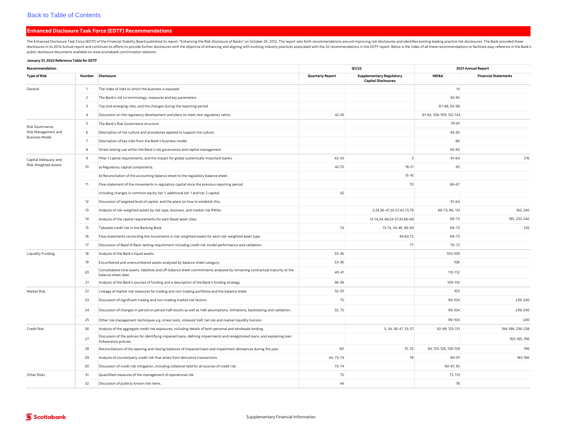#### <span id="page-4-0"></span>Enhanced Disclosure Task Force (EDTF) Recommendations

The Enhanced Disclosure Task Force (EDTF) of the Financial Stability Board published its report, "Enhancing the Risk Disclosure of Banks" on October 29, 2012. The report sets forth recommendations around improving risk dis disclosures in its 2014 Annual report and continues its efforts to provide further disclosures with the objective of enhancing and aligning with evolving industry practices associated with the 32 recommendations in the EDT public disclosure documents available on [www.scotiabank.com/investor](http://www.scotiabank.com/investor) relations.

#### January 31, 2022 Reference Table for EDTF

| Recommendation           |                         |                                                                                                                                                      | Q1/22                   | 2021 Annual Report                                            |                         |                             |  |
|--------------------------|-------------------------|------------------------------------------------------------------------------------------------------------------------------------------------------|-------------------------|---------------------------------------------------------------|-------------------------|-----------------------------|--|
| <b>Type of Risk</b>      | Number                  | Disclosure                                                                                                                                           | <b>Quarterly Report</b> | <b>Supplementary Regulatory</b><br><b>Capital Disclosures</b> | MD&A                    | <b>Financial Statements</b> |  |
| General                  | $\overline{1}$          | The index of risks to which the business is exposed.                                                                                                 |                         |                                                               | 14                      |                             |  |
|                          | 2                       | The Bank's risk to terminology, measures and key parameters.                                                                                         |                         |                                                               | 82-85                   |                             |  |
|                          | $\overline{\mathbf{3}}$ | Top and emerging risks, and the changes during the reporting period.                                                                                 |                         |                                                               | 87-88, 92-98            |                             |  |
|                          | $\overline{4}$          | Discussion on the regulatory development and plans to meet new regulatory ratios.                                                                    | $42 - 45$               |                                                               | 61-64, 106-109, 122-124 |                             |  |
| Risk Governance.         | 5                       | The Bank's Risk Governance structure.                                                                                                                |                         |                                                               | 79-81                   |                             |  |
| Risk Management and      | 6                       | Description of risk culture and procedures applied to support the culture.                                                                           |                         |                                                               | $82 - 85$               |                             |  |
| <b>Business Model</b>    | $\overline{7}$          | Description of key risks from the Bank's business model.                                                                                             |                         |                                                               | 86                      |                             |  |
|                          | 8                       | Stress testing use within the Bank's risk governance and capital management.                                                                         |                         |                                                               | 82-83                   |                             |  |
| Capital Adequacy and     | $\overline{9}$          | Pillar 1 capital requirements, and the impact for global systemically important banks.                                                               | $42 - 43$               | $\overline{z}$                                                | 61-64                   | 216                         |  |
| Risk-Weighted Assets     | 10                      | a) Regulatory capital components.                                                                                                                    | 42,70                   | $18 - 21$                                                     | 65                      |                             |  |
|                          |                         | b) Reconciliation of the accounting balance sheet to the regulatory balance sheet.                                                                   |                         | $15 - 16$                                                     |                         |                             |  |
|                          | 11                      | Flow statement of the movements in regulatory capital since the previous reporting period,                                                           |                         | 70                                                            | 66-67                   |                             |  |
|                          |                         | including changes in common equity tier 1, additional tier 1 and tier 2 capital.                                                                     | 42                      |                                                               |                         |                             |  |
|                          | 12                      | Discussion of targeted level of capital, and the plans on how to establish this.                                                                     |                         |                                                               | 61-64                   |                             |  |
|                          | 13                      | Analysis of risk-weighted assets by risk type, business, and market risk RWAs.                                                                       |                         | 5,34,36-47,55-57,61,73,79                                     | 69-73, 86, 131          | 185, 240                    |  |
|                          | 14                      | Analysis of the capital requirements for each Basel asset class.                                                                                     |                         | 13-14,34-48,54-57,61,66-69                                    | 69-73                   | 185, 233-240                |  |
|                          | 15                      | Tabulate credit risk in the Banking Book.                                                                                                            | 74                      | 13-14, 34-48, 66-69                                           | 69-73                   | 235                         |  |
|                          | 16                      | Flow statements reconciling the movements in risk-weighted assets for each risk-weighted asset type.                                                 |                         | 49,60,72                                                      | 69-73                   |                             |  |
|                          | 17                      | Discussion of Basel III Back-testing requirement including credit risk model performance and validation.                                             |                         | 77                                                            | $70 - 72$               |                             |  |
| <b>Liquidity Funding</b> | 18                      | Analysis of the Bank's liquid assets.                                                                                                                | 33-36                   |                                                               | 104-109                 |                             |  |
|                          | 19                      | Encumbered and unencumbered assets analyzed by balance sheet category.                                                                               | 33-36                   |                                                               | 106                     |                             |  |
|                          | 20                      | Consolidated total assets, liabilities and off-balance sheet commitments analyzed by remaining contractual maturity at the<br>balance sheet date.    | $40 - 41$               |                                                               | 110-112                 |                             |  |
|                          | 21                      | Analysis of the Bank's sources of funding and a description of the Bank's funding strategy.                                                          | 38-39                   |                                                               | 109-110                 |                             |  |
| Market Risk              | 22                      | Linkage of market risk measures for trading and non-trading portfolios and the balance sheet.                                                        | $32 - 33$               |                                                               | 103                     |                             |  |
|                          | 23                      | Discussion of significant trading and non-trading market risk factors.                                                                               | 75                      |                                                               | 99-104                  | 239-240                     |  |
|                          | 24                      | Discussion of changes in period on period VaR results as well as VaR assumptions, limitations, backtesting and validation.                           | 32, 75                  |                                                               | 99-104                  | 239-240                     |  |
|                          | 25                      | Other risk management techniques e.g. stress tests, stressed VaR, tail risk and market liquidity horizon.                                            |                         |                                                               | 99-104                  | 240                         |  |
| <b>Credit Risk</b>       | 26                      | Analysis of the aggregate credit risk exposures, including details of both personal and wholesale lending.                                           |                         | 5, 34, 36-47, 55-57                                           | 92-98, 125-131          | 194-196, 236-238            |  |
|                          | 27                      | Discussion of the policies for identifying impaired loans, defining impairments and renegotiated loans, and explaining loan<br>forbearance policies. |                         |                                                               |                         | 163-165, 196                |  |
|                          | 28                      | Reconciliations of the opening and closing balances of impaired loans and impairment allowances during the year.                                     | 60                      | 31, 32                                                        | 94, 125-126, 128-129    | 196                         |  |
|                          | 29                      | Analysis of counterparty credit risk that arises from derivative transactions.                                                                       | 44, 73-74               | 78                                                            | 90-91                   | 183-186                     |  |
|                          | 30                      | Discussion of credit risk mitigation, including collateral held for all sources of credit risk.                                                      | $73 - 74$               |                                                               | 90-91, 95               |                             |  |
| Other Risks              | 31                      | Quantified measures of the management of operational risk.                                                                                           | 75                      |                                                               | 73, 113                 |                             |  |
|                          | 32                      | Discussion of publicly known risk items.                                                                                                             | 44                      |                                                               | 78                      |                             |  |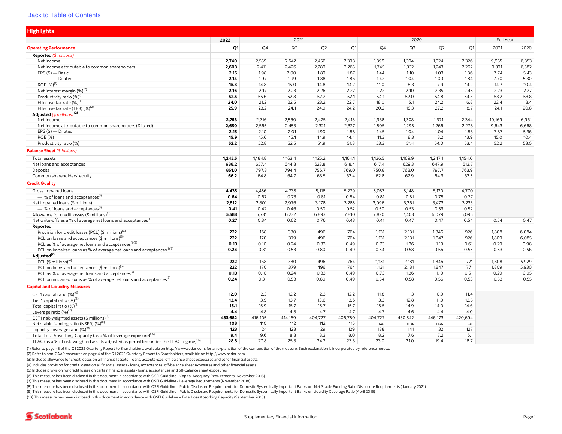<span id="page-5-0"></span>

| <b>Highlights</b>                                                                                 |              |         |         |         |         |                |           |         |                |        |       |
|---------------------------------------------------------------------------------------------------|--------------|---------|---------|---------|---------|----------------|-----------|---------|----------------|--------|-------|
|                                                                                                   | 2022<br>2021 |         |         |         |         | 2020           | Full Year |         |                |        |       |
| <b>Operating Performance</b>                                                                      | Q1           | Q4      | Q3      | Q2      | Q1      | Q <sub>4</sub> | Q3        | Q2      | Q <sub>1</sub> | 2021   | 2020  |
| <b>Reported (</b> $$$ millions)                                                                   |              |         |         |         |         |                |           |         |                |        |       |
| Net income                                                                                        | 2,740        | 2,559   | 2,542   | 2,456   | 2,398   | 1,899          | 1,304     | 1,324   | 2,326          | 9,955  | 6,853 |
| Net income attributable to common shareholders                                                    | 2,608        | 2,411   | 2,426   | 2,289   | 2,265   | 1,745          | 1,332     | 1,243   | 2,262          | 9,391  | 6,582 |
| $EPS$ (\$) — Basic                                                                                | 2.15         | 1.98    | 2.00    | 1.89    | 1.87    | 1.44           | 1.10      | 1.03    | 1.86           | 7.74   | 5.43  |
| - Diluted                                                                                         | 2.14         | 1.97    | 1.99    | 1.88    | 1.86    | 1.42           | 1.04      | 1.00    | 1.84           | 7.70   | 5.30  |
| ROE (%) <sup>(1)</sup>                                                                            | 15.8         | 14.8    | 15.0    | 14.8    | 14.2    | 11.0           | 8.3       | 7.9     | 14.2           | 14.7   | 10.4  |
| Net interest margin (%) <sup>(2)</sup>                                                            | 2.16         | 2.17    | 2.23    | 2.26    | 2.27    | 2.22           | 2.10      | 2.35    | 2.45           | 2.23   | 2.27  |
| Productivity ratio (%) <sup>(1)</sup>                                                             | 52.5         | 55.6    | 52.8    | 52.2    | 52.1    | 54.1           | 52.0      | 54.8    | 54.3           | 53.2   | 53.8  |
| Effective tax rate (%) <sup>(1)</sup>                                                             | 24.0         | 21.2    | 22.5    | 23.2    | 22.7    | 18.0           | 15.1      | 24.2    | 16.8           | 22.4   | 18.4  |
| Effective tax rate (TEB) (%) <sup>(2)</sup>                                                       | 25.9         | 23.2    | 24.1    | 24.9    | 24.2    | 20.2           | 18.3      | 27.2    | 18.7           | 24.1   | 20.8  |
| Adjusted $(\frac{4}{3}$ millions) <sup>(2)</sup>                                                  |              |         |         |         |         |                |           |         |                |        |       |
| Net income                                                                                        | 2,758        | 2,716   | 2,560   | 2,475   | 2,418   | 1,938          | 1,308     | 1,371   | 2,344          | 10,169 | 6,961 |
| Net income attributable to common shareholders (Diluted)                                          | 2,650        | 2,565   | 2,453   | 2,321   | 2,327   | 1,805          | 1,295     | 1,266   | 2,278          | 9,643  | 6,668 |
| $EPS$ (\$) — Diluted                                                                              | 2.15         | 2.10    | 2.01    | 1.90    | 1.88    | 1.45           | 1.04      | 1.04    | 1.83           | 7.87   | 5.36  |
| ROE (%)                                                                                           | 15.9         | 15.6    | 15.1    | 14.9    | 14.4    | 11.3           | 8.3       | 8.2     | 13.9           | 15.0   | 10.4  |
| Productivity ratio (%)                                                                            | 52.2         | 52.8    | 52.5    | 51.9    | 51.8    | 53.3           | 51.4      | 54.0    | 53.4           | 52.2   | 53.0  |
| <b>Balance Sheet (</b> \$ billions)                                                               |              |         |         |         |         |                |           |         |                |        |       |
| Total assets                                                                                      | 1,245.5      | 1,184.8 | 1,163.4 | 1,125.2 | 1,164.1 | 1,136.5        | 1,169.9   | 1,247.1 | 1,154.0        |        |       |
| Net loans and acceptances                                                                         | 688.2        | 657.4   | 644.8   | 623.8   | 618.4   | 617.4          | 629.3     | 647.9   | 613.7          |        |       |
| Deposits                                                                                          | 851.0        | 797.3   | 794.4   | 756.7   | 769.0   | 750.8          | 768.0     | 797.7   | 763.9          |        |       |
| Common shareholders' equity                                                                       | 66.2         | 64.8    | 64.7    | 63.5    | 63.4    | 62.8           | 62.9      | 64.3    | 63.5           |        |       |
| <b>Credit Quality</b>                                                                             |              |         |         |         |         |                |           |         |                |        |       |
| Gross impaired loans                                                                              | 4,435        | 4,456   | 4,735   | 5,116   | 5,279   | 5.053          | 5,148     | 5,120   | 4,770          |        |       |
| - % of loans and acceptances <sup>(1)</sup>                                                       | 0.64         | 0.67    | 0.73    | 0.81    | 0.84    | 0.81           | 0.81      | 0.78    | 0.77           |        |       |
| Net impaired loans (\$ millions)                                                                  | 2,812        | 2,801   | 2,976   | 3,178   | 3,285   | 3,096          | 3,361     | 3,473   | 3,233          |        |       |
| - % of loans and acceptances <sup>(1)</sup>                                                       | 0.41         | 0.42    | 0.46    | 0.50    | 0.52    | 0.50           | 0.53      | 0.53    | 0.52           |        |       |
| Allowance for credit losses (\$ millions) <sup>(3)</sup>                                          | 5,583        | 5,731   | 6,232   | 6,893   | 7,810   | 7,820          | 7,403     | 6,079   | 5,095          |        |       |
| Net write-offs as a % of average net loans and acceptances <sup>(1)</sup>                         | 0.27         | 0.34    | 0.62    | 0.76    | 0.43    | 0.41           | 0.47      | 0.47    | 0.54           | 0.54   | 0.47  |
| Reported                                                                                          |              |         |         |         |         |                |           |         |                |        |       |
| Provision for credit losses (PCL) (\$ millions) <sup>(4)</sup>                                    | 222          | 168     | 380     | 496     | 764     | 1,131          | 2,181     | 1,846   | 926            | 1,808  | 6,084 |
| PCL on loans and acceptances (\$ millions) <sup>(5)</sup>                                         | 222          | 170     | 379     | 496     | 764     | 1,131          | 2,181     | 1,847   | 926            | 1,809  | 6,085 |
| PCL as % of average net loans and acceptances <sup>(1)(5)</sup>                                   | 0.13         | 0.10    | 0.24    | 0.33    | 0.49    | 0.73           | 1.36      | 1.19    | 0.61           | 0.29   | 0.98  |
| PCL on impaired loans as % of average net loans and acceptances <sup>(1)(5)</sup>                 | 0.24         | 0.31    | 0.53    | 0.80    | 0.49    | 0.54           | 0.58      | 0.56    | 0.55           | 0.53   | 0.56  |
| Adjusted <sup>(2)</sup>                                                                           |              |         |         |         |         |                |           |         |                |        |       |
| PCL $(\$$ millions) <sup>(4)</sup>                                                                | 222          | 168     | 380     | 496     | 764     | 1,131          | 2,181     | 1,846   | 771            | 1,808  | 5,929 |
| PCL on loans and acceptances (\$ millions) <sup>(5)</sup>                                         | 222          | 170     | 379     | 496     | 764     | 1,131          | 2,181     | 1,847   | 771            | 1,809  | 5,930 |
| PCL as % of average net loans and acceptances <sup>(5)</sup>                                      | 0.13         | 0.10    | 0.24    | 0.33    | 0.49    | 0.73           | 1.36      | 1.19    | 0.51           | 0.29   | 0.95  |
| PCL on impaired loans as % of average net loans and acceptances <sup>(5)</sup>                    | 0.24         | 0.31    | 0.53    | 0.80    | 0.49    | 0.54           | 0.58      | 0.56    | 0.53           | 0.53   | 0.55  |
| <b>Capital and Liquidity Measures</b>                                                             |              |         |         |         |         |                |           |         |                |        |       |
| CET1 capital ratio (%) <sup>(6</sup>                                                              | 12.0         | 12.3    | 12.2    | 12.3    | 12.2    | 11.8           | 11.3      | 10.9    | 11.4           |        |       |
| Tier 1 capital ratio (%) <sup>(6)</sup>                                                           | 13.4         | 13.9    | 13.7    | 13.6    | 13.6    | 13.3           | 12.8      | 11.9    | 12.5           |        |       |
| Total capital ratio (%) <sup>(6)</sup>                                                            | 15.1         | 15.9    | 15.7    | 15.7    | 15.7    | 15.5           | 14.9      | 14.0    | 14.6           |        |       |
| Leverage ratio (%) <sup>(7)</sup>                                                                 | 4.4          | 4.8     | 4.8     | 4.7     | 4.7     | 4.7            | 4.6       | 4.4     | 4.0            |        |       |
| CET1 risk-weighted assets (\$ millions) <sup>(6)</sup>                                            | 433,682      | 416,105 | 414,169 | 404,727 | 406,780 | 404,727        | 430,542   | 446,173 | 420,694        |        |       |
| Net stable funding ratio (NSFR) (%) <sup>(8)</sup>                                                | 108          | 110     | 112     | 112     | 115     | n.a.           | n.a.      | n.a.    | n.a.           |        |       |
| Liquidity coverage ratio (%) <sup>(9)</sup>                                                       | 123          | 124     | 123     | 129     | 129     | 138            | 141       | 132     | 127            |        |       |
| Total Loss Absorbing Capacity (as a % of leverage exposure) <sup>(10)</sup>                       | 9.4          | 9.6     | 8.8     | 8.3     | 8.0     | 8.2            | 7.6       | 7.2     | 6.1            |        |       |
| TLAC (as a % of risk-weighted assets adjusted as permitted under the TLAC regime) <sup>(10)</sup> | 28.3         | 27.8    | 25.3    | 24.2    | 23.3    | 23.0           | 21.0      | 19.4    | 18.7           |        |       |

(1) Refer to page 48 of the Q1 2022 Quarterly Report to Shareholders, available on [http://www.sedar.com,](http://www.sedar.com) for an explanation of the composition of the measure. Such explanation is incorporated by reference hereto.

(2) Refer to non-GAAP measures on page 4 of the Q1 2022 Quarterly Report to Shareholders, available on<http://www.sedar.com>.

(3) Includes allowance for credit losses on all financial assets - loans, acceptances, off-balance sheet exposures and other financial assets.

(4) Includes provision for credit losses on all financial assets - loans, acceptances, off-balance sheet exposures and other financial assets.

(5) Includes provision for credit losses on certain financial assets - loans, acceptances and off-balance sheet exposures.

(6) This measure has been disclosed in this document in accordance with OSFI Guideline - Capital Adequacy Requirements (November 2018).

(7) This measure has been disclosed in this document in accordance with OSFI Guideline - Leverage Requirements (November 2018).

(8) This measure has been disclosed in this document in accordance with OSFI Guideline - Public Disclosure Requirements for Domestic Systemically Important Banks on Net Stable Funding Ratio Disclosure Requirements (January

(9) This measure has been disclosed in this document in accordance with OSFI Guideline - Public Disclosure Requirements for Domestic Systemically Important Banks on Liquidity Coverage Ratio (April 2015)

(10) This measure has been disclosed in this document in accordance with OSFI Guideline – Total Loss Absorbing Capacity (September 2018).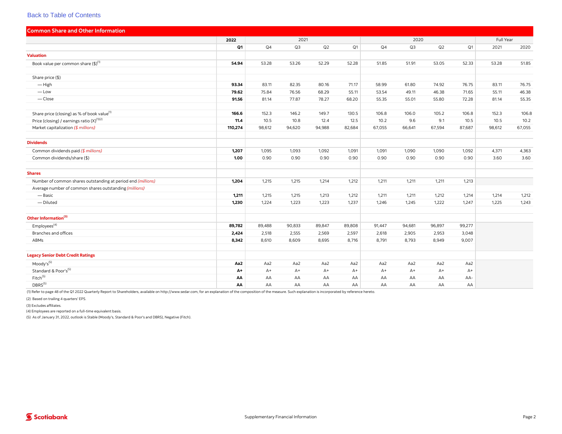<span id="page-6-0"></span>

| <b>Common Share and Other Information</b>                    |         |                |        |        |                |        |           |        |        |        |        |
|--------------------------------------------------------------|---------|----------------|--------|--------|----------------|--------|-----------|--------|--------|--------|--------|
|                                                              | 2022    | 2021           |        |        |                |        | Full Year |        |        |        |        |
|                                                              | Q1      | Q <sub>4</sub> | Q3     | Q2     | Q <sub>1</sub> | Q4     | Q3        | Q2     | Q1     | 2021   | 2020   |
| <b>Valuation</b>                                             |         |                |        |        |                |        |           |        |        |        |        |
| Book value per common share (\$)(1)                          | 54.94   | 53.28          | 53.26  | 52.29  | 52.28          | 51.85  | 51.91     | 53.05  | 52.33  | 53.28  | 51.85  |
|                                                              |         |                |        |        |                |        |           |        |        |        |        |
| Share price (\$)                                             |         |                |        |        |                |        |           |        |        |        |        |
| $-$ High                                                     | 93.34   | 83.11          | 82.35  | 80.16  | 71.17          | 58.99  | 61.80     | 74.92  | 76.75  | 83.11  | 76.75  |
| $-\text{Low}$                                                | 79.62   | 75.84          | 76.56  | 68.29  | 55.11          | 53.54  | 49.11     | 46.38  | 71.65  | 55.11  | 46.38  |
| $-\mathsf{Close}$                                            | 91.56   | 81.14          | 77.87  | 78.27  | 68.20          | 55.35  | 55.01     | 55.80  | 72.28  | 81.14  | 55.35  |
| Share price (closing) as % of book value <sup>(1)</sup>      | 166.6   | 152.3          | 146.2  | 149.7  | 130.5          | 106.8  | 106.0     | 105.2  | 106.8  | 152.3  | 106.8  |
| Price (closing) / earnings ratio (X) <sup>(1)(2)</sup>       | 11.4    | 10.5           | 10.8   | 12.4   | 12.5           | 10.2   | 9.6       | 9.1    | 10.5   | 10.5   | 10.2   |
| Market capitalization (\$ millions)                          | 110,274 | 98,612         | 94,620 | 94,988 | 82,684         | 67,055 | 66,641    | 67,594 | 87,687 | 98,612 | 67,055 |
| <b>Dividends</b>                                             |         |                |        |        |                |        |           |        |        |        |        |
|                                                              |         |                |        |        |                |        |           |        |        |        |        |
| Common dividends paid (\$ millions)                          | 1,207   | 1,095          | 1,093  | 1,092  | 1,091          | 1,091  | 1,090     | 1,090  | 1,092  | 4,371  | 4,363  |
| Common dividends/share (\$)                                  | 1.00    | 0.90           | 0.90   | 0.90   | 0.90           | 0.90   | 0.90      | 0.90   | 0.90   | 3.60   | 3.60   |
| <b>Shares</b>                                                |         |                |        |        |                |        |           |        |        |        |        |
| Number of common shares outstanding at period end (millions) | 1,204   | 1,215          | 1,215  | 1,214  | 1,212          | 1,211  | 1,211     | 1,211  | 1,213  |        |        |
| Average number of common shares outstanding (millions)       |         |                |        |        |                |        |           |        |        |        |        |
| — Basic                                                      | 1,211   | 1,215          | 1,215  | 1,213  | 1,212          | 1,211  | 1,211     | 1,212  | 1,214  | 1,214  | 1,212  |
| - Diluted                                                    | 1,230   | 1,224          | 1,223  | 1,223  | 1,237          | 1,246  | 1,245     | 1,222  | 1,247  | 1,225  | 1,243  |
| Other Information <sup>(3)</sup>                             |         |                |        |        |                |        |           |        |        |        |        |
| Employees <sup>(4)</sup>                                     | 89,782  | 89,488         | 90,833 | 89,847 | 89,808         | 91,447 | 94,681    | 96,897 | 99,277 |        |        |
| Branches and offices                                         | 2,424   | 2,518          | 2,555  | 2,569  | 2,597          | 2,618  | 2,905     | 2,953  | 3,048  |        |        |
| ABMs                                                         | 8,342   | 8,610          | 8,609  | 8,695  | 8,716          | 8,791  | 8,793     | 8,949  | 9,007  |        |        |
| <b>Legacy Senior Debt Credit Ratings</b>                     |         |                |        |        |                |        |           |        |        |        |        |
| $Moody's^{(5)}$                                              | Aa2     | Aa2            | Aa2    | Aa2    | Aa2            | Aa2    | Aa2       | Aa2    | Aa2    |        |        |
| Standard & Poor's <sup>(5)</sup>                             | A+      | $A+$           | $A+$   | $A+$   | $A+$           | $A+$   | $A+$      | $A+$   | $A+$   |        |        |
| Fitch <sup>(5)</sup>                                         | AA      | AA             | AA     | AA     | AA             | AA     | AA        | AA     | AA-    |        |        |
| DBRS <sup>(5)</sup>                                          | АΑ      | AA             | AA     | AA     | AA             | AA     | AA        | AA     | AA     |        |        |

(1) Refer to page 48 of the Q1 2022 Quarterly Report to Shareholders, available on [http://www.sedar.com,](http://www.sedar.com) for an explanation of the composition of the measure. Such explanation is incorporated by reference hereto.

(2) Based on trailing 4 quarters' EPS.

(3) Excludes affiliates.

(4) Employees are reported on a full-time equivalent basis.

(5) As of January 31, 2022, outlook is Stable (Moody's, Standard & Poor's and DBRS), Negative (Fitch).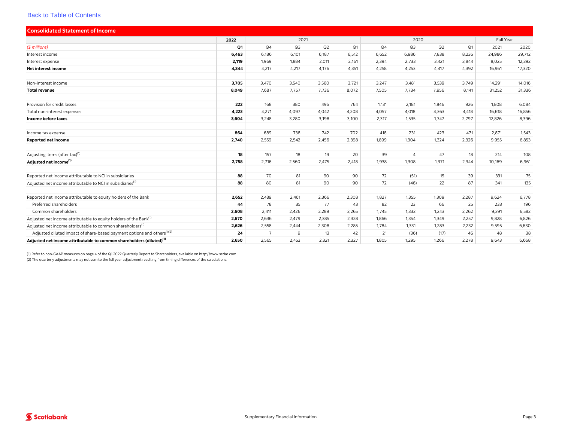<span id="page-7-0"></span>

| <b>Consolidated Statement of Income</b>                                             |       |                |                |       |       |       |                |       |                |           |        |  |
|-------------------------------------------------------------------------------------|-------|----------------|----------------|-------|-------|-------|----------------|-------|----------------|-----------|--------|--|
|                                                                                     | 2022  |                | 2021           |       |       |       | 2020           |       |                | Full Year |        |  |
| (\$ millions)                                                                       | Q1    | Q <sub>4</sub> | Q <sub>3</sub> | Q2    | Q1    | Q4    | Q3             | Q2    | Q <sub>1</sub> | 2021      | 2020   |  |
| Interest income                                                                     | 6,463 | 6,186          | 6,101          | 6,187 | 6,512 | 6,652 | 6,986          | 7,838 | 8,236          | 24,986    | 29,712 |  |
| Interest expense                                                                    | 2,119 | 1,969          | 1,884          | 2,011 | 2,161 | 2,394 | 2,733          | 3,421 | 3,844          | 8,025     | 12,392 |  |
| Net interest income                                                                 | 4,344 | 4,217          | 4,217          | 4,176 | 4,351 | 4,258 | 4,253          | 4,417 | 4,392          | 16,961    | 17,320 |  |
|                                                                                     |       |                |                |       |       |       |                |       |                |           |        |  |
| Non-interest income                                                                 | 3,705 | 3,470          | 3,540          | 3,560 | 3,721 | 3,247 | 3,481          | 3,539 | 3,749          | 14,291    | 14,016 |  |
| <b>Total revenue</b>                                                                | 8,049 | 7,687          | 7,757          | 7,736 | 8,072 | 7,505 | 7,734          | 7,956 | 8,141          | 31,252    | 31,336 |  |
|                                                                                     |       |                |                |       |       |       |                |       |                |           |        |  |
| Provision for credit losses                                                         | 222   | 168            | 380            | 496   | 764   | 1,131 | 2,181          | 1,846 | 926            | 1,808     | 6,084  |  |
| Total non-interest expenses                                                         | 4,223 | 4,271          | 4,097          | 4,042 | 4,208 | 4,057 | 4,018          | 4,363 | 4,418          | 16,618    | 16,856 |  |
| Income before taxes                                                                 | 3,604 | 3,248          | 3,280          | 3,198 | 3,100 | 2,317 | 1,535          | 1,747 | 2,797          | 12,826    | 8,396  |  |
|                                                                                     |       |                |                |       |       |       |                |       |                |           |        |  |
| Income tax expense                                                                  | 864   | 689            | 738            | 742   | 702   | 418   | 231            | 423   | 471            | 2,871     | 1,543  |  |
| Reported net income                                                                 | 2,740 | 2,559          | 2,542          | 2,456 | 2,398 | 1,899 | 1,304          | 1,324 | 2,326          | 9,955     | 6,853  |  |
|                                                                                     |       |                |                |       |       |       |                |       |                |           |        |  |
| Adjusting items (after tax) <sup>(1)</sup>                                          | 18    | 157            | 18             | 19    | 20    | 39    | $\overline{4}$ | 47    | 18             | 214       | 108    |  |
| Adjusted net income <sup>(1)</sup>                                                  | 2,758 | 2,716          | 2,560          | 2,475 | 2,418 | 1,938 | 1,308          | 1,371 | 2,344          | 10,169    | 6,961  |  |
|                                                                                     |       |                |                |       |       |       |                |       |                |           |        |  |
| Reported net income attributable to NCI in subsidiaries                             | 88    | 70             | 81             | 90    | 90    | 72    | (51)           | 15    | 39             | 331       | 75     |  |
| Adjusted net income attributable to NCI in subsidiaries <sup>(1)</sup>              | 88    | 80             | 81             | 90    | 90    | 72    | (46)           | 22    | 87             | 341       | 135    |  |
|                                                                                     |       |                |                |       |       |       |                |       |                |           |        |  |
| Reported net income attributable to equity holders of the Bank                      | 2,652 | 2,489          | 2,461          | 2,366 | 2,308 | 1,827 | 1,355          | 1,309 | 2,287          | 9,624     | 6,778  |  |
| Preferred shareholders                                                              | 44    | 78             | 35             | 77    | 43    | 82    | 23             | 66    | 25             | 233       | 196    |  |
| Common shareholders                                                                 | 2,608 | 2,411          | 2,426          | 2,289 | 2,265 | 1,745 | 1,332          | 1,243 | 2,262          | 9,391     | 6,582  |  |
| Adjusted net income attributable to equity holders of the Bank <sup>(1)</sup>       | 2,670 | 2,636          | 2,479          | 2,385 | 2,328 | 1,866 | 1,354          | 1.349 | 2,257          | 9,828     | 6,826  |  |
| Adjusted net income attributable to common shareholders <sup>(1)</sup>              | 2,626 | 2,558          | 2,444          | 2,308 | 2,285 | 1,784 | 1,331          | 1,283 | 2,232          | 9,595     | 6,630  |  |
| Adjusted diluted impact of share-based payment options and others <sup>(1)(2)</sup> | 24    | $\overline{7}$ | 9              | 13    | 42    | 21    | (36)           | (17)  | 46             | 48        | 38     |  |
| Adjusted net income attributable to common shareholders (diluted) <sup>(1)</sup>    | 2,650 | 2,565          | 2,453          | 2,321 | 2,327 | 1,805 | 1,295          | 1,266 | 2,278          | 9,643     | 6,668  |  |

(1) Refer to non-GAAP measures on page 4 of the Q1 2022 Quarterly Report to Shareholders, available on <http://www.sedar.com>.

(2) The quarterly adjustments may not sum to the full year adjustment resulting from timing differences of the calculations.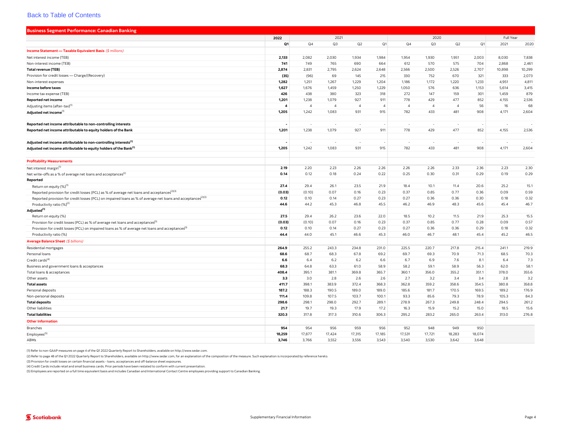<span id="page-8-0"></span>

| <b>Business Segment Performance: Canadian Banking</b>                                                                    |                  |                |                |                |                |                |                |                |                |           |        |
|--------------------------------------------------------------------------------------------------------------------------|------------------|----------------|----------------|----------------|----------------|----------------|----------------|----------------|----------------|-----------|--------|
|                                                                                                                          | 2022             | 2021           |                |                |                |                | 2020           |                |                | Full Year |        |
|                                                                                                                          | Q1               | Q <sub>4</sub> | Q3             | Q2             | Q1             | Q4             | Q3             | Q2             | Q <sub>1</sub> | 2021      | 2020   |
| Income Statement - Taxable Equivalent Basis (\$ millions)                                                                |                  |                |                |                |                |                |                |                |                |           |        |
| Net interest income (TEB)                                                                                                | 2,133            | 2,082          | 2,030          | 1,934          | 1,984          | 1,954          | 1,930          | 1,951          | 2,003          | 8,030     | 7,838  |
| Non-interest income (TEB)                                                                                                | 741              | 749            | 765            | 690            | 664            | 612            | 570            | 575            | 704            | 2,868     | 2,461  |
| <b>Total revenue (TEB)</b>                                                                                               | 2,874            | 2,831          | 2,795          | 2,624          | 2,648          | 2,566          | 2,500          | 2,526          | 2,707          | 10,898    | 10,299 |
| Provision for credit losses - Charge/(Recovery)                                                                          | (35)             | (96)           | 69             | 145            | 215            | 330            | 752            | 670            | 321            | 333       | 2,073  |
| Non-interest expenses                                                                                                    | 1,282            | 1,251          | 1,267          | 1,229          | 1,204          | 1,186          | 1,172          | 1,220          | 1,233          | 4,951     | 4,811  |
| Income before taxes                                                                                                      | 1,627            | 1,676          | 1,459          | 1,250          | 1,229          | 1,050          | 576            | 636            | 1,153          | 5,614     | 3,415  |
| Income tax expense (TEB)                                                                                                 | 426              | 438            | 380            | 323            | 318            | 272            | 147            | 159            | 301            | 1,459     | 879    |
| <b>Reported net income</b>                                                                                               | 1,201            | 1,238          | 1,079          | 927            | 911            | 778            | 429            | 477            | 852            | 4,155     | 2,536  |
| Adjusting items (after-tax) <sup>(1)</sup>                                                                               | $\boldsymbol{4}$ | $\overline{4}$ | $\overline{4}$ | $\overline{4}$ | $\overline{4}$ | $\overline{4}$ | $\overline{4}$ | $\overline{4}$ | 56             | 16        | 68     |
| Adjusted net income                                                                                                      | 1,205            | 1,242          | 1,083          | 931            | 915            | 782            | 433            | 481            | 908            | 4,171     | 2,604  |
|                                                                                                                          |                  |                |                |                |                |                |                |                |                |           |        |
| Reported net income attributable to non-controlling interests                                                            |                  |                | $\sim$         | - 20           |                | $\sim$         | n.             | $\sim$         |                | n.        | - 1    |
| Reported net income attributable to equity holders of the Bank                                                           | 1,201            | 1,238          | 1,079          | 927            | 911            | 778            | 429            | 477            | 852            | 4,155     | 2,536  |
|                                                                                                                          |                  |                |                |                |                |                |                |                |                |           |        |
| Adjusted net income attributable to non-controlling interests <sup>(1)</sup>                                             |                  |                |                |                |                |                |                |                |                | $\sim$    |        |
| Adjusted net income attributable to equity holders of the Bank <sup>(1)</sup>                                            | 1,205            | 1,242          | 1,083          | 931            | 915            | 782            | 433            | 481            | 908            | 4,171     | 2,604  |
|                                                                                                                          |                  |                |                |                |                |                |                |                |                |           |        |
| <b>Profitability Measurements</b>                                                                                        |                  |                |                |                |                |                |                |                |                |           |        |
| Net interest margin <sup>(1)</sup>                                                                                       | 2.19             | 2.20           | 2.23           | 2.26           | 2.26           | 2.26           | 2.26           | 2.33           | 2.36           | 2.23      | 2.30   |
| Net write-offs as a % of average net loans and acceptances <sup>(2)</sup>                                                | 0.14             | 0.12           | 0.18           | 0.24           | 0.22           | 0.25           | 0.30           | 0.31           | 0.29           | 0.19      | 0.29   |
| Reported                                                                                                                 |                  |                |                |                |                |                |                |                |                |           |        |
| Return on equity (%) <sup>(1)</sup>                                                                                      | 27.4             | 29.4           | 26.1           | 23.5           | 21.9           | 18.4           | 10.1           | 11.4           | 20.6           | 25.2      | 15.1   |
| Reported provision for credit losses (PCL) as % of average net loans and acceptances <sup>(2)(3)</sup>                   | (0.03)           | (0.10)         | 0.07           | 0.16           | 0.23           | 0.37           | 0.85           | 0.77           | 0.36           | 0.09      | 0.59   |
| Reported provision for credit losses (PCL) on impaired loans as % of average net loans and acceptances <sup>(2)(3)</sup> | 0.12             | 0.10           | 0.14           | 0.27           | 0.23           | 0.27           | 0.36           | 0.36           | 0.30           | 0.18      | 0.32   |
| Productivity ratio (%) <sup>(2)</sup>                                                                                    | 44.6             | 44.2           | 45.3           | 46.8           | 45.5           | 46.2           | 46.9           | 48.3           | 45.6           | 45.4      | 46.7   |
| Adjusted <sup>(1)</sup>                                                                                                  |                  |                |                |                |                |                |                |                |                |           |        |
| Return on equity (%)                                                                                                     | 27.5             | 29.4           | 26.2           | 23.6           | 22.0           | 18.5           | 10.2           | 11.5           | 21.9           | 25.3      | 15.5   |
| Provision for credit losses (PCL) as % of average net loans and acceptances <sup>3)</sup>                                | (0.03)           | (0.10)         | 0.07           | 0.16           | 0.23           | 0.37           | 0.85           | 0.77           | 0.28           | 0.09      | 0.57   |
| Provision for credit losses (PCL) on impaired loans as % of average net loans and acceptances <sup>3)</sup>              | 0.12             | 0.10           | 0.14           | 0.27           | 0.23           | 0.27           | 0.36           | 0.36           | 0.29           | 0.18      | 0.32   |
| Productivity ratio (%)                                                                                                   | 44.4             | 44.0           | 45.1           | 46.6           | 45.3           | 46.0           | 46.7           | 48.1           | 45.4           | 45.2      | 46.5   |
| Average Balance Sheet (\$ billions)                                                                                      |                  |                |                |                |                |                |                |                |                |           |        |
| Residential mortgages                                                                                                    | 264.9            | 255.2          | 243.3          | 234.8          | 231.0          | 225.5          | 220.7          | 217.8          | 215.4          | 241.1     | 219.9  |
| Personal loans                                                                                                           | 68.6             | 68.7           | 68.3           | 67.8           | 69.2           | 69.7           | 69.3           | 70.9           | 71.3           | 68.5      | 70.3   |
| Credit cards <sup>(4)</sup>                                                                                              | 6.6              | 6.4            | 6.2            | 6.2            | 6.6            | 6.7            | 6.9            | 7.6            | 8.1            | 6.4       | 7.3    |
| Business and government loans & acceptances                                                                              | 68.3             | 64.8           | 63.3           | 61.0           | 58.9           | 58.2           | 59.1           | 58.9           | 56.3           | 62.0      | 58.1   |
| Total loans & acceptances                                                                                                | 408.4            | 395.1          | 381.1          | 369.8          | 365.7          | 360.1          | 356.0          | 355.2          | 351.1          | 378.0     | 355.6  |
| Other assets                                                                                                             | 3.3              | 3.0            | 2.8            | 2.6            | 2.6            | 2.7            | 3.2            | 3.4            | 3.4            | 2.8       | 3.2    |
| <b>Total assets</b>                                                                                                      | 411.7            | 398.1          | 383.9          | 372.4          | 368.3          | 362.8          | 359.2          | 358.6          | 354.5          | 380.8     | 358.8  |
| Personal deposits                                                                                                        | 187.2            | 188.3          | 190.5          | 189.0          | 189.0          | 185.6          | 181.7          | 170.5          | 169.5          | 189.2     | 176.9  |
| Non-personal deposits                                                                                                    | 111.4            | 109.8          | 107.5          | 103.7          | 100.1          | 93.3           | 85.6           | 79.3           | 78.9           | 105.3     | 84.3   |
| <b>Total deposits</b>                                                                                                    | 298.6            | 298.1          | 298.0          | 292.7          | 289.1          | 278.9          | 267.3          | 249.8          | 248.4          | 294.5     | 261.2  |
| Other liabilities                                                                                                        | 21.7             | 19.7           | 19.3           | 17.9           | 17.2           | 16.3           | 15.9           | 15.2           | 15.0           | 18.5      | 15.6   |
| <b>Total liabilities</b>                                                                                                 | 320.3            | 317.8          | 317.3          | 310.6          | 306.3          | 295.2          | 283.2          | 265.0          | 263.4          | 313.0     | 276.8  |
| <b>Other Information</b>                                                                                                 |                  |                |                |                |                |                |                |                |                |           |        |
| Branches                                                                                                                 | 954              | 954            | 956            | 959            | 956            | 952            | 948            | 949            | 950            |           |        |
| Employees <sup>(5)</sup>                                                                                                 | 18,259           | 17,877         | 17,424         | 17,315         | 17,185         | 17,531         | 17,721         | 18,283         | 18,074         |           |        |
| ABMs                                                                                                                     | 3,746            | 3,766          | 3,552          | 3,556          | 3,543          | 3,540          | 3,530          | 3,642          | 3,648          |           |        |

(1) Refer to non-GAAP measures on page 4 of the Q1 2022 Quarterly Report to Shareholders, available on [http://www.sedar.com.](http://www.sedar.com)

(2) Refer to page 48 of the Q1 2022 Quarterly Report to Shareholders, available on [http://www.sedar.com,](http://www.sedar.com) for an explanation of the composition of the measure. Such explanation is incorporated by reference hereto.

(3) Provision for credit losses on certain financial assets - loans, acceptances and off-balance sheet exposures.

(4) Credit Cards include retail and small business cards. Prior periods have been restated to conform with current presentation.

(5) Employees are reported on a full time equivalent basis and includes Canadian and International Contact Centre employees providing support to Canadian Banking.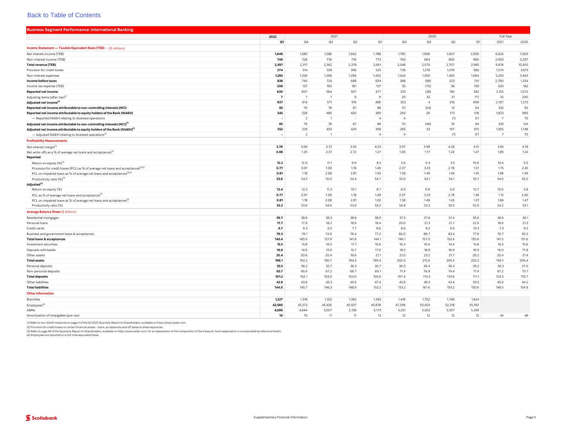<span id="page-9-0"></span>

| <b>Business Segment Performance: International Banking</b>                                                                                                                  |                |                |                |              |                |                |                |        |        |                |        |
|-----------------------------------------------------------------------------------------------------------------------------------------------------------------------------|----------------|----------------|----------------|--------------|----------------|----------------|----------------|--------|--------|----------------|--------|
|                                                                                                                                                                             | 2022           |                | 2021           |              |                |                | 2020           |        |        | Full Year      |        |
|                                                                                                                                                                             | Q1             | Q <sub>4</sub> | Q3             | Q2           | Q1             | Q4             | Q3             | Q2     | Q1     | 2021           | 2020   |
| Income Statement - Taxable Equivalent Basis (TEB) - (\$ millions)                                                                                                           |                |                |                |              |                |                |                |        |        |                |        |
| Net interest income (TEB)                                                                                                                                                   | 1,648          | 1,589          | 1,586          | 1,662        | 1,788          | 1,785          | 1,906          | 1,907  | 2,005  | 6,625          | 7,603  |
| Non-interest income (TEB)                                                                                                                                                   | 749            | 728            | 776            | 716          | 773            | 763            | 664            | 800    | 980    | 2,993          | 3,207  |
| <b>Total revenue (TEB)</b>                                                                                                                                                  | 2.397          | 2,317          | 2,362          | 2,378        | 2,561          | 2.548          | 2,570          | 2,707  | 2,985  | 9,618          | 10,810 |
| Provision for credit losses                                                                                                                                                 | 274            | 314            | 339            | 396          | 525            | 736            | 1,278          | 1,019  | 580    | 1,574          | 3,613  |
| Non-interest expenses                                                                                                                                                       | 1,285          | 1,259          | 1,299          | 1,294        | 1,402          | 1,424          | 1,390          | 1,465  | 1,664  | 5,254          | 5,943  |
| Income before taxes                                                                                                                                                         | 838            | 744            | 724            | 688          | 634            | 388            | (98)           | 223    | 741    | 2,790          | 1,254  |
| Income tax expense (TEB)                                                                                                                                                    | 208            | 137            | 160            | 181          | 157            | 55             | (70)           | 38     | 159    | 635            | 182    |
| Reported net income                                                                                                                                                         | 630            | 607            | 564            | 507          | 477            | 333            | (28)           | 185    | 582    | 2,155          | 1,072  |
| Adjusting items (after-tax)                                                                                                                                                 | $\overline{7}$ | $\overline{7}$ | $\overline{7}$ | $\mathbf{q}$ | $\overline{9}$ | 20             | 32             | 31     | 117    | 32             | 200    |
| Adjusted net income <sup>(1</sup>                                                                                                                                           | 637            | 614            | 571            | 516          | 486            | 353            | $\overline{4}$ | 216    | 699    | 2,187          | 1,272  |
| Reported net income attributable to non-controlling interests (NCI)                                                                                                         | 85             | 79             | 78             | 87           | 88             | 70             | (54)           | 12     | 64     | 332            | 92     |
| Reported net income attributable to equity holders of the Bank (NIAEH)                                                                                                      | 545            | 528            | 486            | 420          | 389            | 263            | 26             | 173    | 518    | 1,823          | 980    |
| - Reported NIAEH relating to divested operations                                                                                                                            |                | 2              | $\overline{1}$ |              | $\overline{4}$ | $\overline{A}$ |                | (1)    | 67     | $\overline{7}$ | 70     |
|                                                                                                                                                                             | 85             | 79             | 78             | 87           | 88             | 70             | (49)           | 19     | 84     | 332            | 124    |
| Adjusted net income attributable to non-controlling interests (NCI) <sup>(1)</sup><br>Adjusted net income attributable to equity holders of the Bank (NIAEH) <sup>(1)</sup> | 552            | 535            | 493            | 429          | 398            | 283            | 53             | 197    | 615    | 1,855          | 1,148  |
| - Adjusted NIAEH relating to divested operations <sup>(1)</sup>                                                                                                             |                | $\overline{z}$ | $\mathbf{1}$   |              | $\overline{4}$ | $\overline{4}$ |                | (1)    | 67     | $\overline{7}$ | 70     |
|                                                                                                                                                                             |                |                |                |              |                |                |                |        |        |                |        |
| <b>Profitability Measurements</b>                                                                                                                                           |                |                |                |              |                |                |                |        |        |                |        |
| Net interest margin <sup>(1</sup>                                                                                                                                           | 3.76           | 3.69           | 3.72           | 3.95         | 4.03           | 3.97           | 3.99           | 4.28   | 4.51   | 3.85           | 4.18   |
| Net write-offs as a % of average net loans and acceptances <sup>13</sup>                                                                                                    | 0.88           | 1.25           | 2.37           | 2.72         | 1.27           | 1.06           | 1.17           | 1.24   | 1.47   | 1.89           | 1.24   |
| Reported                                                                                                                                                                    |                |                |                |              |                |                |                |        |        |                |        |
| Return on equity (%) <sup>(1)</sup>                                                                                                                                         | 12.2           | 12.0           | 11.1           | 9.9          | 8.5            | 5.6            | 0.4            | 3.5    | 10.6   | 10.4           | 5.0    |
| Provision for credit losses (PCL) as % of average net loans and acceptances <sup>(2)(3)</sup>                                                                               | 0.77           | 0.91           | 1.00           | 1.18         | 1.49           | 2.07           | 3.33           | 2.78   | 1.57   | 1.15           | 2.45   |
| PCL on impaired loans as % of average net loans and acceptances <sup>(2)(3)</sup>                                                                                           | 0.81           | 1.18           | 2.08           | 2.81         | 1.50           | 1.58           | 1.49           | 1.45   | 1.45   | 1.88           | 1.49   |
| Productivity ratio (%) <sup>(3)</sup>                                                                                                                                       | 53.6           | 54.3           | 55.0           | 54.4         | 54.7           | 55.9           | 54.1           | 54.1   | 55.7   | 54.6           | 55.0   |
| Adjusted <sup>(1)</sup>                                                                                                                                                     |                |                |                |              |                |                |                |        |        |                |        |
| Return on equity (%)                                                                                                                                                        | 12.4           | 12.2           | 11.3           | 10.1         | 8.7            | 6.0            | 0.9            | 4.0    | 12.7   | 10.6           | 5.8    |
| PCL as % of average net loans and acceptances <sup>[2]</sup>                                                                                                                | 0.77           | 0.91           | 1.00           | 1.18         | 1.49           | 2.07           | 3.33           | 2.78   | 1.36   | 1.15           | 2.40   |
| PCL on impaired loans as % of average net loans and acceptances <sup>(2)</sup>                                                                                              | 0.81           | 1.18           | 2.08           | 2.81         | 1.50           | 1.58           | 1.49           | 1.45   | 1.37   | 1.88           | 1.47   |
| Productivity ratio (%)                                                                                                                                                      | 53.2           | 53.9           | 54.6           | 53.9         | 54.2           | 54.8           | 52.3           | 52.5   | 52.9   | 54.2           | 53.1   |
| Average Balance Sheet (\$ billions)                                                                                                                                         |                |                |                |              |                |                |                |        |        |                |        |
| Residential mortgages                                                                                                                                                       | 39.7           | 38.6           | 38.3           | 38.8         | 38.9           | 37.5           | 37.8           | 37.4   | 39.6   | 38.6           | 38.1   |
| Personal loans                                                                                                                                                              | 17.7           | 17.9           | 18.2           | 18.9         | 19.4           | 20.0           | 21.3           | 21.7   | 22.9   | 18.6           | 21.5   |
| Credit cards                                                                                                                                                                | 6.7            | 6.3            | 6.5            | 7.7          | 8.6            | 8.6            | 9.2            | 9.9    | 10.3   | 7.3            | 9.5    |
| Business and government loans & acceptances                                                                                                                                 | 79.3           | 78.1           | 74.9           | 76.4         | 77.2           | 80.0           | 88.7           | 83.4   | 77.8   | 76.7           | 82.5   |
| <b>Total loans &amp; acceptances</b>                                                                                                                                        | 143.4          | 140.9          | 137.9          | 141.8        | 144.1          | 146.1          | 157.0          | 152.4  | 150.6  | 141.2          | 151.6  |
| Investment securities                                                                                                                                                       | 15.5           | 15.8           | 16.5           | 17.1         | 16.6           | 16.4           | 16.6           | 14.4   | 14.8   | 16.5           | 15.6   |
| Deposits with banks                                                                                                                                                         | 16.8           | 14.9           | 15.9           | 15.7         | 17.6           | 18.5           | 18.8           | 16.9   | 16.9   | 16.0           | 17.8   |
| Other assets                                                                                                                                                                | 20.4           | 20.6           | 20.4           | 19.6         | 21.1           | 21.0           | 23.2           | 21.7   | 20.2   | 20.4           | 21.4   |
| <b>Total assets</b>                                                                                                                                                         | 196.1          | 192.2          | 190.7          | 194.2        | 199.4          | 202.0          | 215.6          | 205.4  | 202.5  | 194.1          | 206.4  |
| Personal deposits                                                                                                                                                           | 35.5           | 36.2           | 35.7           | 36.3         | 36.7           | 36.0           | 36.4           | 36.4   | 39.2   | 36.3           | 37.0   |
| Non-personal deposits                                                                                                                                                       | 65.7           | 65.9           | 67.2           | 66.7         | 69.1           | 71.4           | 76.9           | 74.4   | 71.9   | 67.2           | 73.7   |
| <b>Total deposits</b>                                                                                                                                                       | 101.2          | 102.1          | 103.0          | 103.0        | 105.8          | 107.4          | 113.3          | 110.8  | 111.1  | 103.5          | 110.7  |
| Other liabilities                                                                                                                                                           | 42.8           | 43.6           | 43.3           | 45.9         | 47.4           | 45.8           | 48.3           | 43.4   | 39.5   | 45.0           | 44.2   |
| <b>Total liabilities</b>                                                                                                                                                    | 144.0          | 145.7          | 146.3          | 148.9        | 153.2          | 153.2          | 161.6          | 154.2  | 150.6  | 148.5          | 154.9  |
| <b>Other Information</b>                                                                                                                                                    |                |                |                |              |                |                |                |        |        |                |        |
| <b>Branches</b>                                                                                                                                                             | 1,227          | 1,318          | 1,352          | 1,362        | 1,393          | 1,418          | 1,702          | 1,748  | 1,824  |                |        |
| Employees <sup>(4)</sup>                                                                                                                                                    | 42,580         | 43,372         | 45,426         | 45,507       | 45,878         | 47,296         | 50,403         | 52,318 | 55,190 |                |        |
| ABMs                                                                                                                                                                        | 4,596          | 4,844          | 5,057          | 5,139        | 5,173          | 5,251          | 5,263          | 5,307  | 5,359  |                |        |
| Amortization of intangibles (pre-tax)                                                                                                                                       | 10             | 10             | 11             | 11           | 13             | 12             | 12             | 12     | 12     | 45             | 48     |

(1) Refer to non-GAAP measures on page 4 of the Q1 2022 Quarterly Report to Shareholders, available on [http://www.sedar.com.](http://www.sedar.com)

(2) Provision for credit losses on certain financial assets - loans, acceptances and off-balance sheet exposures.<br>(3) Refer to page 48 of the QuarterN Report to Shareholders, available on<http://www.sedar.com>, for an expla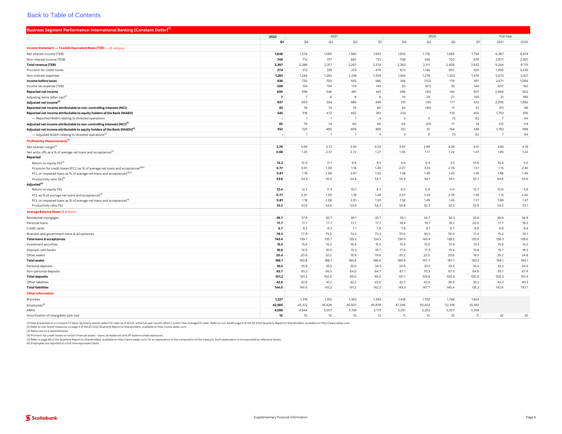<span id="page-10-0"></span>

| Business Segment Performance: International Banking (Constant Dollar) <sup>(1)</sup>          |                 |                 |                 |                 |                 |                         |                 |                 |                 |                |               |
|-----------------------------------------------------------------------------------------------|-----------------|-----------------|-----------------|-----------------|-----------------|-------------------------|-----------------|-----------------|-----------------|----------------|---------------|
|                                                                                               | 2022            | 2021            |                 |                 |                 | 2020                    |                 |                 | Full Year       |                |               |
|                                                                                               | Q1              | Q <sub>4</sub>  | Q3              | Q2              | Q1              | Q4                      | Q3              | Q2              | Q1              | 2021           | 2020          |
| Income Statement - Taxable Equivalent Basis (TEB) - (\$ millions)                             |                 |                 |                 |                 |                 |                         |                 |                 |                 |                |               |
| Net interest income (TEB)                                                                     | 1,648           | 1,574           | 1,560           | 1,580           | 1,653           | 1,655                   | 1,716           | 1,689           | 1,754           | 6,367          | 6,814         |
| Non-interest income (TEB)                                                                     | 749             | 712             | 757             | 687             | 721             | 708                     | 595             | 720             | 878             | 2,877          | 2,901         |
| <b>Total revenue (TEB)</b>                                                                    | 2,397           | 2,286           | 2,317           | 2,267           | 2,374           | 2,363                   | 2,311           | 2,409           | 2,632           | 9,244          | 9,715         |
| Provision for credit losses                                                                   | 274             | 312             | 335             | 374             | 479             | 673                     | 1,145           | 907             | 505             | 1,500          | 3,230         |
| Non-interest expenses                                                                         | 1,285           | 1,244           | 1,282           | 1,238           | 1,309           | 1,344                   | 1,278           | 1,323           | 1,476           | 5,073          | 5,421         |
| Income before taxes                                                                           | 838             | 730             | 700             | 655             | 586             | 346                     | (112)           | 179             | 651             | 2,671          | 1,064         |
| Income tax expense (TEB)                                                                      | 208             | 134             | 154             | 174             | 145             | 50                      | (67)            | 35              | 144             | 607            | 162           |
| <b>Reported net income</b>                                                                    | 630             | 596             | 546             | 481             | 441             | 296                     | (45)            | 144             | 507             | 2,064          | 902           |
| Adjusting items (after-tax) <sup>(2)</sup>                                                    | $\overline{7}$  | $\overline{7}$  | 8               | 8               | 8               | 19                      | 29              | 27              | 105             | 31             | 180           |
| Adjusted net income <sup>(2)</sup>                                                            | 637             | 603             | 554             | 489             | 449             | 315                     | (16)            | 171             | 612             | 2,095          | 1,082         |
| Reported net income attributable to non-controlling interests (NCI)                           | 85              | 78              | 74              | 79              | 80              | 63                      | (45)            | 11              | 57              | 311            | 86            |
| Reported net income attributable to equity holders of the Bank (NIAEH)                        | 545             | 518             | 472             | 402             | 361             | 233                     |                 | 133             | 450             | 1,753          | 816           |
| - Reported NIAEH relating to divested operations                                              |                 | $\overline{1}$  | $\overline{1}$  | 1               | $\overline{A}$  | $\overline{3}$          | $\Omega$        | (1)             | 62              | $\overline{7}$ | 64            |
| Adjusted net income attributable to non-controlling interests (NCI) <sup>(2)</sup>            | 85              | 78              | 74              | 80              | 80              | 64                      | (41)            | 17              | 74              | 312            | 114           |
| Adjusted net income attributable to equity holders of the Bank (NIAEH) <sup>(2)</sup>         | 552             | 525             | 480             | 409             | 369             | 251                     | 25              | 154             | 538             | 1,783          | 968           |
| - Adjusted NIAEH relating to divested operations <sup>(2)</sup>                               |                 | $\overline{1}$  | $\mathbf{1}$    | $\mathbf{1}$    | $\overline{4}$  | $\overline{\mathbf{3}}$ | $\circ$         | (1)             | 62              | $\overline{7}$ | 64            |
| Profitability Measurements <sup>(3)</sup>                                                     |                 |                 |                 |                 |                 |                         |                 |                 |                 |                |               |
| Net interest margin <sup>(2)</sup>                                                            | 3.76            | 3.69            | 3.72            | 3.95            | 4.03            | 3.97                    | 3.99            | 4.28            | 4.51            | 3.85           | 4.18          |
| Net write-offs as a % of average net loans and acceptances <sup>(5)</sup>                     | 0.88            | 1.25            | 2.37            | 2.72            | 1.27            | 1.06                    | 1.17            | 1.24            | 1.47            | 1.89           | 1.24          |
| Reported                                                                                      |                 |                 |                 |                 |                 |                         |                 |                 |                 |                |               |
| Return on equity (%) <sup>(2)</sup>                                                           | 12.2            | 12.0            | 11.1            | 9.9             | 8.5             | 5.6                     | 0.4             | 3.5             | 10.6            | 10.4           | 5.0           |
| Provision for credit losses (PCL) as % of average net loans and acceptances <sup>(4)(5)</sup> | 0.77            | 0.91            | 1.00            | 1.18            | 1.49            | 2.07                    | 3.33            | 2.78            | 1.57            | 1.15           | 2.45          |
| PCL on impaired loans as % of average net loans and acceptances <sup>(4)(5)</sup>             | 0.81            | 1.18            | 2.08            | 2.81            | 1.50            | 1.58                    | 1.49            | 1.45            | 1.45            | 1.88           | 1.49          |
| Productivity ratio (%) <sup>(5)</sup>                                                         | 53.6            | 54.3            | 55.0            | 54.4            | 54.7            | 55.9                    | 54.1            | 54.1            | 55.7            | 54.6           | 55.0          |
| Adjusted <sup>(2)</sup>                                                                       |                 |                 |                 |                 |                 |                         |                 |                 |                 |                |               |
| Return on equity (%)                                                                          | 12.4            | 12.2            | 11.3            | 10.1            | 8.7             | 6.0                     | 0.9             | 4.0             | 12.7            | 10.6           | 5.8           |
| PCL as % of average net loans and acceptances <sup>14</sup>                                   | 0.77            | 0.91            | 1.00            | 1.18            | 1.49            | 2.07                    | 3.33            | 2.78            | 1.36            | 1.15           | 2.40          |
| PCL on impaired loans as % of average net loans and acceptances <sup>(4)</sup>                | 0.81            | 1.18            | 2.08            | 2.81            | 1.50            | 1.58                    | 1.49            | 1.45            | 1.37            | 1.88           | 1.47          |
| Productivity ratio (%)                                                                        | 53.2            | 53.9            | 54.6            | 53.9            | 54.2            | 54.8                    | 52.3            | 52.5            | 52.9            | 54.2           | 53.1          |
| Average Balance Sheet (\$ billions)                                                           |                 |                 |                 |                 |                 |                         |                 |                 |                 |                |               |
| <b>Residential mortgages</b>                                                                  | 39.7            | 37.9            | 36.7            | 36.1            | 35.7            | 35.1                    | 34.7            | 34.3            | 35.6            | 36.6           | 34.9          |
| Personal loans                                                                                | 17.7            | 17.7            | 17.7            | 17.7            | 17.7            | 18.4                    | 19.1            | 19.2            | 20.0            | 17.7           | 19.2          |
| Credit cards                                                                                  | 6.7             | 6.2             | 6.3             | 7.1             | 7.8             | 7.8                     | 8.1             | 8.7             | 8.9             | 6.8            | 8.4           |
| Business and government loans & acceptances                                                   | 79.3            | 77.9            | 75.0            | 74.3            | 73.3            | 75.6                    | 81.5            | 76.0            | 71.4            | 75.2           | 76.1          |
| <b>Total loans &amp; acceptances</b>                                                          | 143.4           | 139.7           | 135.7           | 135.2           | 134.5           | 136.9                   | 143.4           | 138.2           | 135.9           | 136.3          | 138.6         |
| Investment securities                                                                         | 15.5            | 15.6            | 16.2            | 16.4            | 15.5            | 15.4                    | 15.0            | 12.9            | 13.3            | 15.9           | 14.2          |
| Deposits with banks                                                                           | 16.8            | 14.9            | 16.0            | 15.3            | 16.7            | 17.4                    | 17.3            | 15.4            | 15.8            | 15.7           | 16.5          |
| Other assets                                                                                  | 20.4            | 20.6            | 20.2            | 18.9            | 19.9            | 20.2<br>189.9           | 22.0            | 20.6            | 18.5            | 26.2<br>194.1  | 24.8          |
| <b>Total assets</b>                                                                           | 196.1<br>35.5   | 190.8           | 188.1           | 185.8           | 186.6<br>34.5   | 34.0                    | 197.7           | 187.1           | 183.5           |                | 194.1<br>34.0 |
| Personal deposits                                                                             | 65.7            | 35.9            | 35.5            | 35.0            | 64.7            | 67.1                    | 33.5            | 33.0            | 35.4            | 35.2           | 67.4          |
| Non-personal deposits<br><b>Total deposits</b>                                                | 101.2           | 65.3<br>101.2   | 66.5<br>102.0   | 64.0<br>99.0    | 99.2            | 101.1                   | 70.3<br>103.8   | 67.5<br>100.5   | 64.6<br>100.0   | 65.1<br>100.3  | 101.4         |
| Other liabilities                                                                             | 42.8            | 42.8            | 41.2            | 42.2            | 43.0            | 42.2                    | 43.9            | 39.9            | 35.2            | 42.3           | 40.3          |
| <b>Total liabilities</b>                                                                      | 144.0           | 144.0           | 143.2           | 141.2           | 142.2           | 143.3                   | 147.7           | 140.4           | 135.2           | 142.6          | 141.7         |
| <b>Other Information</b>                                                                      |                 |                 |                 |                 |                 |                         |                 |                 |                 |                |               |
|                                                                                               |                 |                 |                 |                 |                 |                         |                 |                 |                 |                |               |
| <b>Branches</b>                                                                               | 1,227<br>42,580 | 1,318<br>43,372 | 1,352<br>45,426 | 1,362<br>45,507 | 1,393<br>45,878 | 1,418<br>47,296         | 1,702           | 1,748<br>52,318 | 1,824<br>55,190 |                |               |
| Employees <sup>(6)</sup><br>ABMs                                                              | 4,596           | 4,844           | 5,057           | 5,139           | 5,173           | 5,251                   | 50,403<br>5,263 | 5,307           | 5,359           |                |               |
| Amortization of intangibles (pre-tax)                                                         | 10              | 10              | 10              | 10              | 12              | 11                      | 10              | 10              | 11              | 42             | 42            |
|                                                                                               |                 |                 |                 |                 |                 |                         |                 |                 |                 |                |               |

(1) Data presented on a constant FX basis. Quartely result reflect FX rates as of Q1/22, while full-year results reflect Current Year A werage FX rates. Refer to non-GAAP page 9 of the Q1 2022 Quarterly Report to Sharehold

(3) Ratios are on a reported basis.

(4) Provision for credit losses on certain financial assets - loans, acceptances and off-balance sheet exposures.<br>(5) Refer to page 48 of the Quarter) Report to Shareholders, available on<http://www.sedar.com>, for an expla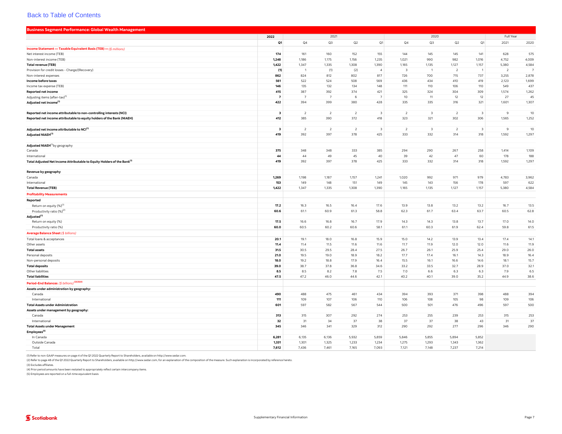<span id="page-11-0"></span>

| <b>Business Segment Performance: Global Wealth Management</b>                       |                         |                |                |                |                         |                |                         |                          |                         |                |                |
|-------------------------------------------------------------------------------------|-------------------------|----------------|----------------|----------------|-------------------------|----------------|-------------------------|--------------------------|-------------------------|----------------|----------------|
|                                                                                     | 2022                    |                | 2021           |                |                         |                | 2020                    |                          |                         | Full Year      |                |
|                                                                                     | Q1                      | Q4             | Q3             | Q2             | Q1                      | Q4             | Q3                      | Q2                       | Q1                      | 2021           | 2020           |
| Income Statement - Taxable Equivalent Basis (TEB) - (\$ millions)                   |                         |                |                |                |                         |                |                         |                          |                         |                |                |
| Net interest income (TEB)                                                           | 174                     | 161            | 160            | 152            | 155                     | 144            | 145                     | 145                      | 141                     | 628            | 575            |
| Non-interest income (TEB)                                                           | 1,248                   | 1,186          | 1,175          | 1,156          | 1,235                   | 1,021          | 990                     | 982                      | 1,016                   | 4,752          | 4,009          |
| <b>Total revenue (TEB)</b>                                                          | 1,422                   | 1,347          | 1,335          | 1,308          | 1,390                   | 1,165          | 1,135                   | 1,127                    | 1,157                   | 5,380          | 4,584          |
| Provision for credit losses - Charge/(Recovery)                                     | (1)                     | -1             | (1)            | (2)            | $\overline{A}$          | -3             | $\overline{1}$          | $\overline{\phantom{a}}$ | $\mathbf{1}$            | <sup>2</sup>   | $\overline{7}$ |
| Non-interest expenses                                                               | 862                     | 824            | 812            | 802            | 817                     | 726            | 700                     | 715                      | 737                     | 3,255          | 2,878          |
| Income before taxes                                                                 | 561                     | 522            | 524            | 508            | 569                     | 436            | 434                     | 410                      | 419                     | 2,123          | 1,699          |
| Income tax expense (TEB)                                                            | 146                     | 135            | 132            | 134            | 148                     | 111            | 110                     | 106                      | 110                     | 549            | 437            |
| <b>Reported net income</b>                                                          | 415                     | 387            | 392            | 374            | 421                     | 325            | 324                     | 304                      | 309                     | 1,574          | 1,262          |
| Adjusting items (after-tax) <sup>(1</sup>                                           | $\overline{7}$          | 7              | $\overline{7}$ | 6              | $\overline{7}$          | 10             | 11                      | 12                       | 12                      | 27             | 45             |
| Adjusted net income <sup>(1</sup>                                                   | 422                     | 394            | 399            | 380            | 428                     | 335            | 335                     | 316                      | 321                     | 1,601          | 1,307          |
|                                                                                     |                         |                |                |                |                         |                |                         |                          |                         |                |                |
| Reported net income attributable to non-controlling interests (NCI)                 | $\overline{\mathbf{3}}$ | $\overline{2}$ | $\overline{2}$ | $\overline{2}$ | $\overline{\mathbf{3}}$ | $\overline{2}$ | $\overline{\mathbf{3}}$ | $\overline{2}$           | $\overline{3}$          | 9              | 10             |
| Reported net income attributable to equity holders of the Bank (NIAEH)              | 412                     | 385            | 390            | 372            | 418                     | 323            | 321                     | 302                      | 306                     | 1,565          | 1,252          |
|                                                                                     |                         |                |                |                |                         |                |                         |                          |                         |                |                |
| Adjusted net income attributable to NCI(1)                                          | $\overline{\mathbf{3}}$ | $\overline{2}$ | $\overline{2}$ | $\overline{2}$ | $\overline{\mathbf{3}}$ | $\overline{2}$ | 3                       | $\overline{2}$           | $\overline{\mathbf{3}}$ | $\overline{9}$ | 10             |
| Adjusted NIAEH <sup>(1)</sup>                                                       | 419                     | 392            | 397            | 378            | 425                     | 333            | 332                     | 314                      | 318                     | 1,592          | 1,297          |
|                                                                                     |                         |                |                |                |                         |                |                         |                          |                         |                |                |
| Adjusted NIAEH <sup>(1)</sup> by geography                                          |                         |                |                |                |                         |                |                         |                          |                         |                |                |
| Canada                                                                              | 375                     | 348            | 348            | 333            | 385                     | 294            | 290                     | 267                      | 258                     | 1,414          | 1,109          |
| International                                                                       | 44                      | 44             | 49             | 45             | 40                      | 39             | 42                      | 47                       | 60                      | 178            | 188            |
| Total Adjusted Net Income Attributable to Equity Holders of the Bank <sup>(1)</sup> | 419                     | 392            | 397            | 378            | 425                     | 333            | 332                     | 314                      | 318                     | 1,592          | 1,297          |
|                                                                                     |                         |                |                |                |                         |                |                         |                          |                         |                |                |
| Revenue by geography                                                                |                         |                |                |                |                         |                |                         |                          |                         |                |                |
| Canada                                                                              | 1,269                   | 1,198          | 1,187          | 1,157          | 1,241                   | 1,020          | 992                     | 971                      | 979                     | 4,783          | 3,962          |
| International                                                                       | 153                     | 149            | 148            | 151            | 149                     | 145            | 143                     | 156                      | 178                     | 597            | 622            |
| <b>Total Revenue (TEB)</b>                                                          | 1,422                   | 1,347          | 1,335          | 1,308          | 1,390                   | 1,165          | 1,135                   | 1,127                    | 1,157                   | 5,380          | 4,584          |
| <b>Profitability Measurements</b>                                                   |                         |                |                |                |                         |                |                         |                          |                         |                |                |
| Reported                                                                            |                         |                |                |                |                         |                |                         |                          |                         |                |                |
| Return on equity (%) <sup>(1)</sup>                                                 | 17.2                    | 16.3           | 16.5           | 16.4           | 17.6                    | 13.9           | 13.8                    | 13.2                     | 13.2                    | 16.7           | 13.5           |
| Productivity ratio (%) <sup>(2)</sup>                                               | 60.6                    | 61.1           | 60.9           | 61.3           | 58.8                    | 62.3           | 61.7                    | 63.4                     | 63.7                    | 60.5           | 62.8           |
| Adjusted <sup>(1)</sup>                                                             |                         |                |                |                |                         |                |                         |                          |                         |                |                |
| Return on equity (%)                                                                | 17.5                    | 16.6           | 16.8           | 16.7           | 17.9                    | 14.3           | 14.3                    | 13.8                     | 13.7                    | 17.0           | 14.0           |
| Productivity ratio (%)                                                              | 60.0                    | 60.5           | 60.2           | 60.6           | 58.1                    | 61.1           | 60.3                    | 61.9                     | 62.4                    | 59.8           | 61.5           |
| <b>Average Balance Sheet (\$ billions)</b>                                          |                         |                |                |                |                         |                |                         |                          |                         |                |                |
| Total loans & acceptances                                                           | 20.1                    | 19.1           | 18.0           | 16.8           | 15.9                    | 15.0           | 14.2                    | 13.9                     | 13.4                    | 17.4           | 14.1           |
| Other assets                                                                        | 11.4                    | 11.4           | 11.5           | 11.6           | 11.6                    | 11.7           | 11.9                    | 12.0                     | 12.0                    | 11.6           | 11.9           |
| <b>Total assets</b>                                                                 | 31.5                    | 30.5           | 29.5           | 28.4           | 27.5                    | 26.7           | 26.1                    | 25.9                     | 25.4                    | 29.0           | 26.0           |
| Personal deposits                                                                   | 21.0                    | 19.5           | 19.0           | 18.9           | 18.2                    | 17.7           | 17.4                    | 16.1                     | 14.3                    | 18.9           | 16.4           |
| Non-personal deposits                                                               | 18.0                    | 19.2           | 18.8           | 17.9           | 16.4                    | 15.5           | 16.1                    | 16.6                     | 14.6                    | 18.1           | 15.7           |
| <b>Total deposits</b>                                                               | 39.0                    | 38.7           | 37.8           | 36.8           | 34.6                    | 33.2           | 33.5                    | 32.7                     | 28.9                    | 37.0           | 32.1           |
| Other liabilities                                                                   | 8.5                     | 8.5            | 8.2            | 7.8            | 7.5                     | 7.0            | 6.6                     | 6.3                      | 6.3                     | 7.9            | 6.5            |
| <b>Total liabilities</b>                                                            | 47.5                    | 47.2           | 46.0           | 44.6           | 42.1                    | 40.2           | 40.1                    | 39.0                     | 35.2                    | 44.9           | 38.6           |
| Period-End Balances (\$ billions) <sup>(2)(3)(4)</sup>                              |                         |                |                |                |                         |                |                         |                          |                         |                |                |
| Assets under administration by geography:                                           |                         |                |                |                |                         |                |                         |                          |                         |                |                |
| Canada                                                                              | 490                     | 488            | 475            | 461            | 434                     | 394            | 393                     | 371                      | 398                     | 488            | 394            |
| International                                                                       | 111                     | 109            | 107            | 106            | 110                     | 106            | 108                     | 105                      | 98                      | 109            | 106            |
| <b>Total Assets under Administration</b>                                            | 601                     | 597            | 582            | 567            | 544                     | 500            | 501                     | 476                      | 496                     | 597            | 500            |
| Assets under management by geography:                                               |                         |                |                |                |                         |                |                         |                          |                         |                |                |
| Canada                                                                              | 313                     | 315            | 307            | 292            | 274                     | 253            | 255                     | 239                      | 253                     | 315            | 253            |
| International                                                                       | 32                      | 31             | 34             | 37             | 38                      | 37             | 37                      | 38                       | 43                      | 31             | 37             |
| <b>Total Assets under Management</b>                                                | 345                     | 346            | 341            | 329            | 312                     | 290            | 292                     | 277                      | 296                     | 346            | 290            |
| Employees <sup>(5)</sup>                                                            |                         |                |                |                |                         |                |                         |                          |                         |                |                |
| In Canada                                                                           | 6,281                   | 6,135          | 6,136          | 5,932          | 5,859                   | 5,846          | 5,855                   | 5,894                    | 5,852                   |                |                |
| Outside Canada                                                                      | 1,331                   | 1,301          | 1,325          | 1,233          | 1,234                   | 1,275          | 1,293                   | 1,343                    | 1,362                   |                |                |
| Total                                                                               | 7.612                   | 7.436          | 7.461          | 7.165          | 7.093                   | 7,121          | 7.148                   | 7.237                    | 7.214                   |                |                |

(1) Refer to non-GAAP measures on page 4 of the Q1 2022 Quarterly Report to Shareholders, available on [http://www.sedar.com.](http://www.sedar.com)

(2) Refer to page 48 of the Q1 2022 Quarterly Report to Shareholders, available on [http://www.sedar.com,](http://www.sedar.com) for an explanation of the composition of the measure. Such explanation is incorporated by reference hereto.

(3) Excludes affiliates.

(4) Prior period amounts have been restated to appropriately reflect certain intercompany items.

(5) Employees are reported on a full-time equivalent basis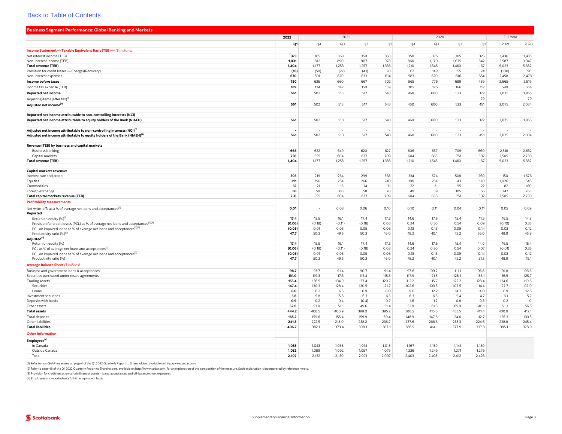<span id="page-12-0"></span>

| <b>Business Segment Performance: Global Banking and Markets</b>                               |             |                          |            |               |            |             |            |            |             |            |            |
|-----------------------------------------------------------------------------------------------|-------------|--------------------------|------------|---------------|------------|-------------|------------|------------|-------------|------------|------------|
|                                                                                               | 2022        |                          | 2021       |               |            |             | 2020       |            |             | Full Year  |            |
|                                                                                               | Q1          | Q4                       | Q3         | Q2            | Q1         | Q4          | Q3         | Q2         | Q1          | 2021       | 2020       |
| Income Statement - Taxable Equivalent Basis (TEB) - (\$ millions)                             |             |                          |            |               |            |             |            |            |             |            |            |
| Net interest income (TEB)                                                                     | 373         | 365                      | 363        | 350           | 358        | 350         | 375        | 385        | 325         | 1,436      | 1,435      |
| Non-interest income (TEB)                                                                     | 1,031       | 812                      | 890        | 907           | 978        | 860         | 1,170      | 1,075      | 842         | 3,587      | 3,947      |
| <b>Total revenue (TEB)</b>                                                                    | 1,404       | 1,177                    | 1,253      | 1,257         | 1,336      | 1,210       | 1,545      | 1,460      | 1,167       | 5,023      | 5,382      |
| Provision for credit losses - Charge/(Recovery)                                               | (16)        | (50)                     | (27)       | (43)          | 20         | 62          | 149        | 155        | 24          | (100)      | 390        |
| Non-interest expenses                                                                         | 670         | 591                      | 620        | 633           | 614        | 583         | 620        | 616        | 654         | 2,458      | 2,473      |
| Income before taxes                                                                           | 750         | 636                      | 660        | 667           | 702        | 565         | 776        | 689        | 489         | 2,665      | 2,519      |
| Income tax expense (TEB)                                                                      | 189         | 134                      | 147        | 150           | 159        | 105         | 176        | 166        | 117         | 590        | 564        |
| Reported net income                                                                           | 561         | 502                      | 513        | 517           | 543        | 460         | 600        | 523        | 372         | 2,075      | 1,955      |
| Adjusting items (after tax) <sup>(1)</sup>                                                    |             |                          |            |               |            |             |            |            | 79          |            | 79         |
| Adjusted net income <sup>(1</sup>                                                             | 561         | 502                      | 513        | 517           | 543        | 460         | 600        | 523        | 451         | 2,075      | 2,034      |
|                                                                                               |             |                          |            |               |            |             |            |            |             |            |            |
| Reported net income attributable to non-controlling interests (NCI)                           |             |                          |            |               |            |             |            |            |             |            |            |
| Reported net income attributable to equity holders of the Bank (NIAEH)                        | 561         | 502                      | 513        | 517           | 543        | 460         | 600        | 523        | 372         | 2,075      | 1,955      |
|                                                                                               |             |                          |            |               |            |             |            |            |             |            |            |
| Adjusted net income attributable to non-controlling interests (NCI) <sup>(1)</sup>            |             |                          |            |               |            |             |            |            |             |            |            |
| Adjusted net income attributable to equity holders of the Bank (NIAEH) <sup>(1)</sup>         | 561         | 502                      | 513        | 517           | 543        | 460         | 600        | 523        | 451         | 2,075      | 2,034      |
|                                                                                               |             |                          |            |               |            |             |            |            |             |            |            |
| Revenue (TEB) by business and capital markets                                                 |             |                          |            |               |            |             |            |            |             |            |            |
| <b>Business banking</b>                                                                       | 668         | 622                      | 649        | 620           | 627        | 606         | 657        | 709        | 660         | 2,518      | 2,632      |
| Capital markets                                                                               | 736         | 555                      | 604        | 637           | 709        | 604         | 888        | 751        | 507         | 2,505      | 2,750      |
| <b>Total revenue (TEB)</b>                                                                    | 1,404       | 1,177                    | 1,253      | 1,257         | 1,336      | 1,210       | 1,545      | 1,460      | 1,167       | 5,023      | 5,382      |
|                                                                                               |             |                          |            |               |            |             |            |            |             |            |            |
| Capital markets revenue:                                                                      | 305         | 219                      | 264        | 299           | 368        | 334         | 574        | 508        | 260         | 1,150      | 1,676      |
| Interest rate and credit<br>Equities                                                          | 311         | 256                      | 264        | 266           | 240        | 199         | 234        | 43         | 170         | 1,026      | 646        |
| Commodities                                                                                   | 32          | 21                       | 16         | 14            | 31         | 22          | 21         | 95         | 22          | 82         | 160        |
| Foreign exchange                                                                              | 88          | 59                       | 60         | 58            | 70         | 49          | 59         | 105        | 55          | 247        | 268        |
| Total capital markets revenue (TEB)                                                           | 736         | 555                      | 604        | 637           | 709        | 604         | 888        | 751        | 507         | 2,505      | 2,750      |
| <b>Profitability Measurements</b>                                                             |             |                          |            |               |            |             |            |            |             |            |            |
|                                                                                               | 0.01        | $\overline{\phantom{a}}$ | 0.03       | 0.06          | 0.10       | 0.10        | 0.11       | 0.04       | 0.11        | 0.05       | 0.09       |
| Net write-offs as a % of average net loans and acceptances <sup>(2)</sup><br>Reported         |             |                          |            |               |            |             |            |            |             |            |            |
| Return on equity (%) <sup>(1)</sup>                                                           | 17.4        | 15.5                     | 16.1       | 17.4          | 17.3       | 14.6        | 17.5       | 15.4       | 11.5        | 16.5       | 14.8       |
| Provision for credit losses (PCL) as % of average net loans and acceptances <sup>(2)(3)</sup> | (0.06)      | (0.18)                   | (0.11)     | (0.18)        | 0.08       | 0.24        | 0.50       | 0.54       | 0.09        | (0.10)     | 0.35       |
| PCL on impaired loans as % of average net loans and acceptances <sup>(2)(3)</sup>             | (0.03)      | 0.01                     | 0.03       | 0.05          | 0.06       | 0.13        | 0.13       | 0.09       | 0.14        | 0.03       | 0.12       |
| Productivity ratio (%) <sup>(2)</sup>                                                         | 47.7        | 50.3                     | 49.5       | 50.3          | 46.0       | 48.2        | 40.1       | 42.2       | 56.0        | 48.9       | 45.9       |
| Adjusted <sup>(1)</sup>                                                                       |             |                          |            |               |            |             |            |            |             |            |            |
| Return on equity (%)                                                                          | 17.4        | 15.5                     | 16.1       | 17.4          | 17.3       | 14.6        | 17.5       | 15.4       | 14.0        | 16.5       | 15.4       |
| PCL as % of average net loans and acceptances <sup>(3)</sup>                                  | (0.06)      | (0.18)                   | (0.11)     | (0.18)        | 0.08       | 0.24        | 0.50       | 0.54       | 0.07        | (0.01)     | 0.35       |
| PCL on impaired loans as % of average net loans and acceptances <sup>13</sup>                 | (0.03)      | 0.01                     | 0.03       | 0.05          | 0.06       | 0.13        | 0.13       | 0.09       | 0.14        | 0.03       | 0.12       |
| Productivity ratio (%)                                                                        | 47.7        | 50.3                     | 49.5       | 50.3          | 46.0       | 48.2        | 40.1       | 42.2       | 51.5        | 48.9       | 45.1       |
| Average Balance Sheet (\$ billions)                                                           |             |                          |            |               |            |             |            |            |             |            |            |
| Business and government loans & acceptances                                                   | 98.7        | 93.7                     | 91.4       | 90.7          | 91.4       | 97.6        | 109.2      | 111.1      | 96.8        | 91.8       | 103.6      |
| Securities purchased under resale agreements                                                  | 131.0       | 119.3                    | 117.3      | 115.4         | 115.5      | 117.9       | 121.5      | 128.1      | 135.1       | 116.9      | 125.7      |
| <b>Trading Assets</b>                                                                         | 155.4       | 136.5                    | 134.9      | 137.4         | 129.7      | 112.2       | 115.7      | 122.2      | 128.4       | 134.6      | 119.6      |
| Securities                                                                                    | 147.4       | 130.3                    | 128.4      | 130.5         | 121.7      | 102.6       | 103.5      | 107.5      | 114.4       | 127.7      | 107.0      |
| Loans                                                                                         | 8.0         | 6.2                      | 6.5        | 6.9           | 8.0        | 9.6         | 12.2       | 14.7       | 14.0<br>4.7 | 6.9        | 12.6       |
| Investment securities                                                                         | 5.6         | 5.8                      | 5.8<br>0.4 | 6.3           | 6.5<br>0.7 | 6.3         | 6.5<br>1.2 | 5.4<br>0.8 | 0.3         | 6.1<br>0.2 | 5.7<br>1.0 |
| Deposits with banks<br>Other assets                                                           | 0.9<br>52.6 | 0.2<br>53.0              | 51.1       | (0.4)<br>49.6 | 51.4       | 1.6<br>52.9 | 61.5       | 65.9       | 46.1        | 51.3       | 56.5       |
| <b>Total assets</b>                                                                           | 444.2       | 408.5                    | 400.9      | 399.0         | 395.2      | 388.5       | 415.6      | 433.5      | 411.4       | 400.9      | 412.1      |
| Total deposits                                                                                | 165.2       | 159.6                    | 155.4      | 159.9         | 150.4      | 148.9       | 147.8      | 124.6      | 112.7       | 156.3      | 133.5      |
| Other liabilities                                                                             | 241.5       | 222.5                    | 218.0      | 238.2         | 236.7      | 237.6       | 266.3      | 253.3      | 224.6       | 228.8      | 245.4      |
| <b>Total liabilities</b>                                                                      | 406.7       | 382.1                    | 373.4      | 398.1         | 387.1      | 386.5       | 414.1      | 377.9      | 337.3       | 385.1      | 378.9      |
|                                                                                               |             |                          |            |               |            |             |            |            |             |            |            |
| <b>Other Information</b>                                                                      |             |                          |            |               |            |             |            |            |             |            |            |
| Employees <sup>(4)</sup>                                                                      |             |                          |            |               |            |             |            |            |             |            |            |
| In Canada                                                                                     | 1,055       | 1,043                    | 1,038      | 1,014         | 1,018      | 1,167       | 1,159      | 1,141      | 1,150       |            |            |
| Outside Canada                                                                                | 1,052       | 1,089                    | 1,092      | 1,057         | 1,079      | 1,236       | 1,249      | 1,271      | 1,276       |            |            |
| Total                                                                                         | 2,107       | 2,132                    | 2,130      | 2,071         | 2,097      | 2,403       | 2,408      | 2,412      | 2,426       |            |            |

(1) Refer to non-GAAP measures on page 4 of the Q1 2022 Quarterly Report to Shareholders, available on [http://www.sedar.com.](http://www.sedar.com)

(2) Refer to page 48 of the Q1 2022 Quarterly Report to Shareholders, available on <http://www.sedar.com>, for an explanation of the composition of the measure. Such explanation is incorporated by reference hereto.

(3) Provision for credit losses on certain financial assets - loans, acceptances and off-balance sheet exposures.

(4) Employees are reported on a full-time equivalent basis.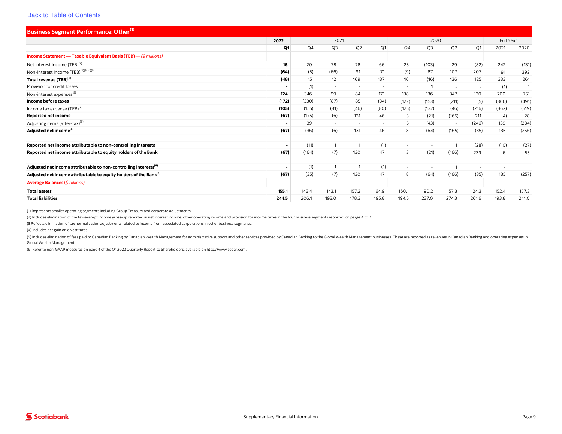<span id="page-13-0"></span>

| <b>Business Segment Performance: Other</b> <sup>(1)</sup>                     |                          |       |        |                          |                          |                          |        |                          |                |                |              |
|-------------------------------------------------------------------------------|--------------------------|-------|--------|--------------------------|--------------------------|--------------------------|--------|--------------------------|----------------|----------------|--------------|
|                                                                               | 2022                     |       | 2021   |                          |                          |                          | 2020   |                          |                | Full Year      |              |
|                                                                               | Q1                       | Q4    | Q3     | Q2                       | Q1                       | Q4                       | Q3     | Q2                       | Q1             | 2021           | 2020         |
| Income Statement - Taxable Equivalent Basis (TEB) - (\$ millions)             |                          |       |        |                          |                          |                          |        |                          |                |                |              |
| Net interest income (TEB) <sup>(2)</sup>                                      | 16                       | 20    | 78     | 78                       | 66                       | 25                       | (103)  | 29                       | (82)           | 242            | (131)        |
| Non-interest income (TEB) <sup>(2)(3)(4)(5)</sup>                             | (64)                     | (5)   | (66)   | 91                       | 71                       | (9)                      | 87     | 107                      | 207            | 91             | 392          |
| Total revenue (TEB) <sup>(2)</sup>                                            | (48)                     | 15    | 12     | 169                      | 137                      | 16                       | (16)   | 136                      | 125            | 333            | 261          |
| Provision for credit losses                                                   | $\blacksquare$           | (1)   | $\sim$ | $\overline{\phantom{a}}$ | $\overline{\phantom{a}}$ | $\sim$                   |        | $\overline{\phantom{a}}$ | $\overline{a}$ | (1)            | $\mathbf{1}$ |
| Non-interest expenses <sup>(5)</sup>                                          | 124                      | 346   | 99     | 84                       | 171                      | 138                      | 136    | 347                      | 130            | 700            | 751          |
| Income before taxes                                                           | (172)                    | (330) | (87)   | 85                       | (34)                     | (122)                    | (153)  | (211)                    | (5)            | (366)          | (491)        |
| Income tax expense $(TEB)^{(2)}$                                              | (105)                    | (155) | (81)   | (46)                     | (80)                     | (125)                    | (132)  | (46)                     | (216)          | (362)          | (519)        |
| Reported net income                                                           | (67)                     | (175) | (6)    | 131                      | 46                       | 3                        | (21)   | (165)                    | 211            | (4)            | 28           |
| Adjusting items (after-tax) <sup>(6)</sup>                                    | $\blacksquare$           | 139   | $\sim$ | $\overline{\phantom{a}}$ | $\overline{\phantom{a}}$ | 5                        | (43)   | $\sim$                   | (246)          | 139            | (284)        |
| Adjusted net income <sup>(6)</sup>                                            | (67)                     | (36)  | (6)    | 131                      | 46                       | 8                        | (64)   | (165)                    | (35)           | 135            | (256)        |
|                                                                               |                          |       |        |                          |                          |                          |        |                          |                |                |              |
| Reported net income attributable to non-controlling interests                 | $\sim$                   | (11)  |        | $\overline{1}$           | (1)                      | $\sim$                   | $\sim$ |                          | (28)           | (10)           | (27)         |
| Reported net income attributable to equity holders of the Bank                | (67)                     | (164) | (7)    | 130                      | 47                       | 3                        | (21)   | (166)                    | 239            | 6              | 55           |
|                                                                               |                          |       |        |                          |                          |                          |        |                          |                |                |              |
| Adjusted net income attributable to non-controlling interests <sup>(6)</sup>  | $\overline{\phantom{0}}$ | (1)   |        |                          | (1)                      | $\overline{\phantom{a}}$ |        |                          | $\overline{a}$ | $\overline{a}$ |              |
| Adjusted net income attributable to equity holders of the Bank <sup>(6)</sup> | (67)                     | (35)  | (7)    | 130                      | 47                       | 8                        | (64)   | (166)                    | (35)           | 135            | (257)        |
| Average Balances (\$ billions)                                                |                          |       |        |                          |                          |                          |        |                          |                |                |              |
| <b>Total assets</b>                                                           | 155.1                    | 143.4 | 143.1  | 157.2                    | 164.9                    | 160.1                    | 190.2  | 157.3                    | 124.3          | 152.4          | 157.3        |
| <b>Total liabilities</b>                                                      | 244.5                    | 206.1 | 193.0  | 178.3                    | 195.8                    | 194.5                    | 237.0  | 274.3                    | 261.6          | 193.8          | 241.0        |

(1) Represents smaller operating segments including Group Treasury and corporate adjustments.

(2) Includes elimination of the tax-exempt income gross-up reported in net interest income, other operating income and provision for income taxes in the four business segments reported on pages 4 to 7.

(3 Reflects elimination of tax normalization adjustments related to income from associated corporations in other business segments.

(4) Includes net gain on divestitures.

(5) Includes elimination of fees paid to Canadian Banking by Canadian Wealth Management for administrative support and other services provided by Canadian Banking to the Global Wealth Management businesses. These are repor Global Wealth Management.

(6) Refer to non-GAAP measures on page 4 of the Q1 2022 Quarterly Report to Shareholders, available on<http://www.sedar.com>.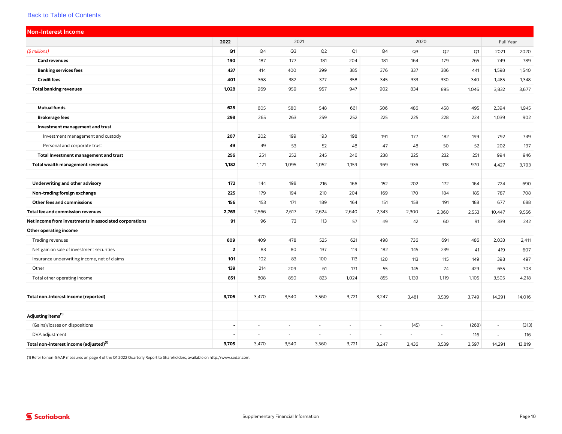<span id="page-14-0"></span>

| <b>Non-Interest Income</b>                             |                |                          |        |        |                |        |        |          |                |           |        |
|--------------------------------------------------------|----------------|--------------------------|--------|--------|----------------|--------|--------|----------|----------------|-----------|--------|
|                                                        | 2022           |                          | 2021   |        |                |        | 2020   |          |                | Full Year |        |
| $($$ millions)                                         | Q1             | Q4                       | Q3     | Q2     | Q <sub>1</sub> | Q4     | Q3     | Q2       | Q <sub>1</sub> | 2021      | 2020   |
| <b>Card revenues</b>                                   | 190            | 187                      | 177    | 181    | 204            | 181    | 164    | 179      | 265            | 749       | 789    |
| <b>Banking services fees</b>                           | 437            | 414                      | 400    | 399    | 385            | 376    | 337    | 386      | 441            | 1,598     | 1,540  |
| <b>Credit fees</b>                                     | 401            | 368                      | 382    | 377    | 358            | 345    | 333    | 330      | 340            | 1,485     | 1,348  |
| <b>Total banking revenues</b>                          | 1,028          | 969                      | 959    | 957    | 947            | 902    | 834    | 895      | 1,046          | 3,832     | 3,677  |
|                                                        |                |                          |        |        |                |        |        |          |                |           |        |
| <b>Mutual funds</b>                                    | 628            | 605                      | 580    | 548    | 661            | 506    | 486    | 458      | 495            | 2,394     | 1,945  |
| <b>Brokerage fees</b>                                  | 298            | 265                      | 263    | 259    | 252            | 225    | 225    | 228      | 224            | 1,039     | 902    |
| Investment management and trust                        |                |                          |        |        |                |        |        |          |                |           |        |
| Investment management and custody                      | 207            | 202                      | 199    | 193    | 198            | 191    | 177    | 182      | 199            | 792       | 749    |
| Personal and corporate trust                           | 49             | 49                       | 53     | 52     | 48             | 47     | 48     | 50       | 52             | 202       | 197    |
| Total Investment management and trust                  | 256            | 251                      | 252    | 245    | 246            | 238    | 225    | 232      | 251            | 994       | 946    |
| Total wealth management revenues                       | 1,182          | 1,121                    | 1,095  | 1,052  | 1,159          | 969    | 936    | 918      | 970            | 4,427     | 3,793  |
|                                                        |                |                          |        |        |                |        |        |          |                |           |        |
| Underwriting and other advisory                        | 172            | 144                      | 198    | 216    | 166            | 152    | 202    | 172      | 164            | 724       | 690    |
| Non-trading foreign exchange                           | 225            | 179                      | 194    | 210    | 204            | 169    | 170    | 184      | 185            | 787       | 708    |
| Other fees and commissions                             | 156            | 153                      | 171    | 189    | 164            | 151    | 158    | 191      | 188            | 677       | 688    |
| <b>Total fee and commission revenues</b>               | 2,763          | 2,566                    | 2,617  | 2,624  | 2,640          | 2,343  | 2,300  | 2,360    | 2,553          | 10,447    | 9,556  |
| Net income from investments in associated corporations | 91             | 96                       | 73     | 113    | 57             | 49     | 42     | 60       | 91             | 339       | 242    |
| Other operating income                                 |                |                          |        |        |                |        |        |          |                |           |        |
| Trading revenues                                       | 609            | 409                      | 478    | 525    | 621            | 498    | 736    | 691      | 486            | 2,033     | 2,411  |
| Net gain on sale of investment securities              | $\overline{2}$ | 83                       | 80     | 137    | 119            | 182    | 145    | 239      | 41             | 419       | 607    |
| Insurance underwriting income, net of claims           | 101            | 102                      | 83     | 100    | 113            | 120    | 113    | 115      | 149            | 398       | 497    |
| Other                                                  | 139            | 214                      | 209    | 61     | 171            | 55     | 145    | 74       | 429            | 655       | 703    |
| Total other operating income                           | 851            | 808                      | 850    | 823    | 1,024          | 855    | 1,139  | 1,119    | 1,105          | 3,505     | 4,218  |
|                                                        |                |                          |        |        |                |        |        |          |                |           |        |
| Total non-interest income (reported)                   | 3,705          | 3,470                    | 3,540  | 3,560  | 3,721          | 3,247  | 3,481  | 3,539    | 3,749          | 14,291    | 14,016 |
|                                                        |                |                          |        |        |                |        |        |          |                |           |        |
| Adjusting items <sup>(1)</sup>                         |                |                          |        |        |                |        |        |          |                |           |        |
| (Gains)/losses on dispositions                         | $\blacksquare$ | ÷                        | $\sim$ | $\sim$ | $\sim$         | $\sim$ | (45)   | $\omega$ | (268)          | $\omega$  | (313)  |
| DVA adjustment                                         | ٠              | $\overline{\phantom{a}}$ | $\sim$ | $\sim$ | $\sim$         | $\sim$ | $\sim$ | $\omega$ | 116            | $\omega$  | 116    |
| Total non-interest income (adjusted) <sup>(1)</sup>    | 3,705          | 3,470                    | 3,540  | 3,560  | 3,721          | 3,247  | 3,436  | 3,539    | 3,597          | 14,291    | 13,819 |

(1) Refer to non-GAAP measures on page 4 of the Q1 2022 Quarterly Report to Shareholders, available on <http://www.sedar.com>.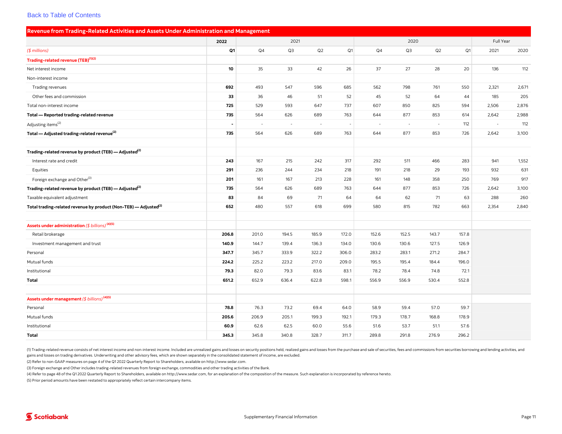<span id="page-15-0"></span>

| Revenue from Trading-Related Activities and Assets Under Administration and Management |                |        |        |        |       |       |        |        |                |           |       |
|----------------------------------------------------------------------------------------|----------------|--------|--------|--------|-------|-------|--------|--------|----------------|-----------|-------|
|                                                                                        | 2022           |        | 2021   |        |       |       | 2020   |        |                | Full Year |       |
| $($$ millions)                                                                         | Q1             | Q4     | Q3     | Q2     | Q1    | Q4    | Q3     | Q2     | Q <sub>1</sub> | 2021      | 2020  |
| Trading-related revenue (TEB) <sup>(1)(2)</sup>                                        |                |        |        |        |       |       |        |        |                |           |       |
| Net interest income                                                                    | 10             | 35     | 33     | 42     | 26    | 37    | 27     | 28     | 20             | 136       | 112   |
| Non-interest income                                                                    |                |        |        |        |       |       |        |        |                |           |       |
| Trading revenues                                                                       | 692            | 493    | 547    | 596    | 685   | 562   | 798    | 761    | 550            | 2,321     | 2,671 |
| Other fees and commission                                                              | 33             | 36     | 46     | 51     | 52    | 45    | 52     | 64     | 44             | 185       | 205   |
| Total non-interest income                                                              | 725            | 529    | 593    | 647    | 737   | 607   | 850    | 825    | 594            | 2,506     | 2,876 |
| Total - Reported trading-related revenue                                               | 735            | 564    | 626    | 689    | 763   | 644   | 877    | 853    | 614            | 2,642     | 2,988 |
| Adjusting items <sup>(2)</sup>                                                         | $\overline{a}$ | $\sim$ | $\sim$ | $\sim$ |       | ÷.    | $\sim$ | $\sim$ | 112            | $\sim$    | 112   |
| Total — Adjusted trading-related revenue <sup>(2)</sup>                                | 735            | 564    | 626    | 689    | 763   | 644   | 877    | 853    | 726            | 2,642     | 3,100 |
|                                                                                        |                |        |        |        |       |       |        |        |                |           |       |
| Trading-related revenue by product (TEB) — Adjusted <sup>(2)</sup>                     |                |        |        |        |       |       |        |        |                |           |       |
| Interest rate and credit                                                               | 243            | 167    | 215    | 242    | 317   | 292   | 511    | 466    | 283            | 941       | 1,552 |
| Equities                                                                               | 291            | 236    | 244    | 234    | 218   | 191   | 218    | 29     | 193            | 932       | 631   |
| Foreign exchange and Other <sup>(3)</sup>                                              | 201            | 161    | 167    | 213    | 228   | 161   | 148    | 358    | 250            | 769       | 917   |
| Trading-related revenue by product (TEB) - Adjusted <sup>(2)</sup>                     | 735            | 564    | 626    | 689    | 763   | 644   | 877    | 853    | 726            | 2,642     | 3,100 |
| Taxable equivalent adjustment                                                          | 83             | 84     | 69     | 71     | 64    | 64    | 62     | 71     | 63             | 288       | 260   |
| Total trading-related revenue by product (Non-TEB) - Adjusted <sup>(2)</sup>           | 652            | 480    | 557    | 618    | 699   | 580   | 815    | 782    | 663            | 2,354     | 2,840 |
|                                                                                        |                |        |        |        |       |       |        |        |                |           |       |
| Assets under administration (\$ billions) <sup>(4)(5)</sup>                            |                |        |        |        |       |       |        |        |                |           |       |
| Retail brokerage                                                                       | 206.8          | 201.0  | 194.5  | 185.9  | 172.0 | 152.6 | 152.5  | 143.7  | 157.8          |           |       |
| Investment management and trust                                                        | 140.9          | 144.7  | 139.4  | 136.3  | 134.0 | 130.6 | 130.6  | 127.5  | 126.9          |           |       |
| Personal                                                                               | 347.7          | 345.7  | 333.9  | 322.2  | 306.0 | 283.2 | 283.1  | 271.2  | 284.7          |           |       |
| Mutual funds                                                                           | 224.2          | 225.2  | 223.2  | 217.0  | 209.0 | 195.5 | 195.4  | 184.4  | 196.0          |           |       |
| Institutional                                                                          | 79.3           | 82.0   | 79.3   | 83.6   | 83.1  | 78.2  | 78.4   | 74.8   | 72.1           |           |       |
| Total                                                                                  | 651.2          | 652.9  | 636.4  | 622.8  | 598.1 | 556.9 | 556.9  | 530.4  | 552.8          |           |       |
|                                                                                        |                |        |        |        |       |       |        |        |                |           |       |
| Assets under management (\$ billions) <sup>(4)(5)</sup>                                |                |        |        |        |       |       |        |        |                |           |       |
| Personal                                                                               | 78.8           | 76.3   | 73.2   | 69.4   | 64.0  | 58.9  | 59.4   | 57.0   | 59.7           |           |       |
| Mutual funds                                                                           | 205.6          | 206.9  | 205.1  | 199.3  | 192.1 | 179.3 | 178.7  | 168.8  | 178.9          |           |       |
| Institutional                                                                          | 60.9           | 62.6   | 62.5   | 60.0   | 55.6  | 51.6  | 53.7   | 51.1   | 57.6           |           |       |
| <b>Total</b>                                                                           | 345.3          | 345.8  | 340.8  | 328.7  | 311.7 | 289.8 | 291.8  | 276.9  | 296.2          |           |       |

(1) Trading-related revenue consists of net interest income and non-interest income. Included are unrealized gains and losses on security positions held, realized gains and losses from the purchase and sale of securities, gains and losses on trading derivatives. Underwriting and other advisory fees, which are shown separately in the consolidated statement of income, are excluded.

(2) Refer to non-GAAP measures on page 4 of the Q1 2022 Quarterly Report to Shareholders, available on [http://www.sedar.com.](http://www.sedar.com)

(3) Foreign exchange and Other includes trading-related revenues from foreign exchange, commodities and other trading activities of the Bank.

(4) Refer to page 48 of the Q1 2022 Quarterly Report to Shareholders, available on<http://www.sedar.com>, for an explanation of the composition of the measure. Such explanation is incorporated by reference hereto.

(5) Prior period amounts have been restated to appropriately reflect certain intercompany items.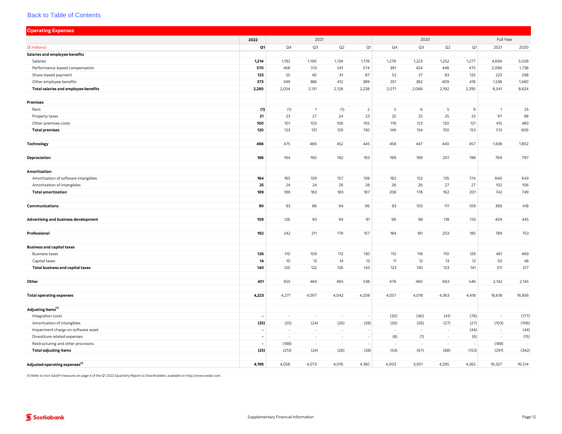<span id="page-16-0"></span>

| <b>Operating Expenses</b>                  |                          |        |                          |                          |                          |       |        |        |       |              |        |
|--------------------------------------------|--------------------------|--------|--------------------------|--------------------------|--------------------------|-------|--------|--------|-------|--------------|--------|
|                                            | 2022                     |        | 2021                     |                          |                          |       | 2020   |        |       | Full Year    |        |
| (\$ millions)                              | Q1                       | Q4     | Q3                       | Q2                       | Q1                       | Q4    | Q3     | Q2     | Q1    | 2021         | 2020   |
| Salaries and employee benefits             |                          |        |                          |                          |                          |       |        |        |       |              |        |
| Salaries                                   | 1,214                    | 1,192  | 1,190                    | 1,134                    | 1,178                    | 1,276 | 1,223  | 1,252  | 1,277 | 4,694        | 5,028  |
| Performance-based compensation             | 570                      | 458    | 513                      | 541                      | 574                      | 391   | 424    | 448    | 475   | 2,086        | 1,738  |
| Share-based payment                        | 123                      | 55     | 40                       | 41                       | 87                       | 53    | 37     | 83     | 125   | 223          | 298    |
| Other employee benefits                    | 373                      | 349    | 388                      | 412                      | 389                      | 351   | 382    | 409    | 418   | 1,538        | 1,560  |
| Total salaries and employee benefits       | 2,280                    | 2,054  | 2,131                    | 2,128                    | 2,228                    | 2,071 | 2,066  | 2,192  | 2,295 | 8,541        | 8,624  |
|                                            |                          |        |                          |                          |                          |       |        |        |       |              |        |
| <b>Premises</b>                            |                          |        |                          |                          |                          |       |        |        |       |              |        |
| Rent                                       | (1)                      | (1)    | $\overline{1}$           | (1)                      | $\overline{2}$           | 5     | 6      | 5      | 9     | $\mathbf{1}$ | 25     |
| Property taxes                             | $21$                     | 23     | 27                       | 24                       | 23                       | 25    | 25     | 25     | 23    | 97           | 98     |
| Other premises costs                       | 100                      | 101    | 103                      | 106                      | 105                      | 119   | 123    | 120    | 121   | 415          | 483    |
| <b>Total premises</b>                      | 120                      | 123    | 131                      | 129                      | 130                      | 149   | 154    | 150    | 153   | 513          | 606    |
|                                            |                          |        |                          |                          |                          |       |        |        |       |              |        |
| <b>Technology</b>                          | 466                      | 475    | 466                      | 452                      | 445                      | 458   | 447    | 440    | 457   | 1,838        | 1,802  |
|                                            |                          |        |                          |                          |                          |       |        |        |       |              |        |
| Depreciation                               | 186                      | 194    | 190                      | 192                      | 193                      | 199   | 199    | 201    | 198   | 769          | 797    |
|                                            |                          |        |                          |                          |                          |       |        |        |       |              |        |
| Amortization                               |                          |        |                          |                          |                          |       |        |        |       |              |        |
| Amortization of software intangibles       | 164                      | 165    | 159                      | 157                      | 159                      | 182   | 152    | 135    | 174   | 640          | 643    |
| Amortization of intangibles                | 25                       | 24     | 24                       | 26                       | 28                       | 26    | 26     | 27     | 27    | 102          | 106    |
| <b>Total amortization</b>                  | 189                      | 189    | 183                      | 183                      | 187                      | 208   | 178    | 162    | 201   | 742          | 749    |
|                                            |                          |        |                          |                          |                          |       |        |        |       |              |        |
| Communications                             | 90                       | 93     | 86                       | 94                       | 96                       | 93    | 105    | 111    | 109   | 369          | 418    |
|                                            |                          |        |                          |                          |                          |       |        |        |       |              |        |
| Advertising and business development       | 109                      | 126    | 93                       | 94                       | 91                       | 96    | 98     | 118    | 133   | 404          | 445    |
|                                            |                          |        |                          |                          |                          |       |        |        |       |              |        |
| Professional                               | 192                      | 242    | 211                      | 179                      | 157                      | 184   | 181    | 203    | 185   | 789          | 753    |
| <b>Business and capital taxes</b>          |                          |        |                          |                          |                          |       |        |        |       |              |        |
| <b>Business taxes</b>                      | 126                      | 110    | 109                      | 112                      | 130                      | 112   | 118    | 110    | 129   | 461          | 469    |
| Capital taxes                              | 14                       | $10$   | 13                       | 14                       | 13                       | 11    | 12     | 13     | 12    | 50           | 48     |
| Total business and capital taxes           | 140                      | 120    | 122                      | 126                      | 143                      | 123   | 130    | 123    | 141   | 511          | 517    |
|                                            |                          |        |                          |                          |                          |       |        |        |       |              |        |
| Other                                      | 451                      | 655    | 484                      | 465                      | 538                      | 476   | 460    | 663    | 546   | 2,142        | 2,145  |
|                                            |                          |        |                          |                          |                          |       |        |        |       |              |        |
| <b>Total operating expenses</b>            | 4,223                    | 4,271  | 4,097                    | 4,042                    | 4,208                    | 4,057 | 4,018  | 4,363  | 4,418 | 16,618       | 16,856 |
|                                            |                          |        |                          |                          |                          |       |        |        |       |              |        |
| Adjusting items <sup>(1)</sup>             |                          |        |                          |                          |                          |       |        |        |       |              |        |
| Integration costs                          |                          | ٠      | $\overline{\phantom{a}}$ | $\sim$                   |                          | (20)  | (40)   | (41)   | (76)  | $\sim$       | (177)  |
| Amortization of intangibles                | (25)                     | (25)   | (24)                     | (26)                     | (28)                     | (26)  | (26)   | (27)   | (27)  | (103)        | (106)  |
| Impairment charge on software asset        |                          | $\sim$ | $\overline{\phantom{a}}$ | $\sim$                   |                          |       | $\sim$ | $\sim$ | (44)  | $\sim$       | (44)   |
| Divestiture related expenses               | $\overline{\phantom{a}}$ | $\sim$ | $\sim$                   | $\overline{\phantom{a}}$ | $\overline{\phantom{a}}$ | (8)   | (1)    | $\sim$ | (6)   | $\sim$       | (15)   |
| Restructuring and other provisions         | $\blacksquare$           | (188)  | $\sim$                   | $\sim$                   |                          |       | $\sim$ | $\sim$ |       | (188)        |        |
| <b>Total adjusting items</b>               | (25)                     | (213)  | (24)                     | (26)                     | (28)                     | (54)  | (67)   | (68)   | (153) | (291)        | (342)  |
|                                            |                          |        |                          |                          |                          |       |        |        |       |              |        |
| Adjusted operating expenses <sup>(1)</sup> | 4,198                    | 4,058  | 4,073                    | 4,016                    | 4,180                    | 4,003 | 3,951  | 4,295  | 4,265 | 16,327       | 16,514 |

(1) Refer to non-GAAP measures on page 4 of the Q1 2022 Quarterly Report to Shareholders, available on [http://www.sedar.com.](http://www.sedar.com)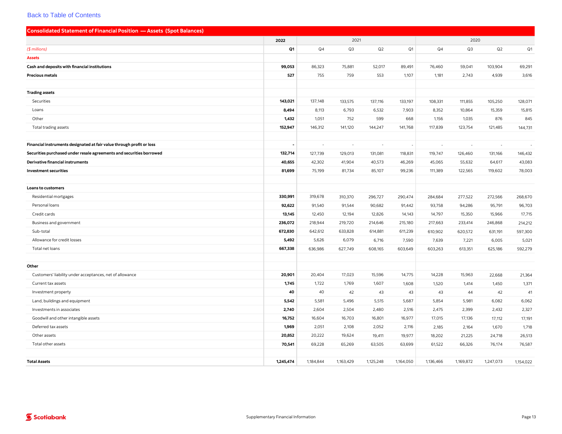<span id="page-17-0"></span>

| <b>Consolidated Statement of Financial Position - Assets (Spot Balances)</b> |           |                |           |                          |           |                |           |           |                |
|------------------------------------------------------------------------------|-----------|----------------|-----------|--------------------------|-----------|----------------|-----------|-----------|----------------|
|                                                                              | 2022      |                | 2021      |                          |           |                | 2020      |           |                |
| $($$ millions)                                                               | Q1        | Q <sub>4</sub> | Q3        | Q2                       | Q1        | Q <sub>4</sub> | Q3        | Q2        | Q <sub>1</sub> |
| <b>Assets</b>                                                                |           |                |           |                          |           |                |           |           |                |
| Cash and deposits with financial institutions                                | 99,053    | 86,323         | 75,881    | 52,017                   | 89,491    | 76,460         | 59,041    | 103,904   | 69,291         |
| <b>Precious metals</b>                                                       | 527       | 755            | 759       | 553                      | 1,107     | 1,181          | 2,743     | 4,939     | 3,616          |
|                                                                              |           |                |           |                          |           |                |           |           |                |
| <b>Trading assets</b>                                                        |           |                |           |                          |           |                |           |           |                |
| Securities                                                                   | 143,021   | 137,148        | 133,575   | 137,116                  | 133,197   | 108,331        | 111,855   | 105,250   | 128,071        |
| Loans                                                                        | 8,494     | 8,113          | 6,793     | 6,532                    | 7,903     | 8,352          | 10,864    | 15,359    | 15,815         |
| Other                                                                        | 1,432     | 1,051          | 752       | 599                      | 668       | 1,156          | 1,035     | 876       | 845            |
| Total trading assets                                                         | 152,947   | 146,312        | 141,120   | 144,247                  | 141,768   | 117,839        | 123,754   | 121,485   | 144,731        |
|                                                                              |           |                |           |                          |           |                |           |           |                |
| Financial instruments designated at fair value through profit or loss        |           | $\sim$         | $\sim$    | $\overline{\phantom{a}}$ |           | ä,             | $\sim$    | $\sim$    | $\sim$         |
| Securities purchased under resale agreements and securities borrowed         | 132,714   | 127,739        | 129,013   | 131,081                  | 118,831   | 119,747        | 126,460   | 131,166   | 146,432        |
| Derivative financial instruments                                             | 40,655    | 42,302         | 41,904    | 40,573                   | 46,269    | 45,065         | 55,632    | 64,617    | 43,083         |
| <b>Investment securities</b>                                                 | 81,699    | 75,199         | 81,734    | 85,107                   | 99,236    | 111,389        | 122,565   | 119,602   | 78,003         |
|                                                                              |           |                |           |                          |           |                |           |           |                |
| <b>Loans to customers</b>                                                    |           |                |           |                          |           |                |           |           |                |
| Residential mortgages                                                        | 330,991   | 319,678        | 310,370   | 296,727                  | 290,474   | 284,684        | 277,522   | 272,566   | 268,670        |
| Personal loans                                                               | 92,622    | 91,540         | 91,544    | 90,682                   | 91,442    | 93,758         | 94,286    | 95,791    | 96,703         |
| Credit cards                                                                 | 13,145    | 12,450         | 12,194    | 12,826                   | 14,143    | 14,797         | 15,350    | 15,966    | 17,715         |
| Business and government                                                      | 236,072   | 218,944        | 219,720   | 214,646                  | 215,180   | 217,663        | 233,414   | 246,868   | 214,212        |
| Sub-total                                                                    | 672,830   | 642,612        | 633,828   | 614,881                  | 611,239   | 610,902        | 620,572   | 631,191   | 597,300        |
| Allowance for credit losses                                                  | 5,492     | 5,626          | 6,079     | 6,716                    | 7,590     | 7,639          | 7,221     | 6,005     | 5,021          |
| Total net loans                                                              | 667,338   | 636,986        | 627,749   | 608,165                  | 603,649   | 603,263        | 613,351   | 625,186   | 592,279        |
|                                                                              |           |                |           |                          |           |                |           |           |                |
| Other                                                                        |           |                |           |                          |           |                |           |           |                |
| Customers' liability under acceptances, net of allowance                     | 20,901    | 20,404         | 17,023    | 15,596                   | 14,775    | 14,228         | 15,963    | 22,668    | 21,364         |
| Current tax assets                                                           | 1,745     | 1,722          | 1,769     | 1,607                    | 1,608     | 1,520          | 1,414     | 1,450     | 1,371          |
| Investment property                                                          | 40        | 40             | 42        | 43                       | 43        | 43             | 44        | 42        | 41             |
| Land, buildings and equipment                                                | 5,542     | 5,581          | 5,496     | 5,515                    | 5,687     | 5,854          | 5,981     | 6,082     | 6,062          |
| Investments in associates                                                    | 2,740     | 2,604          | 2,504     | 2,480                    | 2,516     | 2,475          | 2,399     | 2,432     | 2,327          |
| Goodwill and other intangible assets                                         | 16,752    | 16,604         | 16,703    | 16,801                   | 16,977    | 17,015         | 17,136    | 17,112    | 17,191         |
| Deferred tax assets                                                          | 1,969     | 2,051          | 2,108     | 2,052                    | 2,116     | 2,185          | 2,164     | 1,670     | 1,718          |
| Other assets                                                                 | 20,852    | 20,222         | 19,624    | 19,411                   | 19,977    | 18,202         | 21,225    | 24,718    | 26,513         |
| Total other assets                                                           | 70,541    | 69,228         | 65,269    | 63,505                   | 63,699    | 61,522         | 66,326    | 76,174    | 76,587         |
|                                                                              |           |                |           |                          |           |                |           |           |                |
| <b>Total Assets</b>                                                          | 1,245,474 | 1,184,844      | 1,163,429 | 1,125,248                | 1,164,050 | 1,136,466      | 1,169,872 | 1,247,073 | 1,154,022      |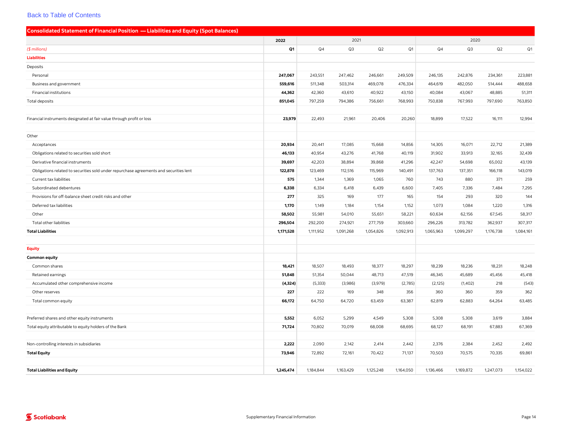<span id="page-18-0"></span>

| <b>Consolidated Statement of Financial Position - Liabilities and Equity (Spot Balances)</b> |           |           |           |           |                |                |           |           |           |
|----------------------------------------------------------------------------------------------|-----------|-----------|-----------|-----------|----------------|----------------|-----------|-----------|-----------|
|                                                                                              | 2022      |           | 2021      |           |                |                | 2020      |           |           |
| (\$ millions)                                                                                | Q1        | Q4        | Q3        | Q2        | Q <sub>1</sub> | Q <sub>4</sub> | Q3        | Q2        | Q1        |
| <b>Liabilities</b>                                                                           |           |           |           |           |                |                |           |           |           |
| Deposits                                                                                     |           |           |           |           |                |                |           |           |           |
| Personal                                                                                     | 247,067   | 243,551   | 247,462   | 246,661   | 249,509        | 246,135        | 242,876   | 234,361   | 223,881   |
| Business and government                                                                      | 559,616   | 511,348   | 503,314   | 469,078   | 476,334        | 464,619        | 482,050   | 514,444   | 488,658   |
| Financial institutions                                                                       | 44,362    | 42,360    | 43,610    | 40,922    | 43,150         | 40,084         | 43,067    | 48,885    | 51,311    |
| Total deposits                                                                               | 851,045   | 797,259   | 794,386   | 756,661   | 768,993        | 750,838        | 767,993   | 797,690   | 763,850   |
|                                                                                              |           |           |           |           |                |                |           |           |           |
| Financial instruments designated at fair value through profit or loss                        | 23,979    | 22,493    | 21,961    | 20,406    | 20,260         | 18,899         | 17,522    | 16,111    | 12,994    |
|                                                                                              |           |           |           |           |                |                |           |           |           |
| Other                                                                                        |           |           |           |           |                |                |           |           |           |
| Acceptances                                                                                  | 20,934    | 20,441    | 17,085    | 15,668    | 14,856         | 14,305         | 16,071    | 22,712    | 21,389    |
| Obligations related to securities sold short                                                 | 46,133    | 40,954    | 43,276    | 41,768    | 40,119         | 31,902         | 33,913    | 32,165    | 32,439    |
| Derivative financial instruments                                                             | 39,697    | 42,203    | 38,894    | 39,868    | 41,296         | 42,247         | 54,698    | 65,002    | 43,139    |
| Obligations related to securities sold under repurchase agreements and securities lent       | 122,878   | 123,469   | 112,516   | 115,969   | 140,491        | 137,763        | 137,351   | 166,118   | 143,019   |
| Current tax liabilities                                                                      | 575       | 1,344     | 1,369     | 1,065     | 760            | 743            | 880       | 371       | 259       |
| Subordinated debentures                                                                      | 6,338     | 6,334     | 6,418     | 6,439     | 6,600          | 7,405          | 7,336     | 7,484     | 7,295     |
| Provisions for off-balance sheet credit risks and other                                      | 277       | 325       | 169       | 177       | 165            | 154            | 293       | 320       | 144       |
| Deferred tax liabilities                                                                     | 1,170     | 1,149     | 1,184     | 1,154     | 1,152          | 1,073          | 1,084     | 1,220     | 1,316     |
| Other                                                                                        | 58,502    | 55,981    | 54,010    | 55,651    | 58,221         | 60,634         | 62,156    | 67,545    | 58,317    |
| Total other liabilities                                                                      | 296,504   | 292,200   | 274,921   | 277,759   | 303,660        | 296,226        | 313,782   | 362,937   | 307,317   |
| <b>Total Liabilities</b>                                                                     | 1,171,528 | 1,111,952 | 1,091,268 | 1,054,826 | 1,092,913      | 1,065,963      | 1,099,297 | 1,176,738 | 1,084,161 |
|                                                                                              |           |           |           |           |                |                |           |           |           |
| <b>Equity</b>                                                                                |           |           |           |           |                |                |           |           |           |
| <b>Common equity</b>                                                                         |           |           |           |           |                |                |           |           |           |
| Common shares                                                                                | 18,421    | 18,507    | 18,493    | 18,377    | 18,297         | 18,239         | 18,236    | 18,231    | 18,248    |
| Retained earnings                                                                            | 51,848    | 51,354    | 50,044    | 48,713    | 47,519         | 46,345         | 45,689    | 45,456    | 45,418    |
| Accumulated other comprehensive income                                                       | (4, 324)  | (5,333)   | (3,986)   | (3,979)   | (2,785)        | (2, 125)       | (1,402)   | 218       | (543)     |
| Other reserves                                                                               | 227       | 222       | 169       | 348       | 356            | 360            | 360       | 359       | 362       |
| Total common equity                                                                          | 66,172    | 64,750    | 64,720    | 63,459    | 63,387         | 62,819         | 62,883    | 64,264    | 63,485    |
|                                                                                              |           |           |           |           |                |                |           |           |           |
| Preferred shares and other equity instruments                                                | 5,552     | 6,052     | 5,299     | 4,549     | 5,308          | 5,308          | 5,308     | 3,619     | 3,884     |
| Total equity attributable to equity holders of the Bank                                      | 71,724    | 70,802    | 70,019    | 68,008    | 68,695         | 68,127         | 68,191    | 67,883    | 67,369    |
|                                                                                              |           |           |           |           |                |                |           |           |           |
| Non-controlling interests in subsidiaries                                                    | 2,222     | 2,090     | 2,142     | 2,414     | 2,442          | 2,376          | 2,384     | 2,452     | 2,492     |
| <b>Total Equity</b>                                                                          | 73,946    | 72,892    | 72,161    | 70,422    | 71,137         | 70,503         | 70,575    | 70,335    | 69,861    |
|                                                                                              |           |           |           |           |                |                |           |           |           |
| <b>Total Liabilities and Equity</b>                                                          | 1,245,474 | 1,184,844 | 1,163,429 | 1,125,248 | 1,164,050      | 1,136,466      | 1,169,872 | 1,247,073 | 1,154,022 |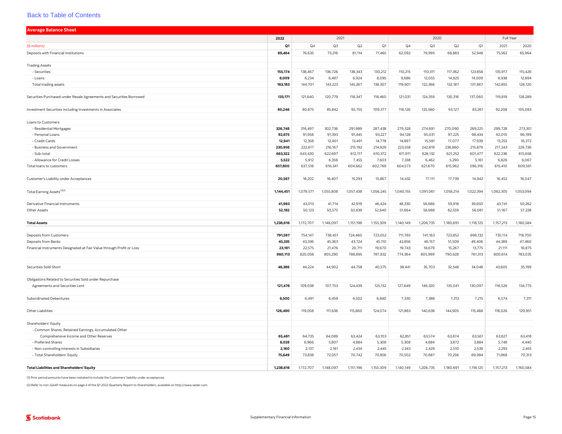<span id="page-19-0"></span>

| <b>Average Balance Sheet</b>                                                              |           |                |           |           |           |           |           |           |           |           |           |
|-------------------------------------------------------------------------------------------|-----------|----------------|-----------|-----------|-----------|-----------|-----------|-----------|-----------|-----------|-----------|
|                                                                                           | 2022      |                | 2021      |           |           |           | 2020      |           |           | Full Year |           |
| (\$ millions)                                                                             | Q1        | Q <sub>4</sub> | Q3        | Q2        | Q1        | Q4        | Q3        | Q2        | Q1        | 2021      | 2020      |
| Deposits with Financial Institutions                                                      | 89,484    | 76,635         | 73,216    | 81,114    | 71,465    | 62,092    | 79,995    | 68,883    | 52,948    | 75,562    | 65,964    |
| <b>Trading Assets</b>                                                                     |           |                |           |           |           |           |           |           |           |           |           |
| - Securities                                                                              | 155,174   | 138,467        | 136,726   | 138,343   | 130,212   | 110,215   | 110,311   | 117,362   | 123,858   | 135,917   | 115,426   |
| - Loans                                                                                   | 8,009     | 6,234          | 6,497     | 6,924     | 8,095     | 9,686     | 12,055    | 14,825    | 14,009    | 6,938     | 12,694    |
| Total trading assets                                                                      | 163,183   | 144,701        | 143,223   | 145,267   | 138,307   | 119,901   | 122,366   | 132,187   | 137,867   | 142,855   | 128,120   |
|                                                                                           |           |                |           |           |           |           |           |           |           |           |           |
| Securities Purchased under Resale Agreements and Securities Borrowed                      | 133,171   | 121,640        | 120,779   | 118,347   | 118,460   | 121,031   | 124,359   | 130,316   | 137,060   | 119,818   | 128,289   |
| Investment Securities including Investments in Associates                                 | 80,246    | 80,875         | 85,842    | 92,755    | 109,377   | 118,126   | 125.560   | 93,127    | 83,261    | 92,208    | 105,083   |
| Loans to Customers                                                                        |           |                |           |           |           |           |           |           |           |           |           |
| - Residential Mortgages                                                                   | 326,748   | 316,497        | 302,736   | 291,989   | 287,438   | 279,328   | 274,691   | 270,090   | 269,225   | 299,728   | 273,351   |
| - Personal Loans                                                                          | 92,675    | 91,958         | 91,393    | 91,445    | 93,227    | 94,128    | 95,031    | 97,225    | 98,434    | 92,010    | 96,199    |
| - Credit Cards                                                                            | 12,941    | 12,358         | 12,401    | 13,491    | 14,778    | 14,897    | 15,591    | 17,077    | 17,939    | 13,255    | 16,372    |
| - Business and Government                                                                 | 230,958   | 222,617        | 216,167   | 215,192   | 214,929   | 223,558   | 242,819   | 236,860   | 215,879   | 217,243   | 229,736   |
| - Sub-total                                                                               | 663,322   | 643,430        | 622,697   | 612,117   | 610,372   | 611,911   | 628,132   | 621,252   | 601,477   | 622,236   | 615,658   |
| - Allowance for Credit Losses                                                             | 5,522     | 5,912          | 6,356     | 7,455     | 7,603     | 7,338     | 6,462     | 5,290     | 5,161     | 6,826     | 6,067     |
| Total loans to customers                                                                  | 657,800   | 637,518        | 616,341   | 604,662   | 602,769   | 604,573   | 621,670   | 615,962   | 596,316   | 615,410   | 609,591   |
| Customer's Liability under Acceptances                                                    | 20,567    | 18,202         | 16,407    | 15,293    | 15,867    | 14,432    | 17,111    | 17,739    | 14,942    | 16,452    | 16,047    |
| Total Earning Assets <sup>(1)(2)</sup>                                                    | 1,144,451 | 1,079,571      | 1,055,808 | 1,057,438 | 1,056,245 | 1,040,155 | 1,091,061 | 1,058,214 | 1,022,394 | 1,062,305 | 1,053,094 |
|                                                                                           |           |                |           |           |           |           |           |           |           |           |           |
| Derivative Financial Instruments                                                          | 41,983    | 43,013         | 41,714    | 42,919    | 46,424    | 48,330    | 56,686    | 59,918    | 39,650    | 43,741    | 50,262    |
| Other Assets                                                                              | 52,182    | 50,123         | 50,575    | 50,839    | 52,640    | 51,664    | 58,988    | 62,559    | 56,081    | 51,167    | 57,228    |
| <b>Total Assets</b>                                                                       | 1,238,616 | 1,172,707      | 1,148,097 | 1,151,196 | 1,155,309 | 1,140,149 | 1,206,735 | 1,180,691 | 1,118,125 | 1,157,213 | 1,160,584 |
| Deposits from Customers                                                                   | 791,597   | 754,147        | 738,451   | 724,460   | 723,052   | 711,765   | 741,163   | 723,852   | 698,132   | 735,114   | 718,700   |
| Deposits from Banks                                                                       | 45,335    | 43,336         | 45,363    | 43,724    | 45,110    | 42,856    | 46,157    | 51,509    | 49,406    | 44,389    | 47,460    |
| Financial Instruments Designated at Fair Value through Profit or Loss                     | 23,181    | 22,575         | 21,476    | 20,711    | 19,670    | 19,743    | 18,679    | 15,267    | 13,775    | 21,111    | 16,875    |
|                                                                                           | 860,113   | 820,058        | 805,290   | 788,895   | 787,832   | 774,364   | 805,999   | 790,628   | 761,313   | 800,614   | 783,035   |
| Securities Sold Short                                                                     | 48,386    | 44,224         | 44,902    | 44,758    | 40,575    | 38,441    | 35,703    | 32,548    | 34,048    | 43,605    | 35,199    |
|                                                                                           |           |                |           |           |           |           |           |           |           |           |           |
| Obligations Related to Securities Sold under Repurchase<br>Agreements and Securities Lent | 121,478   | 109,038        | 107,753   | 124,439   | 125,132   | 127,649   | 146,320   | 135,041   | 130,097   | 116,526   | 134,775   |
|                                                                                           |           |                |           |           |           |           |           |           |           |           |           |
| <b>Subordinated Debentures</b>                                                            | 6,500     | 6,491          | 6,459     | 6,502     | 6,840     | 7,330     | 7,388     | 7,313     | 7,215     | 6,574     | 7,311     |
| Other Liabilities                                                                         | 126,490   | 119,058        | 111,636   | 115,860   | 124,074   | 121,863   | 140,638   | 144,905   | 115,468   | 118,026   | 129,951   |
|                                                                                           |           |                |           |           |           |           |           |           |           |           |           |
| Shareholders' Equity<br>- Common Shares, Retained Earnings, Accumulated Other             |           |                |           |           |           |           |           |           |           |           |           |
| Comprehensive Income and Other Reserves                                                   | 65,461    | 64,735         | 64,089    | 63,424    | 63,103    | 62,851    | 63,574    | 63,874    | 63,561    | 63,827    | 63,418    |
| - Preferred Shares                                                                        | 8,028     | 6,966          | 5,807     | 4,884     | 5,308     | 5,308     | 4,684     | 3,872     | 3,884     | 5,748     | 4,440     |
| - Non-controlling Interests in Subsidiaries                                               | 2,160     | 2,137          | 2,161     | 2,434     | 2,445     | 2,343     | 2,429     | 2,510     | 2,539     | 2,293     | 2,455     |
| - Total Shareholders' Equity                                                              | 75,649    | 73,838         | 72,057    | 70,742    | 70,856    | 70,502    | 70,687    | 70,256    | 69,984    | 71,868    | 70,313    |
| <b>Total Liabilities and Shareholders' Equity</b>                                         | 1,238,616 | 1,172,707      | 1,148,097 | 1,151,196 | 1,155,309 | 1,140,149 | 1,206,735 | 1,180,691 | 1,118,125 | 1,157,213 | 1,160,584 |

(1) Prior period amounts have been restated to include the Customers' liability under acceptances.

(2) Refer to non-GAAP measures on page 4 of the Q1 2022 Quarterly Report to Shareholders, available on <http://www.sedar.com>.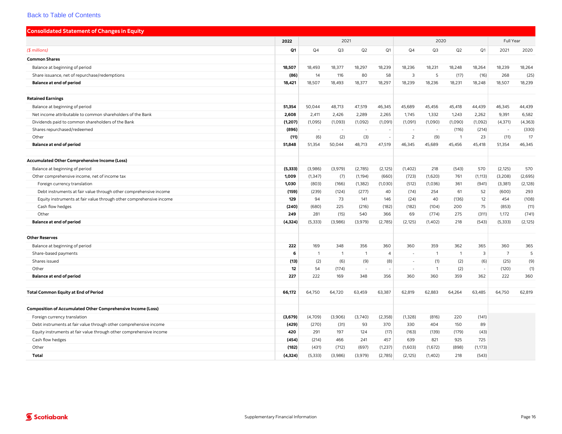<span id="page-20-0"></span>

| <b>Consolidated Statement of Changes in Equity</b>                  |                |                          |                |                |                          |                |                |                |                          |                 |          |
|---------------------------------------------------------------------|----------------|--------------------------|----------------|----------------|--------------------------|----------------|----------------|----------------|--------------------------|-----------------|----------|
|                                                                     | 2022           |                          | 2021           |                |                          |                | 2020           |                |                          | Full Year       |          |
| $$$ millions)                                                       | Q <sub>1</sub> | Q <sub>4</sub>           | Q3             | Q2             | Q1                       | Q4             | Q <sub>3</sub> | Q2             | Q <sub>1</sub>           | 2021            | 2020     |
| <b>Common Shares</b>                                                |                |                          |                |                |                          |                |                |                |                          |                 |          |
| Balance at beginning of period                                      | 18,507         | 18,493                   | 18,377         | 18,297         | 18,239                   | 18,236         | 18,231         | 18,248         | 18,264                   | 18,239          | 18,264   |
| Share issuance, net of repurchase/redemptions                       | (86)           | 14                       | 116            | 80             | 58                       | 3              | 5              | (17)           | (16)                     | 268             | (25)     |
| <b>Balance at end of period</b>                                     | 18,421         | 18,507                   | 18,493         | 18,377         | 18,297                   | 18,239         | 18,236         | 18,231         | 18,248                   | 18,507          | 18,239   |
| <b>Retained Earnings</b>                                            |                |                          |                |                |                          |                |                |                |                          |                 |          |
| Balance at beginning of period                                      | 51,354         | 50,044                   | 48,713         | 47,519         | 46,345                   | 45,689         | 45,456         | 45,418         | 44,439                   | 46,345          | 44,439   |
| Net income attributable to common shareholders of the Bank          | 2,608          | 2,411                    | 2,426          | 2,289          | 2,265                    | 1,745          | 1,332          | 1,243          | 2,262                    | 9,391           | 6,582    |
| Dividends paid to common shareholders of the Bank                   | (1, 207)       | (1,095)                  | (1,093)        | (1,092)        | (1,091)                  | (1,091)        | (1,090)        | (1,090)        | (1,092)                  | (4, 371)        | (4, 363) |
| Shares repurchased/redeemed                                         | (896)          | $\overline{\phantom{a}}$ | ÷.             |                |                          |                |                | (116)          | (214)                    |                 | (330)    |
| Other                                                               | (11)           | (6)                      | (2)            | (3)            | $\sim$                   | $\overline{z}$ | (9)            | -1             | 23                       | (11)            | 17       |
| <b>Balance at end of period</b>                                     | 51,848         | 51,354                   | 50,044         | 48,713         | 47,519                   | 46,345         | 45,689         | 45,456         | 45,418                   | 51,354          | 46,345   |
| <b>Accumulated Other Comprehensive Income (Loss)</b>                |                |                          |                |                |                          |                |                |                |                          |                 |          |
| Balance at beginning of period                                      | (5, 333)       | (3,986)                  | (3,979)        | (2,785)        | (2, 125)                 | (1,402)        | 218            | (543)          | 570                      | (2, 125)        | 570      |
| Other comprehensive income, net of income tax                       | 1,009          | (1, 347)                 | (7)            | (1, 194)       | (660)                    | (723)          | (1,620)        | 761            | (1, 113)                 | (3,208)         | (2,695)  |
| Foreign currency translation                                        | 1,030          | (803)                    | (166)          | (1, 382)       | (1,030)                  | (512)          | (1,036)        | 361            | (941)                    | (3,381)         | (2, 128) |
| Debt instruments at fair value through other comprehensive income   | (159)          | (239)                    | (124)          | (277)          | 40                       | (74)           | 254            | 61             | 52                       | (600)           | 293      |
| Equity instruments at fair value through other comprehensive income | 129            | 94                       | 73             | 141            | 146                      | (24)           | 40             | (136)          | 12                       | 454             | (108)    |
| Cash flow hedges                                                    | (240)          | (680)                    | 225            | (216)          | (182)                    | (182)          | (104)          | 200            | 75                       | (853)           | (11)     |
| Other                                                               | 249            | 281                      | (15)           | 540            | 366                      | 69             | (774)          | 275            | (311)                    | 1,172           | (741)    |
| <b>Balance at end of period</b>                                     | (4, 324)       | (5, 333)                 | (3,986)        | (3,979)        | (2,785)                  | (2, 125)       | (1, 402)       | 218            | (543)                    | (5, 333)        | (2, 125) |
| <b>Other Reserves</b>                                               |                |                          |                |                |                          |                |                |                |                          |                 |          |
| Balance at beginning of period                                      | 222            | 169                      | 348            | 356            | 360                      | 360            | 359            | 362            | 365                      | 360             | 365      |
| Share-based payments                                                | 6              | $\mathbf{1}$             | $\overline{1}$ | $\overline{1}$ | $\overline{4}$           |                | $\mathbf{1}$   | $\overline{1}$ | 3                        | $7\overline{ }$ | 5        |
| Shares issued                                                       | (13)           | (2)                      | (6)            | (9)            | (8)                      | $\sim$         | (1)            | (2)            | (6)                      | (25)            | (9)      |
| Other                                                               | 12             | 54                       | (174)          | ×.             | $\overline{\phantom{a}}$ | $\sim$         | $\mathbf{1}$   | (2)            | $\overline{\phantom{a}}$ | (120)           | (1)      |
| <b>Balance at end of period</b>                                     | 227            | 222                      | 169            | 348            | 356                      | 360            | 360            | 359            | 362                      | 222             | 360      |
| <b>Total Common Equity at End of Period</b>                         | 66,172         | 64,750                   | 64,720         | 63.459         | 63,387                   | 62,819         | 62.883         | 64,264         | 63,485                   | 64,750          | 62,819   |
| <b>Composition of Accumulated Other Comprehensive Income (Loss)</b> |                |                          |                |                |                          |                |                |                |                          |                 |          |
| Foreign currency translation                                        | (3,679)        | (4,709)                  | (3,906)        | (3,740)        | (2, 358)                 | (1, 328)       | (816)          | 220            | (141)                    |                 |          |
| Debt instruments at fair value through other comprehensive income   | (429)          | (270)                    | (31)           | 93             | 370                      | 330            | 404            | 150            | 89                       |                 |          |
| Equity instruments at fair value through other comprehensive income | 420            | 291                      | 197            | 124            | (17)                     | (163)          | (139)          | (179)          | (43)                     |                 |          |
| Cash flow hedges                                                    | (454)          | (214)                    | 466            | 241            | 457                      | 639            | 821            | 925            | 725                      |                 |          |
| Other                                                               | (182)          | (431)                    | (712)          | (697)          | (1,237)                  | (1,603)        | (1,672)        | (898)          | (1, 173)                 |                 |          |
| Total                                                               | (4, 324)       | (5, 333)                 | (3,986)        | (3,979)        | (2,785)                  | (2, 125)       | (1, 402)       | 218            | (543)                    |                 |          |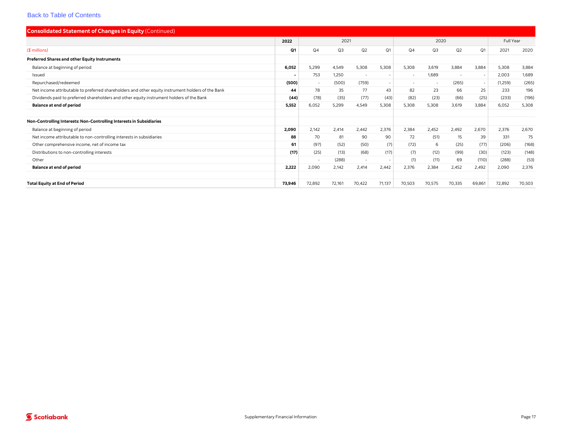| <b>Consolidated Statement of Changes in Equity (Continued)</b>                                    |                |                      |        |        |                          |        |                |                          |        |           |        |
|---------------------------------------------------------------------------------------------------|----------------|----------------------|--------|--------|--------------------------|--------|----------------|--------------------------|--------|-----------|--------|
|                                                                                                   | 2022           |                      | 2021   |        |                          |        | 2020           |                          |        | Full Year |        |
| $($$ millions)                                                                                    | Q1             | Q2<br>Q4<br>Q3<br>Q1 |        |        |                          | Q4     | Q <sub>3</sub> | Q2                       | Q1     | 2021      | 2020   |
| Preferred Shares and other Equity Instruments                                                     |                |                      |        |        |                          |        |                |                          |        |           |        |
| Balance at beginning of period                                                                    | 6,052          | 5,299                | 4,549  | 5,308  | 5,308                    | 5,308  | 3,619          | 3,884                    | 3,884  | 5,308     | 3,884  |
| Issued                                                                                            | $\blacksquare$ | 753                  | 1,250  | $\sim$ | $\sim$                   | $\sim$ | 1,689          | $\overline{\phantom{a}}$ |        | 2,003     | 1,689  |
| Repurchased/redeemed                                                                              | (500)          | $\sim$               | (500)  | (759)  | $\overline{\phantom{a}}$ |        | $\sim$         | (265)                    |        | (1,259)   | (265)  |
| Net income attributable to preferred shareholders and other equity instrument holders of the Bank | 44             | 78                   | 35     | 77     | 43                       | 82     | 23             | 66                       | 25     | 233       | 196    |
| Dividends paid to preferred shareholders and other equity instrument holders of the Bank          | (44)           | (78)                 | (35)   | (77)   | (43)                     | (82)   | (23)           | (66)                     | (25)   | (233)     | (196)  |
| <b>Balance at end of period</b>                                                                   | 5.552          | 6,052                | 5,299  | 4,549  | 5,308                    | 5,308  | 5,308          | 3.619                    | 3.884  | 6,052     | 5,308  |
| Non-Controlling Interests: Non-Controlling Interests in Subsidiaries                              |                |                      |        |        |                          |        |                |                          |        |           |        |
| Balance at beginning of period                                                                    | 2,090          | 2,142                | 2,414  | 2.442  | 2,376                    | 2,384  | 2,452          | 2,492                    | 2,670  | 2,376     | 2,670  |
| Net income attributable to non-controlling interests in subsidiaries                              | 88             | 70                   | 81     | 90     | 90                       | 72     | (51)           | 15                       | 39     | 331       | 75     |
| Other comprehensive income, net of income tax                                                     | 61             | (97)                 | (52)   | (50)   | (7)                      | (72)   | 6              | (25)                     | (77)   | (206)     | (168)  |
| Distributions to non-controlling interests                                                        | (17)           | (25)                 | (13)   | (68)   | (17)                     | (7)    | (12)           | (99)                     | (30)   | (123)     | (148)  |
| Other                                                                                             |                | $\sim$               | (288)  | $\sim$ | $\overline{\phantom{a}}$ | (1)    | (11)           | 69                       | (110)  | (288)     | (53)   |
| <b>Balance at end of period</b>                                                                   | 2.222          | 2,090                | 2,142  | 2.414  | 2.442                    | 2,376  | 2,384          | 2,452                    | 2,492  | 2,090     | 2,376  |
| <b>Total Equity at End of Period</b>                                                              | 73.946         | 72,892               | 72,161 | 70,422 | 71,137                   | 70,503 | 70,575         | 70,335                   | 69,861 | 72,892    | 70,503 |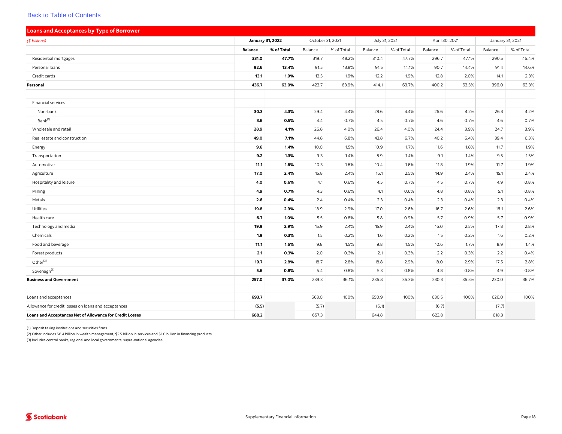<span id="page-22-0"></span>

| <b>Loans and Acceptances by Type of Borrower</b>         |                |                  |                  |            |               |            |         |                |                  |            |
|----------------------------------------------------------|----------------|------------------|------------------|------------|---------------|------------|---------|----------------|------------------|------------|
| (\$ billions)                                            |                | January 31, 2022 | October 31, 2021 |            | July 31, 2021 |            |         | April 30, 2021 | January 31, 2021 |            |
|                                                          | <b>Balance</b> | % of Total       | Balance          | % of Total | Balance       | % of Total | Balance | % of Total     | Balance          | % of Total |
| Residential mortgages                                    | 331.0          | 47.7%            | 319.7            | 48.2%      | 310.4         | 47.7%      | 296.7   | 47.1%          | 290.5            | 46.4%      |
| Personal loans                                           | 92.6           | 13.4%            | 91.5             | 13.8%      | 91.5          | 14.1%      | 90.7    | 14.4%          | 91.4             | 14.6%      |
| Credit cards                                             | 13.1           | 1.9%             | 12.5             | 1.9%       | 12.2          | 1.9%       | 12.8    | 2.0%           | 14.1             | 2.3%       |
| Personal                                                 | 436.7          | 63.0%            | 423.7            | 63.9%      | 414.1         | 63.7%      | 400.2   | 63.5%          | 396.0            | 63.3%      |
|                                                          |                |                  |                  |            |               |            |         |                |                  |            |
| Financial services                                       |                |                  |                  |            |               |            |         |                |                  |            |
| Non-bank                                                 | 30.3           | 4.3%             | 29.4             | 4.4%       | 28.6          | 4.4%       | 26.6    | 4.2%           | 26.3             | 4.2%       |
| Bank <sup>(1)</sup>                                      | 3.6            | 0.5%             | 4.4              | 0.7%       | 4.5           | 0.7%       | 4.6     | 0.7%           | 4.6              | 0.7%       |
| Wholesale and retail                                     | 28.9           | 4.1%             | 26.8             | 4.0%       | 26.4          | 4.0%       | 24.4    | 3.9%           | 24.7             | 3.9%       |
| Real estate and construction                             | 49.0           | 7.1%             | 44.8             | 6.8%       | 43.8          | 6.7%       | 40.2    | 6.4%           | 39.4             | 6.3%       |
| Energy                                                   | 9.6            | 1.4%             | 10.0             | 1.5%       | 10.9          | 1.7%       | 11.6    | 1.8%           | 11.7             | 1.9%       |
| Transportation                                           | 9.2            | 1.3%             | 9.3              | 1.4%       | 8.9           | 1.4%       | 9.1     | 1.4%           | 9.5              | 1.5%       |
| Automotive                                               | 11.1           | 1.6%             | 10.3             | 1.6%       | 10.4          | 1.6%       | 11.8    | 1.9%           | 11.7             | 1.9%       |
| Agriculture                                              | 17.0           | 2.4%             | 15.8             | 2.4%       | 16.1          | 2.5%       | 14.9    | 2.4%           | 15.1             | 2.4%       |
| Hospitality and leisure                                  | 4.0            | 0.6%             | 4.1              | 0.6%       | 4.5           | 0.7%       | 4.5     | 0.7%           | 4.9              | 0.8%       |
| Mining                                                   | 4.9            | 0.7%             | 4.3              | 0.6%       | 4.1           | 0.6%       | 4.8     | 0.8%           | 5.1              | 0.8%       |
| Metals                                                   | 2.6            | 0.4%             | 2.4              | 0.4%       | 2.3           | 0.4%       | 2.3     | 0.4%           | 2.3              | 0.4%       |
| Utilities                                                | 19.8           | 2.9%             | 18.9             | 2.9%       | 17.0          | 2.6%       | 16.7    | 2.6%           | 16.1             | 2.6%       |
| Health care                                              | 6.7            | 1.0%             | 5.5              | 0.8%       | 5.8           | 0.9%       | 5.7     | 0.9%           | 5.7              | 0.9%       |
| Technology and media                                     | 19.9           | 2.9%             | 15.9             | 2.4%       | 15.9          | 2.4%       | 16.0    | 2.5%           | 17.8             | 2.8%       |
| Chemicals                                                | 1.9            | 0.3%             | 1.5              | 0.2%       | 1.6           | 0.2%       | 1.5     | 0.2%           | 1.6              | 0.2%       |
| Food and beverage                                        | 11.1           | 1.6%             | 9.8              | 1.5%       | 9.8           | 1.5%       | 10.6    | 1.7%           | 8.9              | 1.4%       |
| Forest products                                          | 2.1            | 0.3%             | 2.0              | 0.3%       | 2.1           | 0.3%       | 2.2     | 0.3%           | 2.2              | 0.4%       |
| Other $^{(2)}$                                           | 19.7           | 2.8%             | 18.7             | 2.8%       | 18.8          | 2.9%       | 18.0    | 2.9%           | 17.5             | 2.8%       |
| Sovereign <sup>(3)</sup>                                 | 5.6            | 0.8%             | 5.4              | 0.8%       | 5.3           | 0.8%       | 4.8     | 0.8%           | 4.9              | 0.8%       |
| <b>Business and Government</b>                           | 257.0          | 37.0%            | 239.3            | 36.1%      | 236.8         | 36.3%      | 230.3   | 36.5%          | 230.0            | 36.7%      |
|                                                          |                |                  |                  |            |               |            |         |                |                  |            |
| Loans and acceptances                                    | 693.7          |                  | 663.0            | 100%       | 650.9         | 100%       | 630.5   | 100%           | 626.0            | 100%       |
| Allowance for credit losses on loans and acceptances     | (5.5)          |                  | (5.7)            |            | (6.1)         |            | (6.7)   |                | (7.7)            |            |
| Loans and Acceptances Net of Allowance for Credit Losses | 688.2          |                  | 657.3            |            | 644.8         |            | 623.8   |                | 618.3            |            |

(1) Deposit taking institutions and securities firms.

(2) Other includes \$6.4 billion in wealth management, \$2.5 billion in services and \$1.0 billion in financing products.

(3) Includes central banks, regional and local governments, supra-national agencies.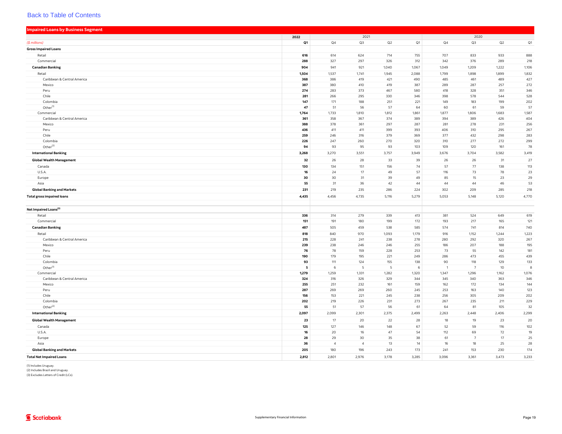<span id="page-23-0"></span>

| <b>Impaired Loans by Business Segment</b> |            |                |                |            |            |            |                |            |            |
|-------------------------------------------|------------|----------------|----------------|------------|------------|------------|----------------|------------|------------|
|                                           | 2022       |                | 2021           |            |            |            | 2020           |            |            |
| (\$ millions)                             | Q1         | Q4             | Q3             | Q2         | Q1         | Q4         | Q3             | Q2         | Q1         |
| <b>Gross Impaired Loans</b>               |            |                |                |            |            |            |                |            |            |
| Retail                                    | 616        | 614            | 624            | 714        | 755        | 707        | 833            | 933        | 888        |
| Commercial                                | 288        | 327            | 297            | 326        | 312        | 342        | 376            | 289        | 218        |
| <b>Canadian Banking</b>                   | 904        | 941            | 921            | 1,040      | 1,067      | 1,049      | 1,209          | 1,222      | 1,106      |
| Retail                                    | 1,504      | 1,537          | 1,741          | 1,945      | 2,088      | 1,799      | 1,898          | 1,899      | 1,832      |
| Caribbean & Central America               | 368        | 386            | 419            | 421        | 490        | 485        | 461            | 489        | 427        |
| Mexico                                    | 387        | 380            | 410            | 419        | 387        | 289        | 287            | 257        | 272        |
| Peru                                      | 274        | 283            | 373            | 467        | 580        | 418        | 328            | 351        | 346        |
| Chile                                     | 281        | 266            | 295            | 330        | 346        | 398        | 578            | 544        | 528        |
| Colombia                                  | 147        | 171            | 188            | 251        | 221        | 149        | 183            | 199        | 202        |
| Other <sup>(1)</sup>                      | 47         | 51             | 56             | 57         | 64         | 60         | 61             | 59         | 57         |
| Commercial                                | 1,764      | 1,733          | 1,810          | 1,812      | 1,861      | 1,877      | 1,806          | 1,683      | 1,587      |
| Caribbean & Central America               | 361        | 358            | 367            | 374        | 389        | 394        | 389            | 426        | 404        |
| Mexico                                    | 388        | 378            | 361            | 297        | 287        | 281        | 278            | 231        | 256        |
| Peru                                      | 436        | 411            | 411            | 399        | 393        | 406        | 310            | 295        | 267        |
| Chile                                     | 259        | 246            | 316            | 379        | 369        | 377        | 432            | 298        | 283        |
| Colombia                                  | 226        | 247            | 260            | 270        | 320        | 310        | 277            | 272        | 299        |
| Other $^{(2)}$                            | 94         | 93             | 95             | 93         | 103        | 109        | 120            | 161        | 78         |
| <b>International Banking</b>              | 3,268      | 3,270          | 3,551          | 3,757      | 3,949      | 3,676      | 3,704          | 3,582      | 3,419      |
| <b>Global Wealth Management</b>           | 32         | 26             | 28             | 33         | 39         | 26         | 26             | 31         | 27         |
| Canada                                    | 130        | 134            | 151            | 156        | 74         | 57         | 77             | 138        | 113        |
| U.S.A.                                    | 16         | 24             | 17             | 49         | 57         | 116        | 73             | 78         | 23         |
| Europe                                    | 30         | 30             | 31             | 39         | 49         | 85         | 15             | 23         | 29         |
| Asia                                      | 55         | 31             | 36             | 42         | 44         | 44         | 44             | 46         | 53         |
| <b>Global Banking and Markets</b>         | 231        | 219            | 235            | 286        | 224        | 302        | 209            | 285        | 218        |
|                                           | 4,435      | 4,456          | 4,735          | 5,116      | 5,279      | 5,053      | 5,148          | 5,120      | 4,770      |
| <b>Total gross impaired loans</b>         |            |                |                |            |            |            |                |            |            |
|                                           |            |                |                |            |            |            |                |            |            |
| Net Impaired Loans <sup>(3)</sup>         |            |                |                |            |            |            |                |            |            |
| Retail<br>Commercial                      | 336<br>151 | 314<br>191     | 279<br>180     | 339<br>199 | 413<br>172 | 381<br>193 | 524<br>217     | 649<br>165 | 619<br>121 |
|                                           |            |                |                |            |            |            |                |            |            |
| <b>Canadian Banking</b>                   | 487        | 505            | 459            | 538        | 585        | 574        | 741            | 814        | 740        |
| Retail                                    | 818        | 840            | 970            | 1,093      | 1,179      | 916        | 1,152          | 1,244      | 1,223      |
| Caribbean & Central America               | 215        | 228            | 241            | 238        | 278        | 280        | 292            | 320        | 267        |
| Mexico                                    | 239<br>76  | 238<br>78      | 246<br>159     | 246<br>228 | 255<br>253 | 186<br>73  | 207<br>55      | 188<br>142 | 195<br>181 |
| Peru                                      |            |                |                | 221        |            | 286        | 473            | 455        | 439        |
| Chile<br>Colombia                         | 190<br>93  | 179<br>111     | 195<br>124     | 155        | 249<br>138 | 90         | 118            | 129        | 133        |
| Other <sup>(1)</sup>                      | 5          | 6              | -5             | 5          |            |            | $\overline{7}$ | 10         | 8          |
| Commercial                                | 1,279      | 1,259          | 1,331          | 1,282      | 1,320      | 1,347      | 1,296          | 1,162      | 1,076      |
| Caribbean & Central America               | 324        | 316            | 326            | 329        | 344        | 345        | 340            | 363        | 346        |
| Mexico                                    | 255        | 251            | 232            | 161        | 159        | 162        | 172            | 134        | 144        |
| Peru                                      | 287        | 269            | 269            | 260        | 245        | 253        | 163            | 140        | 123        |
| Chile                                     | 156        | 153            | 221            | 245        | 238        | 256        | 305            | 209        | 202        |
| Colombia                                  | 202        | 219            | 226            | 231        | 273        | 267        | 235            | 211        | 229        |
| Other <sup>(2)</sup>                      | 55         | 51             | 57             | 56         | 61         | 64         | 81             | 105        | 32         |
| <b>International Banking</b>              | 2,097      | 2,099          | 2,301          | 2,375      | 2,499      | 2,263      | 2,448          | 2,406      | 2,299      |
| <b>Global Wealth Management</b>           | 23         | 17             | 20             | 22         | 28         | 18         | 19             | 23         | 20         |
| Canada                                    | 125        | 127            | 146            | 148        | 67         | 52         | 59             | 116        | 102        |
| U.S.A.                                    | 16         | 20             | 16             | 47         | 54         | 112        | 69             | 72         | 19         |
| Europe                                    | 28         | 29             | 30             | 35         | 38         | 61         | 7              | 17         | 25         |
| Asia                                      | 36         | $\overline{4}$ | $\overline{4}$ | 13         | 14         | 16         | 18             | 25         | 28         |
| <b>Global Banking and Markets</b>         | 205        | 180            | 196            | 243        | 173        | 241        | 153            | 230        | 174        |
| <b>Total Net Impaired Loans</b>           | 2.812      | 2.801          | 2.976          | 3.178      | 3.285      | 3.096      | 3.361          | 3.473      | 3.233      |
|                                           |            |                |                |            |            |            |                |            |            |

(1) Includes Uruguay. (2) Includes Brazil and Uruguay. (3) Excludes Letters of Credit (LCs).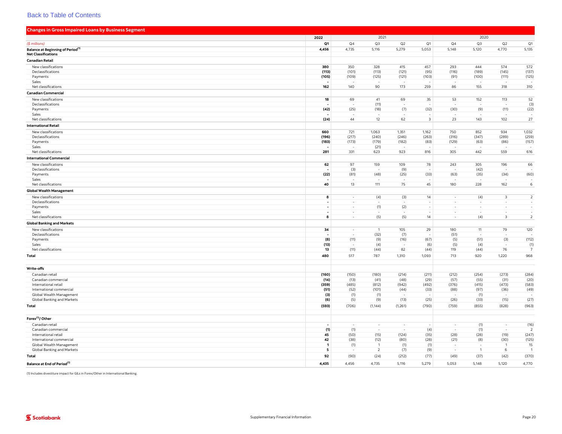<span id="page-24-0"></span>

| <b>Changes in Gross Impaired Loans by Business Segment</b> |                               |                  |                                  |               |                         |                                    |                                 |                                                     |                                    |
|------------------------------------------------------------|-------------------------------|------------------|----------------------------------|---------------|-------------------------|------------------------------------|---------------------------------|-----------------------------------------------------|------------------------------------|
|                                                            | 2022                          |                  | 2021                             |               |                         |                                    | 2020                            |                                                     |                                    |
| (\$ millions)                                              | Q1                            | Q <sub>4</sub>   | Q3                               | Q2            | Q1                      | Q <sub>4</sub>                     | Q3                              | Q2                                                  | Q1                                 |
| <b>Balance at Beginning of Period</b> <sup>(1)</sup>       | 4,456                         | 4,735            | 5,116                            | 5,279         | 5,053                   | 5,148                              | 5,120                           | 4,770                                               | 5,135                              |
| <b>Net Classifications</b>                                 |                               |                  |                                  |               |                         |                                    |                                 |                                                     |                                    |
| <b>Canadian Retail</b>                                     |                               |                  |                                  |               |                         |                                    |                                 |                                                     |                                    |
| New classifications                                        | 380                           | 350              | 328                              | 415           | 457                     | 293                                | 444                             | 574                                                 | 572                                |
| Declassifications                                          | (113)                         | (101)            | (113)                            | (121)         | (95)                    | (116)                              | (189)                           | (145)                                               | (137)                              |
| Payments                                                   | (105)                         | (109)            | (125)                            | (121)         | (103)                   | (91)                               | (100)                           | (111)                                               | (125)                              |
| Sales                                                      |                               |                  |                                  |               |                         |                                    |                                 |                                                     |                                    |
| Net classifications                                        | 162                           | 140              | 90                               | 173           | 259                     | 86                                 | 155                             | 318                                                 | 310                                |
| <b>Canadian Commercial</b>                                 |                               |                  |                                  |               |                         |                                    |                                 |                                                     |                                    |
| New classifications                                        | 18                            | 69               | 41                               | 69            | 35                      | 53                                 | 152                             | 113                                                 | 52                                 |
| Declassifications                                          |                               |                  | (11)                             |               |                         |                                    |                                 | $\overline{\phantom{a}}$                            | (3)                                |
| Payments                                                   | (42)                          | (25)             | (18)                             | (7)           | (32)                    | (30)                               | (9)                             | (11)                                                | (22)                               |
| Sales                                                      |                               |                  |                                  |               |                         |                                    |                                 |                                                     |                                    |
| Net classifications                                        | (24)                          | 44               | $12\,$                           | 62            | $\overline{\mathbf{3}}$ | 23                                 | 143                             | 102                                                 | 27                                 |
| <b>International Retail</b>                                |                               |                  |                                  |               |                         |                                    |                                 |                                                     |                                    |
| New classifications                                        | 660                           | 721              | 1,063                            | 1,351         | 1,162                   | 750                                | 852                             | 934                                                 | 1,032                              |
| Declassifications                                          | (196)                         | (217)            | (240)                            | (246)         | (263)                   | (316)                              | (347)                           | (289)                                               | (259)                              |
| Payments                                                   | (183)                         | (173)            | (179)                            | (182)         | (83)                    | (129)                              | (63)                            | (86)                                                | (157)                              |
| Sales                                                      |                               |                  | (21)                             |               |                         |                                    |                                 |                                                     |                                    |
| Net classifications                                        | 281                           | 331              | 623                              | 923           | 816                     | 305                                | 442                             | 559                                                 | 616                                |
| <b>International Commercial</b>                            |                               |                  |                                  |               |                         |                                    |                                 |                                                     |                                    |
| New classifications                                        | 62                            | 97               | 159                              | 109           | 78                      | 243                                | 305                             | 196                                                 | 66                                 |
| Declassifications                                          |                               | (3)              |                                  | (9)           |                         |                                    | (42)                            |                                                     |                                    |
| Payments                                                   | (22)                          | (81)             | (48)                             | (25)          | (33)                    | (63)                               | (35)                            | (34)                                                | (60)                               |
| Sales                                                      | 40                            | 13               | 111                              | 75            | 45                      | 180                                | 228                             | 162                                                 | $\,$ 6                             |
| Net classifications                                        |                               |                  |                                  |               |                         |                                    |                                 |                                                     |                                    |
| <b>Global Wealth Management</b>                            |                               |                  |                                  |               |                         |                                    |                                 |                                                     |                                    |
| New classifications                                        | 8                             | $\sim$           | (4)                              | (3)           | 14                      | $\overline{\phantom{a}}$           | (4)                             | $\overline{\mathbf{3}}$                             | $\overline{2}$                     |
| Declassifications                                          |                               | $\sim$           |                                  |               |                         | $\sim$                             |                                 |                                                     |                                    |
| Payments                                                   | $\overline{\phantom{a}}$      | $\sim$           | (1)                              | (2)           |                         |                                    | ÷                               | $\overline{\phantom{a}}$                            | $\overline{\phantom{a}}$<br>$\sim$ |
| Sales<br>Net classifications                               | $\overline{\phantom{a}}$<br>8 | $\sim$<br>$\sim$ | (5)                              | (5)           | 14                      | $\overline{\phantom{a}}$<br>$\sim$ | $\overline{\phantom{a}}$<br>(4) | $\overline{\phantom{m}}$<br>$\overline{\mathbf{3}}$ | $\overline{2}$                     |
|                                                            |                               |                  |                                  |               |                         |                                    |                                 |                                                     |                                    |
| <b>Global Banking and Markets</b>                          |                               |                  |                                  |               |                         |                                    |                                 |                                                     |                                    |
| New classifications                                        | 34                            | $\sim$           | $\overline{1}$                   | 105           | 29                      | 180                                | 11                              | 79                                                  | 120                                |
| Declassifications<br>Payments                              | (8)                           | (11)             | (32)<br>(9)                      | (7)<br>(16)   | (67)                    | (51)<br>(5)                        | (51)                            | (3)                                                 | (112)                              |
| Sales                                                      | (13)                          |                  | (4)                              |               | (6)                     | (5)                                | (4)                             |                                                     |                                    |
| Net classifications                                        | 13                            | (11)             | (44)                             | 82            | (44)                    | 119                                | (44)                            | 76                                                  | (1)<br>$\overline{7}$              |
| <b>Total</b>                                               | 480                           | 517              | 787                              | 1,310         | 1,093                   | 713                                | 920                             | 1,220                                               | 968                                |
|                                                            |                               |                  |                                  |               |                         |                                    |                                 |                                                     |                                    |
|                                                            |                               |                  |                                  |               |                         |                                    |                                 |                                                     |                                    |
| Write-offs                                                 |                               |                  |                                  |               |                         |                                    |                                 |                                                     |                                    |
| Canadian retail                                            | (160)                         | (150)            | (180)                            | (214)         | (211)                   | (212)                              | (254)                           | (273)                                               | (284)                              |
| Canadian commercial                                        | (14)                          | (13)             | (41)                             | (48)          | (29)                    | (57)                               | (55)                            | (31)                                                | (20)                               |
| International retail<br>International commercial           | (359)<br>(51)                 | (485)<br>(52)    | (812)<br>(101)                   | (942)<br>(44) | (492)<br>(33)           | (376)<br>(88)                      | (415)<br>(97)                   | (473)<br>(36)                                       | (583)<br>(49)                      |
| Global Wealth Management                                   | (3)                           | (1)              | (1)                              |               |                         |                                    | (1)                             |                                                     |                                    |
| Global Banking and Markets                                 | (6)                           | (5)              | (9)                              | (13)          | (25)                    | (26)                               | (33)                            | (15)                                                | (27)                               |
| <b>Total</b>                                               | (593)                         | (706)            | (1, 144)                         | (1,261)       | (790)                   | (759)                              | (855)                           | (828)                                               | (963)                              |
|                                                            |                               |                  |                                  |               |                         |                                    |                                 |                                                     |                                    |
| Forex <sup>(1)</sup> / Other                               |                               |                  |                                  |               |                         |                                    |                                 |                                                     |                                    |
| Canadian retail                                            | $\overline{\phantom{a}}$      | $\sim$           | $\sim$                           | $\sim$        | $\sim$                  | $\sim$                             | (1)                             | $\sim$                                              | (16)                               |
| Canadian commercial                                        | (1)                           | (1)              |                                  |               | (4)                     |                                    | (1)                             | $\sim$                                              | $\overline{2}$                     |
| International retail                                       | 45                            | (50)             | (15)                             | (124)         | (35)                    | (28)                               | (28)                            | (19)                                                | (247)                              |
| International commercial                                   | 42                            | (38)             | (12)                             | (80)          | (28)                    | (21)                               | (8)                             | (30)                                                | (125)                              |
| Global Wealth Management<br>Global Banking and Markets     | $\mathbf{1}$<br>5             | (1)              | $\overline{1}$<br>$\overline{2}$ | (1)           | (1)                     |                                    | $\overline{1}$                  | $\overline{1}$<br>6                                 | 15<br>$\overline{1}$               |
|                                                            |                               |                  |                                  | (7)           | (9)                     |                                    |                                 |                                                     |                                    |
| <b>Total</b>                                               | 92                            | (90)             | (24)                             | (212)         | (77)                    | (49)                               | (37)                            | (42)                                                | (370)                              |
| Balance at End of Period <sup>(1)</sup>                    | 4,435                         | 4,456            | 4,735                            | 5,116         | 5,279                   | 5,053                              | 5,148                           | 5,120                                               | 4,770                              |

(1) Includes divestiture impact for GILs in Forex/Other in International Banking.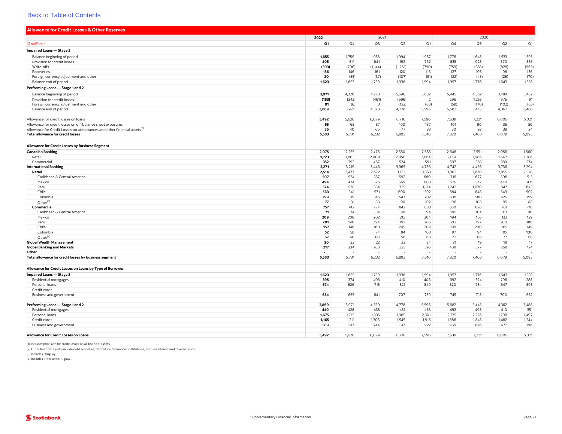<span id="page-25-0"></span>

| <b>Allowance for Credit Losses &amp; Other Reserves</b>                              |           |                |           |           |                |           |           |            |            |
|--------------------------------------------------------------------------------------|-----------|----------------|-----------|-----------|----------------|-----------|-----------|------------|------------|
|                                                                                      | 2022      |                | 2021      |           |                |           | 2020      |            |            |
| (\$ millions)                                                                        | Q1        | Q <sub>4</sub> | Q3        | Q2        | Q1             | Q4        | Q3        | Q2         | Q1         |
| <b>Impaired Loans - Stage 3</b>                                                      |           |                |           |           |                |           |           |            |            |
| Balance beginning of period                                                          | 1,655     | 1,759          | 1,938     | 1,994     | 1,957          | 1,776     | 1,643     | 1,533      | 1,595      |
| Provision for credit losses <sup>(1</sup>                                            | 405       | 511            | 841       | 1,192     | 762            | 835       | 928       | 870        | 835        |
| Write-offs                                                                           | (593)     | (706)          | (1, 144)  | (1, 261)  | (790)          | (759)     | (855)     | (828)      | (963)      |
| Recoveries                                                                           | 136       | 146            | 161       | 120       | 116            | 127       | 105       | 96         | 136        |
| Foreign currency adjustment and other                                                | 20        | (55)           | (37)      | (107)     | (51)           | (22)      | (45)      | (28)       | (70)       |
| Balance end of period                                                                | 1,623     | 1,655          | 1,759     | 1,938     | 1,994          | 1,957     | 1,776     | 1,643      | 1,533      |
| Performing Loans - Stage 1 and 2                                                     |           |                |           |           |                |           |           |            |            |
| Balance beginning of period                                                          | 3,971     | 4,320          | 4,778     | 5,596     | 5,682          | 5,445     | 4,362     | 3,488      | 3,482      |
| Provision for credit losses <sup>(1)</sup>                                           | (183)     | (343)          | (461)     | (696)     | $\overline{2}$ | 296       | 1,253     | 976        | 91         |
| Foreign currency adjustment and other                                                | 81        | (6)            | 3         | (122)     | (88)           | (59)      | (170)     | (102)      | (85)       |
| Balance end of period                                                                | 3,869     | 3,971          | 4,320     | 4,778     | 5,596          | 5,682     | 5,445     | 4,362      | 3,488      |
|                                                                                      |           |                |           |           |                |           |           |            |            |
| Allowance for credit losses on loans                                                 | 5,492     | 5,626          | 6,079     | 6,716     | 7,590          | 7,639     | 7,221     | 6,005      | 5,021      |
| Allowance for credit losses on off-balance sheet exposures                           | 55        | 65             | 87        | 100       | 137            | 101       | 90        | 36         | 50         |
| Allowance for Credit Losses on acceptances and other financial assets <sup>(2)</sup> | 36        | 40             | 66        | 77        | 83             | 80        | 92        | 38         | 24         |
| <b>Total allowance for credit losses</b>                                             | 5,583     | 5,731          | 6,232     | 6,893     | 7,810          | 7,820     | 7,403     | 6,079      | 5,095      |
| Allowance for Credit Losses by Business Segment                                      |           |                |           |           |                |           |           |            |            |
| <b>Canadian Banking</b>                                                              | 2,075     | 2,255          | 2,476     | 2,580     | 2,655          | 2,648     | 2,551     | 2,056      | 1,660      |
| Retail                                                                               | 1,723     | 1,863          | 2,009     | 2,056     | 2,064          | 2,051     | 1,986     | 1,667      | 1,386      |
| Commercial                                                                           | 352       | 392            | 467       | 524       | 591            | 597       | 565       | 389        | 274        |
| <b>International Banking</b>                                                         | 3.271     | 3.219          | 3.446     | 3,965     | 4,736          | 4.742     | 4.456     | 3.736      | 3,294      |
| Retail                                                                               | 2,514     | 2,477          | 2,672     | 3,123     | 3,853          | 3,862     | 3,630     | 2,955      | 2,578      |
| Caribbean & Central America                                                          | 507       | 524            | 557       | 592       | 680            | 716       | 677       | 598        | 515        |
| Mexico                                                                               | 494       | 474            | 526       | 569       | 603            | 576       | 547       | 440        | 431        |
| Peru                                                                                 | 574       | 538            | 584       | 725       | 1.174          | 1,242     | 1,070     | 847        | 643        |
| Chile                                                                                | 563       | 541            | 571       | 600       | 592            | 584       | 648       | 549        | 502        |
| Colombia                                                                             | 299       | 319            | 346       | 547       | 702            | 638       | 580       | 426        | 399        |
| Other <sup>(3)</sup>                                                                 | 77        | 81             | 88        | 90        | 102            | 106       | 108       | 95         | 88         |
| Commercial                                                                           | 757       | 742            | 774       | 842       | 883            | 880       | 826       | 781        | 716        |
| Caribbean & Central America                                                          | 71        | 74             | 84        | 90        | 94             | 105       | 104       | 111        | 90         |
| Mexico                                                                               | 209       | 208            | 202       | 213       | 204            | 194       | 165       | 133        | 129        |
| Peru<br>Chile                                                                        | 201       | 190            | 194       | 192       | 205            | 212       | 197       | 200<br>165 | 180<br>149 |
|                                                                                      | 157<br>52 | 146<br>58      | 160<br>74 | 205<br>84 | 209<br>103     | 199<br>97 | 200<br>94 | 95         | 100        |
| Colombia<br>Other <sup>(4)</sup>                                                     | 67        | 66             | 60        | 58        | 68             | 73        | 66        | 77         | 68         |
| <b>Global Wealth Management</b>                                                      | 20        | 23             | 22        | 23        | 24             | 21        | 19        | 19         | 17         |
| <b>Global Banking and Markets</b>                                                    | 217       | 234            | 288       | 325       | 395            | 409       | 377       | 268        | 124        |
| Other                                                                                |           |                |           |           |                |           |           |            |            |
| Total allowance for credit losses by business segment                                | 5,583     | 5,731          | 6,232     | 6,893     | 7,810          | 7,820     | 7,403     | 6,079      | 5,095      |
| Allowance for Credit Losses on Loans by Type of Borrower                             |           |                |           |           |                |           |           |            |            |
| Impaired Loans - Stage 3                                                             | 1,623     | 1,655          | 1,759     | 1,938     | 1,994          | 1,957     | 1,776     | 1,643      | 1,533      |
| Residential mortgages                                                                | 395       | 374            | 403       | 410       | 406            | 392       | 324       | 296        | 288        |
| Personal loans                                                                       | 574       | 626            | 715       | 821       | 849            | 820       | 734       | 647        | 593        |
| Credit cards                                                                         |           |                |           |           |                |           |           |            |            |
| Business and government                                                              | 654       | 655            | 641       | 707       | 739            | 745       | 718       | 700        | 652        |
| Performing Loans - Stage 1 and 2                                                     | 3,869     | 3,971          | 4,320     | 4,778     | 5,596          | 5,682     | 5,445     | 4,362      | 3,488      |
| Residential mortgages                                                                | 440       | 428            | 435       | 431       | 458            | 492       | 498       | 410        | 351        |
| Personal loans                                                                       | 1,675     | 1,715          | 1,835     | 1,985     | 2,301          | 2,335     | 2,226     | 1,798      | 1,497      |
| Credit cards                                                                         | 1,165     | 1,211          | 1,306     | 1,545     | 1,915          | 1,886     | 1,845     | 1,482      | 1,244      |
| Business and government                                                              | 589       | 617            | 744       | 817       | 922            | 969       | 876       | 672        | 396        |
| Allowance for Credit Losses on Loans                                                 | 5,492     | 5,626          | 6,079     | 6,716     | 7,590          | 7,639     | 7,221     | 6,005      | 5,021      |
|                                                                                      |           |                |           |           |                |           |           |            |            |

(1) Includes provision for credit losses on all financial assets.

(2) Other financial assets include debt securities, deposits with financial institutions, accrued interest and reverse repos.

(3) Includes Uruguay. (4) Includes Brazil and Uruguay.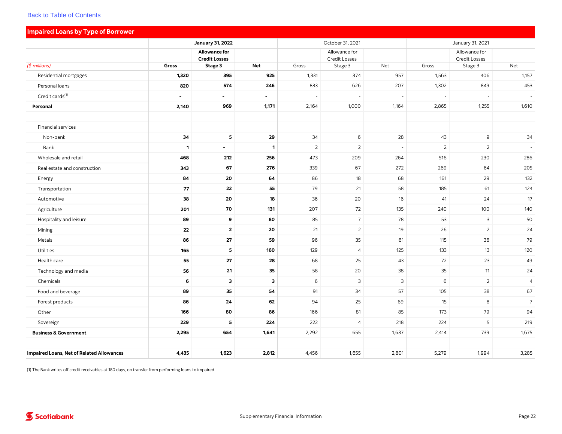|                                                  |                          | <b>January 31, 2022</b>               |              |                | October 31, 2021               |       | January 31, 2021 |                                |                |  |  |
|--------------------------------------------------|--------------------------|---------------------------------------|--------------|----------------|--------------------------------|-------|------------------|--------------------------------|----------------|--|--|
|                                                  |                          | Allowance for<br><b>Credit Losses</b> |              |                | Allowance for<br>Credit Losses |       |                  | Allowance for<br>Credit Losses |                |  |  |
| $($$ millions)                                   | Gross                    | Stage 3                               | <b>Net</b>   | Gross          | Stage 3                        | Net   | Gross            | Stage 3                        | Net            |  |  |
| Residential mortgages                            | 1,320                    | 395                                   | 925          | 1,331          | 374                            | 957   | 1,563            | 406                            | 1,157          |  |  |
| Personal loans                                   | 820                      | 574                                   | 246          | 833            | 626                            | 207   | 1,302            | 849                            | 453            |  |  |
| Credit cards <sup>(1)</sup>                      | $\overline{\phantom{a}}$ | $\sim$                                | $\sim$       | $\overline{a}$ | $\overline{\phantom{a}}$       |       | $\sim$           | $\overline{\phantom{a}}$       |                |  |  |
| Personal                                         | 2,140                    | 969                                   | 1,171        | 2,164          | 1,000                          | 1,164 | 2,865            | 1,255                          | 1,610          |  |  |
| Financial services                               |                          |                                       |              |                |                                |       |                  |                                |                |  |  |
| Non-bank                                         | 34                       | 5                                     | 29           | 34             | 6                              | 28    | 43               | $\mathsf 9$                    | 34             |  |  |
| Bank                                             | $\mathbf{1}$             | $\blacksquare$                        | $\mathbf{1}$ | $\overline{2}$ | $\overline{2}$                 |       | 2                | 2                              |                |  |  |
| Wholesale and retail                             | 468                      | 212                                   | 256          | 473            | 209                            | 264   | 516              | 230                            | 286            |  |  |
| Real estate and construction                     | 343                      | 67                                    | 276          | 339            | 67                             | 272   | 269              | 64                             | 205            |  |  |
| Energy                                           | 84                       | 20                                    | 64           | 86             | 18                             | 68    | 161              | 29                             | 132            |  |  |
| Transportation                                   | 77                       | 22                                    | 55           | 79             | 21                             | 58    | 185              | 61                             | 124            |  |  |
| Automotive                                       | 38                       | 20                                    | 18           | 36             | 20                             | 16    | 41               | 24                             | 17             |  |  |
| Agriculture                                      | 201                      | 70                                    | 131          | 207            | 72                             | 135   | 240              | 100                            | 140            |  |  |
| Hospitality and leisure                          | 89                       | 9                                     | 80           | 85             | $\overline{7}$                 | 78    | 53               | $\mathbf{3}$                   | 50             |  |  |
| Mining                                           | 22                       | $\mathbf{2}$                          | 20           | 21             | $\overline{2}$                 | 19    | 26               | $\overline{2}$                 | 24             |  |  |
| Metals                                           | 86                       | 27                                    | 59           | 96             | 35                             | 61    | 115              | 36                             | 79             |  |  |
| Utilities                                        | 165                      | 5                                     | 160          | 129            | $\overline{4}$                 | 125   | 133              | 13                             | 120            |  |  |
| Health care                                      | 55                       | 27                                    | 28           | 68             | 25                             | 43    | 72               | 23                             | 49             |  |  |
| Technology and media                             | 56                       | 21                                    | 35           | 58             | 20                             | 38    | 35               | 11                             | 24             |  |  |
| Chemicals                                        | 6                        | $\overline{\mathbf{3}}$               | 3            | 6              | $\mathbf{3}$                   | 3     | 6                | $\overline{2}$                 | $\overline{4}$ |  |  |
| Food and beverage                                | 89                       | 35                                    | 54           | 91             | 34                             | 57    | 105              | 38                             | 67             |  |  |
| Forest products                                  | 86                       | 24                                    | 62           | 94             | 25                             | 69    | 15               | 8                              | $\overline{7}$ |  |  |
| Other                                            | 166                      | 80                                    | 86           | 166            | 81                             | 85    | 173              | 79                             | 94             |  |  |
| Sovereign                                        | 229                      | 5                                     | 224          | 222            | $\overline{4}$                 | 218   | 224              | 5                              | 219            |  |  |
| <b>Business &amp; Government</b>                 | 2,295                    | 654                                   | 1,641        | 2,292          | 655                            | 1,637 | 2,414            | 739                            | 1,675          |  |  |
| <b>Impaired Loans, Net of Related Allowances</b> | 4,435                    | 1,623                                 | 2,812        | 4,456          | 1,655                          | 2,801 | 5,279            | 1,994                          | 3,285          |  |  |
|                                                  |                          |                                       |              |                |                                |       |                  |                                |                |  |  |

<span id="page-26-0"></span>Impaired Loans by Type of Borrower

(1) The Bank writes off credit receivables at 180 days, on transfer from performing loans to impaired.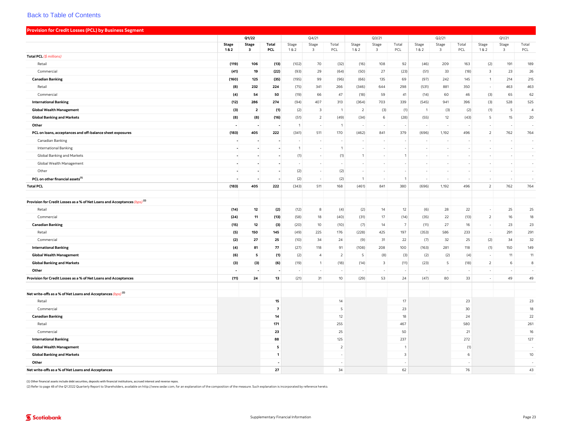<span id="page-27-0"></span>

| <b>Provision for Credit Losses (PCL) by Business Segment</b>                         |                          |                          |                |                |                          |                |                |                                  |                         |                          |                          |              |                |                          |                |
|--------------------------------------------------------------------------------------|--------------------------|--------------------------|----------------|----------------|--------------------------|----------------|----------------|----------------------------------|-------------------------|--------------------------|--------------------------|--------------|----------------|--------------------------|----------------|
|                                                                                      | Q1/22                    |                          |                |                | Q4/21                    |                |                | Q3/21                            |                         |                          | Q2/21                    |              |                | Q1/21                    |                |
|                                                                                      | <b>Stage</b><br>1&2      | <b>Stage</b><br>3        | Total<br>PCL   | Stage<br>1&2   | Stage<br>3               | Total<br>PCL   | Stage<br>1&2   | Stage<br>$\overline{\mathbf{3}}$ | Total<br>PCL            | Stage<br>1&2             | Stage<br>3               | Total<br>PCL | Stage<br>1&2   | Stage<br>$\overline{3}$  | Total<br>PCL   |
| Total PCL (\$ millions)                                                              |                          |                          |                |                |                          |                |                |                                  |                         |                          |                          |              |                |                          |                |
| Retail                                                                               | (119)                    | 106                      | (13)           | (102)          | 70                       | (32)           | (16)           | 108                              | 92                      | (46)                     | 209                      | 163          | (2)            | 191                      | 189            |
| Commercial                                                                           | (41)                     | 19                       | (22)           | (93)           | 29                       | (64)           | (50)           | 27                               | (23)                    | (51)                     | 33                       | (18)         | $\overline{3}$ | 23                       | 26             |
| <b>Canadian Banking</b>                                                              | (160)                    | 125                      | (35)           | (195)          | 99                       | (96)           | (66)           | 135                              | 69                      | (97)                     | 242                      | 145          | $\overline{1}$ | 214                      | 215            |
| Retail                                                                               | (8)                      | 232                      | 224            | (75)           | 341                      | 266            | (346)          | 644                              | 298                     | (531)                    | 881                      | 350          | $\sim$         | 463                      | 463            |
| Commercial                                                                           | (4)                      | 54                       | 50             | (19)           | 66                       | 47             | (18)           | 59                               | 41                      | (14)                     | 60                       | 46           | (3)            | 65                       | 62             |
| <b>International Banking</b>                                                         | (12)                     | 286                      | 274            | (94)           | 407                      | 313            | (364)          | 703                              | 339                     | (545)                    | 941                      | 396          | (3)            | 528                      | 525            |
| <b>Global Wealth Management</b>                                                      | (3)                      | $\overline{2}$           | (1)            | (2)            | $\overline{3}$           | $\overline{1}$ | 2              | (3)                              | (1)                     | $\overline{1}$           | (3)                      | (2)          | (1)            | 5                        | $\overline{4}$ |
| <b>Global Banking and Markets</b>                                                    | (8)                      | (8)                      | (16)           | (51)           | $\overline{2}$           | (49)           | (34)           | 6                                | (28)                    | (55)                     | 12                       | (43)         | 5              | 15                       | 20             |
| Other                                                                                | $\overline{\phantom{a}}$ |                          |                | $\overline{1}$ | $\sim$                   | $\overline{1}$ | $\sim$         | $\sim$                           |                         | $\sim$                   |                          |              | $\sim$         | $\sim$                   | in 1919.       |
| PCL on loans, acceptances and off-balance sheet exposures                            | (183)                    | 405                      | 222            | (341)          | 511                      | 170            | (462)          | 841                              | 379                     | (696)                    | 1,192                    | 496          | $\overline{2}$ | 762                      | 764            |
| Canadian Banking                                                                     |                          |                          |                |                |                          |                |                | ÷.                               |                         |                          |                          |              |                |                          | $\sim$         |
| <b>International Banking</b>                                                         |                          | $\overline{\phantom{a}}$ |                | $\mathbf{1}$   | $\sim$                   | $\overline{1}$ | $\sim$         | $\sim$                           |                         | ÷.                       | $\overline{\phantom{a}}$ |              | $\sim$         |                          | $\sim$         |
| Global Banking and Markets                                                           |                          |                          |                | (1)            | $\overline{\phantom{a}}$ | (1)            | $\mathbf{1}$   | ×                                | $\mathbf{1}$            | $\overline{\phantom{a}}$ |                          |              |                |                          | $\sim$         |
| Global Wealth Management                                                             |                          |                          |                |                |                          |                |                | $\sim$                           |                         |                          |                          |              |                |                          | $\sim$         |
| Other                                                                                |                          | $\blacksquare$           |                | (2)            | $\sim$                   | (2)            | $\sim$         | $\sim$                           |                         | $\sim$                   | $\sim$                   |              | $\sim$         | $\overline{\phantom{a}}$ | $\sim$         |
| PCL on other financial assets <sup>(1)</sup>                                         | $\overline{a}$           | $\overline{\phantom{a}}$ |                | (2)            | $\sim$                   | (2)            | $\overline{1}$ | $\sim$                           | $\overline{1}$          | $\sim$                   | $\sim$                   |              | $\sim$         | $\sim$                   | $\sim$         |
| <b>Total PCL</b>                                                                     | (183)                    | 405                      | 222            | (343)          | 511                      | 168            | (461)          | 841                              | 380                     | (696)                    | 1,192                    | 496          | $\overline{2}$ | 762                      | 764            |
|                                                                                      |                          |                          |                |                |                          |                |                |                                  |                         |                          |                          |              |                |                          |                |
| Provision for Credit Losses as a % of Net Loans and Acceptances (bps) <sup>(2)</sup> |                          |                          |                |                |                          |                |                |                                  |                         |                          |                          |              |                |                          |                |
| Retail                                                                               | (14)                     | 12                       | (2)            | (12)           | 8                        | (4)            | (2)            | 14                               | 12                      | (6)                      | 28                       | 22           | $\sim$         | 25                       | 25             |
| Commercial                                                                           | (24)                     | 11                       | (13)           | (58)           | 18                       | (40)           | (31)           | 17                               | (14)                    | (35)                     | 22                       | (13)         | $\overline{2}$ | 16                       | 18             |
| <b>Canadian Banking</b>                                                              | (15)                     | 12                       | (3)            | (20)           | 10                       | (10)           | (7)            | 14                               | $\overline{7}$          | (11)                     | 27                       | 16           |                | 23                       | 23             |
| Retail                                                                               | (5)                      | 150                      | 145            | (49)           | 225                      | 176            | (228)          | 425                              | 197                     | (353)                    | 586                      | 233          | $\sim$         | 291                      | 291            |
| Commercial                                                                           | (2)                      | 27                       | 25             | (10)           | 34                       | 24             | (9)            | 31                               | 22                      | (7)                      | 32                       | 25           | (2)            | 34                       | 32             |
| <b>International Banking</b>                                                         | (4)                      | 81                       | 77             | (27)           | 118                      | 91             | (108)          | 208                              | 100                     | (163)                    | 281                      | 118          | (1)            | 150                      | 149            |
| <b>Global Wealth Management</b>                                                      | (6)                      | 5                        | (1)            | (2)            | $\overline{4}$           | $\overline{2}$ | 5              | (8)                              | (3)                     | (2)                      | (2)                      | (4)          | $\sim$         | 11                       | 11             |
| <b>Global Banking and Markets</b>                                                    | (3)                      | (3)                      | (6)            | (19)           | $\overline{1}$           | (18)           | (14)           | $\overline{\mathbf{3}}$          | (11)                    | (23)                     | -5                       | (18)         | 2              | 6                        | 8              |
| Other                                                                                | $\overline{\phantom{a}}$ |                          |                |                |                          |                | $\sim$         | ×                                |                         | $\sim$                   |                          |              | $\sim$         |                          | $\sim$         |
| Provision for Credit Losses as a % of Net Loans and Acceptances                      | (11)                     | 24                       | 13             | (21)           | 31                       | 10             | (29)           | 53                               | 24                      | (47)                     | 80                       | 33           | $\sim$         | 49                       | 49             |
|                                                                                      |                          |                          |                |                |                          |                |                |                                  |                         |                          |                          |              |                |                          |                |
| Net write-offs as a % of Net Loans and Acceptances (bps) <sup>(2)</sup>              |                          |                          |                |                |                          |                |                |                                  |                         |                          |                          |              |                |                          |                |
| Retail                                                                               |                          |                          | 15             |                |                          | 14             |                |                                  | 17                      |                          |                          | 23           |                |                          | 23             |
| Commercial                                                                           |                          |                          | $\overline{7}$ |                |                          | -5             |                |                                  | 23                      |                          |                          | 30           |                |                          | 18             |
| <b>Canadian Banking</b>                                                              |                          |                          | 14             |                |                          | 12             |                |                                  | 18                      |                          |                          | 24           |                |                          | 22             |
| Retail                                                                               |                          |                          | 171            |                |                          | 255            |                |                                  | 467                     |                          |                          | 580          |                |                          | 261            |
| Commercial                                                                           |                          |                          | 23             |                |                          | 25             |                |                                  | 50                      |                          |                          | 21           |                |                          | 16             |
| <b>International Banking</b>                                                         |                          |                          | 88             |                |                          | 125            |                |                                  | 237                     |                          |                          | 272          |                |                          | 127            |
| <b>Global Wealth Management</b>                                                      |                          |                          | 5              |                |                          | 2              |                |                                  | -1                      |                          |                          | (1)          |                |                          |                |
| <b>Global Banking and Markets</b>                                                    |                          |                          | 1              |                |                          |                |                |                                  | $\overline{\mathbf{3}}$ |                          |                          | 6            |                |                          | 10             |
| Other                                                                                |                          |                          |                |                |                          |                |                |                                  |                         |                          |                          |              |                |                          | $\sim$         |
| Net write-offs as a % of Net Loans and Acceptances                                   |                          |                          | 27             |                |                          | 34             |                |                                  | 62                      |                          |                          | 76           |                |                          | 43             |

(1) Other financial assets include debt securities, deposits with financial institutions, accrued interest and reverse repos.

(2) Refer to page 48 of the Q1 2022 Quarterly Report to Shareholders, available on [http://www.sedar.com,](http://www.sedar.com) for an explanation of the composition of the measure. Such explanation is incorporated by reference hereto.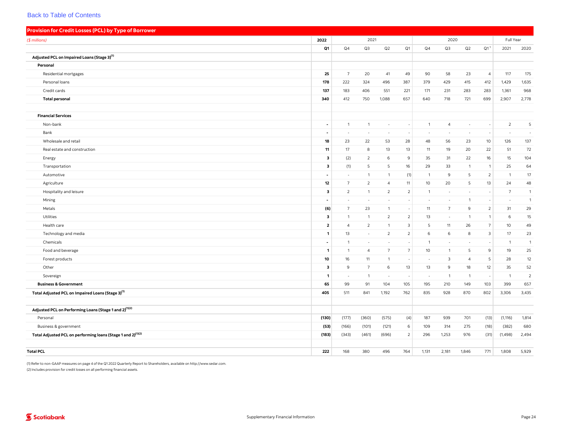<span id="page-28-0"></span>

| Provision for Credit Losses (PCL) by Type of Borrower                    |                          |                          |                          |                          |                          |                          |                          |                |                          |                 |                |
|--------------------------------------------------------------------------|--------------------------|--------------------------|--------------------------|--------------------------|--------------------------|--------------------------|--------------------------|----------------|--------------------------|-----------------|----------------|
| (\$ millions)                                                            | 2022                     |                          | 2021                     |                          |                          |                          | 2020                     |                |                          | Full Year       |                |
|                                                                          | Q1                       | Q4                       | Q3                       | Q2                       | Q1                       | Q4                       | Q3                       | Q2             | Q1 <sup>1</sup>          | 2021            | 2020           |
| Adjusted PCL on Impaired Loans (Stage 3) <sup>(1)</sup>                  |                          |                          |                          |                          |                          |                          |                          |                |                          |                 |                |
| Personal                                                                 |                          |                          |                          |                          |                          |                          |                          |                |                          |                 |                |
| Residential mortgages                                                    | 25                       | $\overline{7}$           | 20                       | 41                       | 49                       | 90                       | 58                       | 23             | $\overline{4}$           | 117             | 175            |
| Personal loans                                                           | 178                      | 222                      | 324                      | 496                      | 387                      | 379                      | 429                      | 415            | 412                      | 1,429           | 1,635          |
| Credit cards                                                             | 137                      | 183                      | 406                      | 551                      | 221                      | 171                      | 231                      | 283            | 283                      | 1,361           | 968            |
| <b>Total personal</b>                                                    | 340                      | 412                      | 750                      | 1,088                    | 657                      | 640                      | 718                      | 721            | 699                      | 2,907           | 2,778          |
|                                                                          |                          |                          |                          |                          |                          |                          |                          |                |                          |                 |                |
| <b>Financial Services</b>                                                |                          |                          |                          |                          |                          |                          |                          |                |                          |                 |                |
| Non-bank                                                                 | $\blacksquare$           | $\mathbf{1}$             | $\mathbf{1}$             | $\overline{\phantom{a}}$ | ٠                        | $\mathbf{1}$             | $\overline{4}$           | $\sim$         |                          | $\overline{2}$  | 5              |
| Bank                                                                     | $\blacksquare$           | ÷,                       | $\sim$                   |                          |                          |                          | $\overline{\phantom{a}}$ |                |                          |                 |                |
| Wholesale and retail                                                     | 18                       | 23                       | 22                       | 53                       | 28                       | 48                       | 56                       | 23             | 10                       | 126             | 137            |
| Real estate and construction                                             | 11                       | 17                       | 8                        | 13                       | 13                       | 11                       | 19                       | 20             | 22                       | 51              | 72             |
| Energy                                                                   | з                        | (2)                      | $\overline{2}$           | 6                        | 9                        | 35                       | 31                       | 22             | 16                       | 15              | 104            |
| Transportation                                                           | 3                        | (1)                      | 5                        | 5                        | 16                       | 29                       | 33                       | $\mathbf{1}$   | $\mathbf{1}$             | 25              | 64             |
| Automotive                                                               | $\overline{\phantom{a}}$ | $\overline{\phantom{a}}$ | $\overline{1}$           | $\overline{1}$           | (1)                      | $\overline{1}$           | 9                        | 5              | $\overline{2}$           | $\overline{1}$  | 17             |
| Agriculture                                                              | 12                       | $\overline{7}$           | 2                        | $\overline{4}$           | 11                       | 10                       | 20                       | 5              | 13                       | 24              | 48             |
| Hospitality and leisure                                                  | 3                        | $\overline{2}$           | $\mathbf{1}$             | $\overline{2}$           | $\overline{2}$           | $\mathbf{1}$             | $\sim$                   | $\sim$         | $\overline{\phantom{a}}$ | $7\overline{ }$ | $\overline{1}$ |
| Mining                                                                   | $\overline{\phantom{a}}$ | ÷,                       | ٠                        | ×.                       | $\sim$                   | $\sim$                   | $\overline{\phantom{a}}$ | $\mathbf{1}$   | $\overline{\phantom{a}}$ | $\sim$          | $\overline{1}$ |
| Metals                                                                   | (6)                      | $\overline{7}$           | 23                       | $\overline{1}$           | $\overline{\phantom{a}}$ | 11                       | $\overline{7}$           | 9              | 2                        | 31              | 29             |
| Utilities                                                                | 3                        | $\mathbf{1}$             | $\overline{1}$           | $\overline{2}$           | $\overline{2}$           | 13                       | $\sim$                   | $\overline{1}$ | $\mathbf{1}$             | 6               | 15             |
| Health care                                                              | $\mathbf{2}$             | $\overline{4}$           | $\overline{2}$           | $\mathbf{1}$             | $\overline{\mathbf{3}}$  | 5                        | 11                       | 26             | $7\overline{ }$          | 10              | 49             |
| Technology and media                                                     | 1                        | 13                       | $\sim$                   | $\overline{2}$           | $\overline{2}$           | 6                        | 6                        | 8              | $\overline{\mathbf{3}}$  | 17              | 23             |
| Chemicals                                                                | $\sim$                   | $\overline{1}$           | $\overline{\phantom{a}}$ | ÷.                       | $\overline{\phantom{a}}$ | $\mathbf{1}$             | $\sim$                   | $\sim$         | $\overline{\phantom{a}}$ | $\overline{1}$  | $\overline{1}$ |
| Food and beverage                                                        | $\mathbf{1}$             | $\overline{1}$           | $\overline{4}$           | $7\overline{ }$          | $\overline{7}$           | 10 <sup>°</sup>          | $\mathbf{1}$             | 5              | 9                        | 19              | 25             |
| Forest products                                                          | 10                       | 16                       | 11                       | $\mathbf{1}$             | $\overline{\phantom{a}}$ | $\overline{\phantom{a}}$ | $\mathbf{3}$             | $\overline{4}$ | 5                        | 28              | 12             |
| Other                                                                    | $\mathbf{3}$             | 9                        | $7\overline{ }$          | 6                        | 13                       | 13                       | 9                        | 18             | 12                       | 35              | 52             |
| Sovereign                                                                | $\mathbf{1}$             | $\overline{\phantom{a}}$ | $\overline{1}$           | $\sim$                   | $\overline{\phantom{a}}$ |                          | $\mathbf{1}$             | $\mathbf{1}$   |                          | $\overline{1}$  | $\overline{2}$ |
| <b>Business &amp; Government</b>                                         | 65                       | 99                       | 91                       | 104                      | 105                      | 195                      | 210                      | 149            | 103                      | 399             | 657            |
| Total Adjusted PCL on Impaired Loans (Stage 3) <sup>(1)</sup>            | 405                      | 511                      | 841                      | 1,192                    | 762                      | 835                      | 928                      | 870            | 802                      | 3,306           | 3,435          |
|                                                                          |                          |                          |                          |                          |                          |                          |                          |                |                          |                 |                |
| Adjusted PCL on Performing Loans (Stage 1 and 2) <sup>(1)(2)</sup>       |                          |                          |                          |                          |                          |                          |                          |                |                          |                 |                |
| Personal                                                                 | (130)                    | (177)                    | (360)                    | (575)                    | (4)                      | 187                      | 939                      | 701            | (13)                     | (1, 116)        | 1,814          |
| Business & government                                                    | (53)                     | (166)                    | (101)                    | (121)                    | 6                        | 109                      | 314                      | 275            | (18)                     | (382)           | 680            |
| Total Adjusted PCL on performing loans (Stage 1 and 2) <sup>(1)(2)</sup> | (183)                    | (343)                    | (461)                    | (696)                    | $\overline{2}$           | 296                      | 1,253                    | 976            | (31)                     | (1,498)         | 2,494          |
|                                                                          |                          |                          |                          |                          |                          |                          |                          |                |                          |                 |                |
| <b>Total PCL</b>                                                         | 222                      | 168                      | 380                      | 496                      | 764                      | 1,131                    | 2,181                    | 1,846          | 771                      | 1,808           | 5,929          |

(1) Refer to non-GAAP measures on page 4 of the Q1 2022 Quarterly Report to Shareholders, available on [http://www.sedar.com.](http://www.sedar.com)

(2) Includes provision for credit losses on all performing financial assets.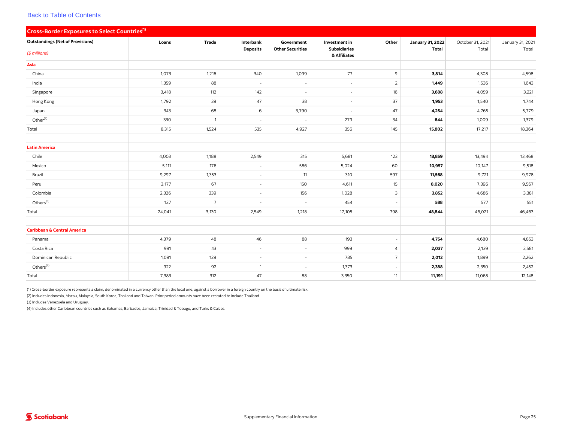<span id="page-29-0"></span>

| Cross-Border Exposures to Select Countries <sup>(1)</sup> |        |                |                          |                          |                                     |                          |                         |                  |                  |
|-----------------------------------------------------------|--------|----------------|--------------------------|--------------------------|-------------------------------------|--------------------------|-------------------------|------------------|------------------|
| <b>Outstandings (Net of Provisions)</b>                   | Loans  | Trade          | Interbank                | Government               | Investment in                       | Other                    | <b>January 31, 2022</b> | October 31, 2021 | January 31, 2021 |
| $($$ millions)                                            |        |                | <b>Deposits</b>          | <b>Other Securities</b>  | <b>Subsidiaries</b><br>& Affiliates |                          | <b>Total</b>            | Total            | Total            |
| Asia                                                      |        |                |                          |                          |                                     |                          |                         |                  |                  |
| China                                                     | 1,073  | 1,216          | 340                      | 1,099                    | 77                                  | $\overline{9}$           | 3,814                   | 4,308            | 4,598            |
| India                                                     | 1,359  | 88             | $\sim$                   | $\omega$                 | $\overline{\phantom{a}}$            | $\overline{2}$           | 1,449                   | 1,536            | 1,643            |
| Singapore                                                 | 3,418  | 112            | 142                      | $\overline{\phantom{a}}$ | $\sim$                              | 16                       | 3,688                   | 4,059            | 3,221            |
| Hong Kong                                                 | 1,792  | 39             | 47                       | 38                       | $\sim$                              | 37                       | 1,953                   | 1,540            | 1,744            |
| Japan                                                     | 343    | 68             | 6                        | 3,790                    | $\sim$                              | 47                       | 4,254                   | 4,765            | 5,779            |
| Other <sup>(2)</sup>                                      | 330    | $\overline{1}$ | $\sim$                   | $\sim$                   | 279                                 | 34                       | 644                     | 1,009            | 1,379            |
| Total                                                     | 8,315  | 1,524          | 535                      | 4,927                    | 356                                 | 145                      | 15,802                  | 17,217           | 18,364           |
|                                                           |        |                |                          |                          |                                     |                          |                         |                  |                  |
| <b>Latin America</b>                                      |        |                |                          |                          |                                     |                          |                         |                  |                  |
| Chile                                                     | 4,003  | 1,188          | 2,549                    | 315                      | 5,681                               | 123                      | 13,859                  | 13,494           | 13,468           |
| Mexico                                                    | 5,111  | 176            | $\overline{\phantom{a}}$ | 586                      | 5,024                               | 60                       | 10,957                  | 10,147           | 9,518            |
| Brazil                                                    | 9,297  | 1,353          | $\sim$                   | 11                       | 310                                 | 597                      | 11,568                  | 9,721            | 9,978            |
| Peru                                                      | 3,177  | 67             | $\sim$                   | 150                      | 4,611                               | 15                       | 8,020                   | 7,396            | 9,567            |
| Colombia                                                  | 2,326  | 339            | $\sim$                   | 156                      | 1,028                               | $\mathbf{3}$             | 3,852                   | 4,686            | 3,381            |
| Others <sup>(3)</sup>                                     | 127    | $\overline{7}$ | $\sim$                   | $\overline{\phantom{a}}$ | 454                                 |                          | 588                     | 577              | 551              |
| Total                                                     | 24,041 | 3,130          | 2,549                    | 1,218                    | 17,108                              | 798                      | 48,844                  | 46,021           | 46,463           |
|                                                           |        |                |                          |                          |                                     |                          |                         |                  |                  |
| <b>Caribbean &amp; Central America</b>                    |        |                |                          |                          |                                     |                          |                         |                  |                  |
| Panama                                                    | 4,379  | 48             | 46                       | 88                       | 193                                 |                          | 4,754                   | 4,680            | 4,853            |
| Costa Rica                                                | 991    | 43             | $\sim$                   | $\overline{\phantom{a}}$ | 999                                 | $\overline{4}$           | 2,037                   | 2,139            | 2,581            |
| Dominican Republic                                        | 1,091  | 129            | $\sim$                   | $\blacksquare$           | 785                                 | $\overline{7}$           | 2,012                   | 1,899            | 2,262            |
| Others <sup>(4)</sup>                                     | 922    | 92             | $\overline{1}$           | $\sim$                   | 1,373                               | $\overline{\phantom{a}}$ | 2,388                   | 2,350            | 2,452            |
| Total                                                     | 7,383  | 312            | 47                       | 88                       | 3,350                               | 11                       | 11,191                  | 11,068           | 12,148           |

(1) Cross-border exposure represents a claim, denominated in a currency other than the local one, against a borrower in a foreign country on the basis of ultimate risk.

(2) Includes Indonesia, Macau, Malaysia, South Korea, Thailand and Taiwan. Prior period amounts have been restated to include Thailand.

(3) Includes Venezuela and Uruguay.

(4) Includes other Caribbean countries such as Bahamas, Barbados, Jamaica, Trinidad & Tobago, and Turks & Caicos.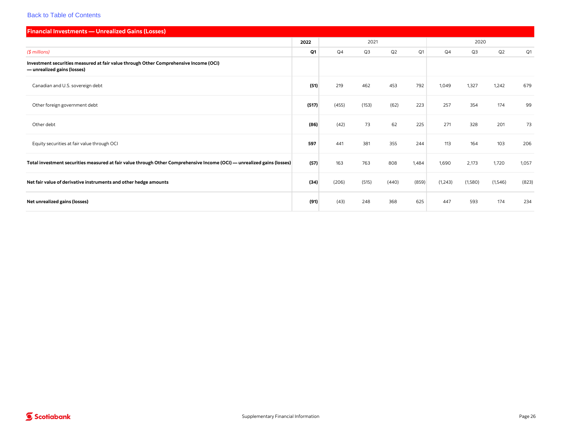<span id="page-30-0"></span>

| <b>Financial Investments - Unrealized Gains (Losses)</b>                                                                |       |       |                |       |       |         |                |          |       |
|-------------------------------------------------------------------------------------------------------------------------|-------|-------|----------------|-------|-------|---------|----------------|----------|-------|
|                                                                                                                         | 2022  |       | 2021           |       |       |         | 2020           |          |       |
| $($$ millions)                                                                                                          | Q1    | Q4    | Q <sub>3</sub> | Q2    | Q1    | Q4      | Q <sub>3</sub> | Q2       | Q1    |
| Investment securities measured at fair value through Other Comprehensive Income (OCI)<br>-unrealized gains (losses)     |       |       |                |       |       |         |                |          |       |
| Canadian and U.S. sovereign debt                                                                                        | (51)  | 219   | 462            | 453   | 792   | 1,049   | 1,327          | 1,242    | 679   |
| Other foreign government debt                                                                                           | (517) | (455) | (153)          | (62)  | 223   | 257     | 354            | 174      | 99    |
| Other debt                                                                                                              | (86)  | (42)  | 73             | 62    | 225   | 271     | 328            | 201      | 73    |
| Equity securities at fair value through OCI                                                                             | 597   | 441   | 381            | 355   | 244   | 113     | 164            | 103      | 206   |
| Total investment securities measured at fair value through Other Comprehensive Income (OCI) — unrealized gains (losses) | (57)  | 163   | 763            | 808   | 1,484 | 1,690   | 2,173          | 1,720    | 1,057 |
| Net fair value of derivative instruments and other hedge amounts                                                        | (34)  | (206) | (515)          | (440) | (859) | (1,243) | (1,580)        | (1, 546) | (823) |
| Net unrealized gains (losses)                                                                                           | (91)  | (43)  | 248            | 368   | 625   | 447     | 593            | 174      | 234   |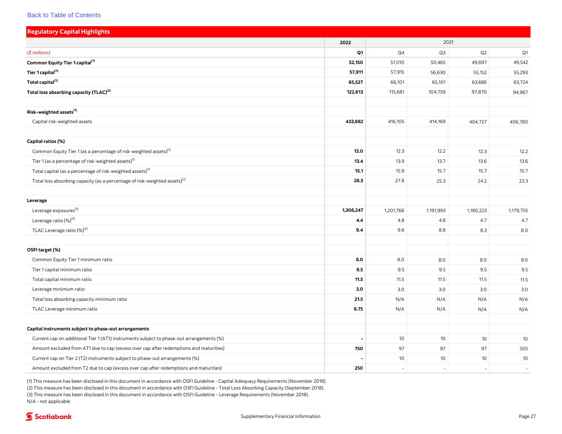<span id="page-31-0"></span>

| <b>Regulatory Capital Highlights</b>                                                     |           |           |           |           |                |
|------------------------------------------------------------------------------------------|-----------|-----------|-----------|-----------|----------------|
|                                                                                          | 2022      |           | 2021      |           |                |
| (\$ millions)                                                                            | Q1        | Q4        | Q3        | Q2        | Q <sub>1</sub> |
| Common Equity Tier 1 capital <sup>(1)</sup>                                              | 52,150    | 51,010    | 50,465    | 49,697    | 49,542         |
| Tier 1 capital <sup>(1)</sup>                                                            | 57,911    | 57,915    | 56,630    | 55,152    | 55,293         |
| Total capital <sup>(1)</sup>                                                             | 65,527    | 66,101    | 65,101    | 63,686    | 63,724         |
| Total loss absorbing capacity (TLAC) <sup>(2)</sup>                                      | 122,613   | 115,681   | 104,759   | 97,870    | 94,967         |
| Risk-weighted assets <sup>(1)</sup>                                                      |           |           |           |           |                |
| Capital risk-weighted assets                                                             | 433,682   | 416,105   | 414,169   |           |                |
|                                                                                          |           |           |           | 404,727   | 406,780        |
| Capital ratios (%)                                                                       |           |           |           |           |                |
| Common Equity Tier 1 (as a percentage of risk-weighted assets) <sup>(1)</sup>            | 12.0      | 12.3      | 12.2      | 12.3      | 12.2           |
| Tier 1 (as a percentage of risk-weighted assets) <sup>(1)</sup>                          | 13.4      | 13.9      | 13.7      | 13.6      | 13.6           |
| Total capital (as a percentage of risk-weighted assets) <sup>(1)</sup>                   | 15.1      | 15.9      | 15.7      | 15.7      | 15.7           |
| Total loss absorbing capacity (as a percentage of risk-weighted assets) <sup>(2)</sup>   | 28.3      | 27.8      | 25.3      | 24.2      | 23.3           |
| Leverage                                                                                 |           |           |           |           |                |
| Leverage exposures <sup>(3)</sup>                                                        | 1,308,247 | 1,201,766 | 1,191,993 | 1,180,223 | 1,179,755      |
| Leverage ratio (%) <sup>(3)</sup>                                                        | 4.4       | 4.8       | 4.8       | 4.7       | 4.7            |
| TLAC Leverage ratio (%) <sup>(2)</sup>                                                   | 9.4       | 9.6       | 8.8       | 8.3       | 8.0            |
|                                                                                          |           |           |           |           |                |
| OSFI target (%)                                                                          |           |           |           |           |                |
| Common Equity Tier 1 minimum ratio                                                       | 8.0       | 8.0       | 8.0       | 8.0       | 8.0            |
| Tier 1 capital minimum ratio                                                             | 9.5       | 9.5       | 9.5       | 9.5       | 9.5            |
| Total capital minimum ratio                                                              | 11.5      | 11.5      | 11.5      | 11.5      | 11.5           |
| Leverage minimum ratio                                                                   | 3.0       | 3.0       | 3.0       | 3.0       | 3.0            |
| Total loss absorbing capacity minimum ratio                                              | 21.5      | N/A       | N/A       | N/A       | N/A            |
| TLAC Leverage minimum ratio                                                              | 6.75      | N/A       | N/A       | N/A       | N/A            |
| Capital instruments subject to phase-out arrangements                                    |           |           |           |           |                |
| Current cap on additional Tier 1 (AT1) instruments subject to phase-out arrangements (%) |           | 10        | 10        | 10        | 10             |
| Amount excluded from AT1 due to cap (excess over cap after redemptions and maturities)   | 750       | 97        | 97        | 97        | 505            |
| Current cap on Tier 2 (T2) instruments subject to phase-out arrangements (%)             |           | 10        | 10        | 10        | 10             |
| Amount excluded from T2 due to cap (excess over cap after redemptions and maturities)    | 250       | ÷,        |           | ÷,        | $\sim$         |

(1) This measure has been disclosed in this document in accordance with OSFI Guideline - Capital Adequacy Requirements (November 2018). (2) This measure has been disclosed in this document in accordance with OSFI Guideline - Total Loss Absorbing Capacity (September 2018). (3) This measure has been disclosed in this document in accordance with OSFI Guideline - Leverage Requirements (November 2018). N/A - not applicable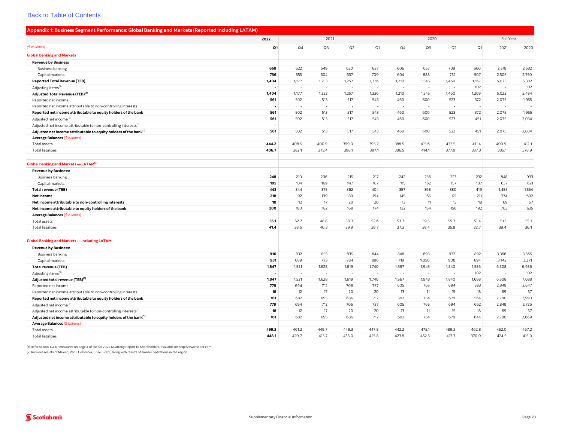<span id="page-32-0"></span>

| Appendix 1: Business Segment Performance: Global Banking and Markets (Reported Including LATAM) |       |                          |                          |                          |       |                          |       |        |           |       |       |
|-------------------------------------------------------------------------------------------------|-------|--------------------------|--------------------------|--------------------------|-------|--------------------------|-------|--------|-----------|-------|-------|
|                                                                                                 | 2022  |                          | 2021                     |                          |       | 2020                     |       |        | Full Year |       |       |
| $($$ millions)                                                                                  | Q1    | Q4                       | Q3                       | Q2                       | Q1    | Q <sub>4</sub>           | Q3    | Q2     | Q1        | 2021  | 2020  |
| <b>Global Banking and Markets</b>                                                               |       |                          |                          |                          |       |                          |       |        |           |       |       |
| <b>Revenue by Business</b>                                                                      |       |                          |                          |                          |       |                          |       |        |           |       |       |
| <b>Business banking</b>                                                                         | 668   | 622                      | 649                      | 620                      | 627   | 606                      | 657   | 709    | 660       | 2,518 | 2,632 |
| Capital markets                                                                                 | 736   | 555                      | 604                      | 637                      | 709   | 604                      | 888   | 751    | 507       | 2,505 | 2,750 |
| <b>Reported Total Revenue (TEB)</b>                                                             | 1,404 | 1,177                    | 1,253                    | 1,257                    | 1,336 | 1,210                    | 1,545 | 1,460  | 1,167     | 5,023 | 5,382 |
| Adjusting items <sup>(1)</sup>                                                                  |       | ÷.                       | ٠                        | $\sim$                   |       | ÷.                       |       | $\sim$ | 102       | ٠.    | 102   |
| Adjusted Total Revenue (TEB) <sup>(1)</sup>                                                     | 1,404 | 1,177                    | 1,253                    | 1,257                    | 1,336 | 1,210                    | 1,545 | 1,460  | 1,269     | 5,023 | 5,484 |
| Reported net income                                                                             | 561   | 502                      | 513                      | 517                      | 543   | 460                      | 600   | 523    | 372       | 2,075 | 1,955 |
| Reported net income attributable to non-controlling interests                                   |       | $\sim$                   | $\overline{\phantom{a}}$ | $\overline{\phantom{a}}$ |       | $\overline{\phantom{a}}$ |       | $\sim$ |           | ÷,    |       |
| Reported net income attributable to equity holders of the bank                                  | 561   | 502                      | 513                      | 517                      | 543   | 460                      | 600   | 523    | 372       | 2,075 | 1,955 |
| Adjusted net income <sup>(1)</sup>                                                              | 561   | 502                      | 513                      | 517                      | 543   | 460                      | 600   | 523    | 451       | 2,075 | 2,034 |
| Adjusted net income attributable to non-controlling interests <sup>(1)</sup>                    |       | ÷.                       | ÷.                       |                          |       |                          |       | $\sim$ |           | ÷,    |       |
| Adjusted net income attributable to equity holders of the bank <sup>(1)</sup>                   | 561   | 502                      | 513                      | 517                      | 543   | 460                      | 600   | 523    | 451       | 2,075 | 2,034 |
| Average Balances (\$ billions)                                                                  |       |                          |                          |                          |       |                          |       |        |           |       |       |
| Total assets                                                                                    | 444.2 | 408.5                    | 400.9                    | 399.0                    | 395.2 | 388.5                    | 415.6 | 433.5  | 411.4     | 400.9 | 412.1 |
| <b>Total liabilities</b>                                                                        | 406.7 | 382.1                    | 373.4                    | 398.1                    | 387.1 | 386.5                    | 414.1 | 377.9  | 337.3     | 385.1 | 378.9 |
| Global Banking and Markets - LATAM <sup>(2)</sup>                                               |       |                          |                          |                          |       |                          |       |        |           |       |       |
| <b>Revenue by Business:</b>                                                                     |       |                          |                          |                          |       |                          |       |        |           |       |       |
| <b>Business banking</b>                                                                         | 248   | 210                      | 206                      | 215                      | 217   | 242                      | 236   | 223    | 232       | 848   | 933   |
| Capital markets                                                                                 | 195   | 134                      | 169                      | 147                      | 187   | 115                      | 162   | 157    | 187       | 637   | 621   |
| <b>Total revenue (TEB)</b>                                                                      | 443   | 344                      | 375                      | 362                      | 404   | 357                      | 398   | 380    | 419       | 1,485 | 1,554 |
| Net income                                                                                      | 218   | 192                      | 199                      | 189                      | 194   | 145                      | 165   | 171    | 211       | 774   | 692   |
| Net income attributable to non-controlling interests                                            | 18    | 12                       | 17                       | 20                       | 20    | 13                       | 11    | 15     | 18        | 69    | 57    |
| Net income attributable to equity holders of the bank                                           | 200   | 180                      | 182                      | 169                      | 174   | 132                      | 154   | 156    | 192       | 705   | 635   |
| Average Balances (\$ billions)                                                                  |       |                          |                          |                          |       |                          |       |        |           |       |       |
| Total assets                                                                                    | 55.1  | 52.7                     | 48.8                     | 50.3                     | 52.6  | 53.7                     | 59.5  | 55.7   | 51.4      | 51.1  | 55.1  |
| <b>Total liabilities</b>                                                                        | 41.4  | 38.6                     | 40.3                     | 39.9                     | 38.7  | 37.3                     | 38.4  | 35.8   | 32.7      | 39.4  | 36.1  |
| <b>Global Banking and Markets - Including LATAM</b>                                             |       |                          |                          |                          |       |                          |       |        |           |       |       |
| <b>Revenue by Business:</b>                                                                     |       |                          |                          |                          |       |                          |       |        |           |       |       |
| <b>Business banking</b>                                                                         | 916   | 832                      | 855                      | 835                      | 844   | 848                      | 893   | 932    | 892       | 3,366 | 3,565 |
| Capital markets                                                                                 | 931   | 689                      | 773                      | 784                      | 896   | 719                      | 1,050 | 908    | 694       | 3,142 | 3,371 |
| <b>Total revenue (TEB)</b>                                                                      | 1,847 | 1,521                    | 1,628                    | 1,619                    | 1,740 | 1,567                    | 1,943 | 1,840  | 1,586     | 6,508 | 6,936 |
| Adjusting items <sup>(1)</sup>                                                                  |       | $\overline{\phantom{a}}$ | $\sim$                   | ÷                        |       |                          | ÷     |        | 102       | ÷     | 102   |
| Adjusted total revenue (TEB) <sup>(1)</sup>                                                     | 1,847 | 1,521                    | 1,628                    | 1,619                    | 1,740 | 1,567                    | 1,943 | 1,840  | 1,688     | 6,508 | 7,038 |
| Reported net income                                                                             | 779   | 694                      | 712                      | 706                      | 737   | 605                      | 765   | 694    | 583       | 2,849 | 2,647 |
| Reported net income attributable to non-controlling interests                                   | 18    | 12                       | 17                       | 20                       | 20    | 13                       | 11    | 15     | 18        | 69    | 57    |
| Reported net income attributable to equity holders of the bank                                  | 761   | 682                      | 695                      | 686                      | 717   | 592                      | 754   | 679    | 564       | 2,780 | 2,590 |
| Adjusted net income <sup>(1)</sup>                                                              | 779   | 694                      | 712                      | 706                      | 737   | 605                      | 765   | 694    | 662       | 2,849 | 2,726 |
| Adjusted net income attributable to non-controlling interests <sup>(1)</sup>                    | 18    | 12                       | 17                       | 20                       | 20    | 13                       | 11    | 15     | 18        | 69    | 57    |
| Adjusted net income attributable to equity holders of the bank <sup>(1)</sup>                   | 761   | 682                      | 695                      | 686                      | 717   | 592                      | 754   | 679    | 644       | 2,780 | 2,669 |
| Average Balances (\$ billions)                                                                  |       |                          |                          |                          |       |                          |       |        |           |       |       |
| Total assets                                                                                    | 499.3 | 461.2                    | 449.7                    | 449.3                    | 447.8 | 442.2                    | 475.1 | 489.2  | 462.8     | 452.0 | 467.2 |
| <b>Total liabilities</b>                                                                        | 448.1 | 420.7                    | 413.7                    | 438.0                    | 425.8 | 423.8                    | 452.5 | 413.7  | 370.0     | 424.5 | 415.0 |

(1) Refer to non-GAAP measures on page 4 of the Q1 2022 Quarterly Report to Shareholders, available on [http://www.sedar.com.](http://www.sedar.com)

(2) Includes results of Mexico, Peru, Colombia, Chile, Brazil, along with results of smaller operations in the region.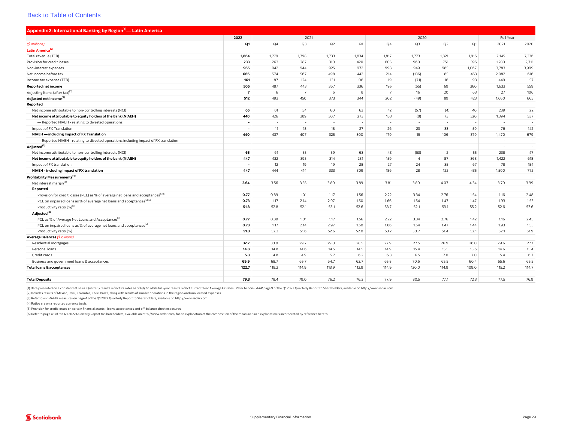<span id="page-33-0"></span>

| Appendix 2: International Banking by Region <sup>(1)</sup> — Latin America                    |                          |       |                |        |       |                |                |                |       |                          |        |  |
|-----------------------------------------------------------------------------------------------|--------------------------|-------|----------------|--------|-------|----------------|----------------|----------------|-------|--------------------------|--------|--|
|                                                                                               | 2022                     | 2021  |                |        |       | 2020           |                |                |       | Full Year                |        |  |
| (\$ millions)                                                                                 | Q1                       | Q4    | Q3             | Q2     | Q1    | Q4             | Q <sub>3</sub> | Q2             | Q1    | 2021                     | 2020   |  |
| Latin America <sup>(2)</sup>                                                                  |                          |       |                |        |       |                |                |                |       |                          |        |  |
| Total revenue (TEB)                                                                           | 1,864                    | 1,779 | 1,798          | 1,733  | 1,834 | 1,817          | 1,773          | 1,821          | 1,915 | 7,145                    | 7,326  |  |
| Provision for credit losses                                                                   | 233                      | 263   | 287            | 310    | 420   | 605            | 960            | 751            | 395   | 1,280                    | 2,711  |  |
| Non-interest expenses                                                                         | 965                      | 942   | 944            | 925    | 972   | 998            | 949            | 985            | 1,067 | 3,783                    | 3,999  |  |
| Net income before tax                                                                         | 666                      | 574   | 567            | 498    | 442   | 214            | (136)          | 85             | 453   | 2,082                    | 616    |  |
| Income tax expense (TEB)                                                                      | 161                      | 87    | 124            | 131    | 106   | 19             | (71)           | 16             | 93    | 449                      | 57     |  |
| Reported net income                                                                           | 505                      | 487   | 443            | 367    | 336   | 195            | (65)           | 69             | 360   | 1,633                    | 559    |  |
| Adjusting items (after tax) <sup>(3)</sup>                                                    | $\overline{7}$           | 6     | $\overline{7}$ | 6      | 8     | $\overline{7}$ | 16             | 20             | 63    | 27                       | 106    |  |
| Adjusted net income <sup>(3)</sup>                                                            | 512                      | 493   | 450            | 373    | 344   | 202            | (49)           | 89             | 423   | 1,660                    | 665    |  |
| Reported                                                                                      |                          |       |                |        |       |                |                |                |       |                          |        |  |
| Net income attributable to non-controlling interests (NCI)                                    | 65                       | 61    | 54             | 60     | 63    | 42             | (57)           | (4)            | 40    | 239                      | 22     |  |
| Net income attributable to equity holders of the Bank (NIAEH)                                 | 440                      | 426   | 389            | 307    | 273   | 153            | (8)            | 73             | 320   | 1,394                    | 537    |  |
| - Reported NIAEH - relating to divested operations                                            | $\overline{\phantom{a}}$ |       | $\sim$         | $\sim$ |       | $\sim$         | $\sim$         | $\sim$         |       | $\overline{\phantom{a}}$ | $\sim$ |  |
| Impact of FX Translation                                                                      |                          | 11    | 18             | 18     | 27    | 26             | 23             | 33             | 59    | 76                       | 142    |  |
| NIAEH - including Impact of FX Translation                                                    | 440                      | 437   | 407            | 325    | 300   | 179            | 15             | 106            | 379   | 1,470                    | 679    |  |
| - Reported NIAEH - relating to divested operations including impact of FX translation         |                          |       |                |        |       |                |                |                |       | ч.                       | $\sim$ |  |
| Adjusted <sup>(3)</sup>                                                                       |                          |       |                |        |       |                |                |                |       | $\sim$                   | $\sim$ |  |
| Net income attributable to non-controlling interests (NCI)                                    | 65                       | 61    | 55             | 59     | 63    | 43             | (53)           | $\overline{2}$ | 55    | 238                      | 47     |  |
| Net income attributable to equity holders of the bank (NIAEH)                                 | 447                      | 432   | 395            | 314    | 281   | 159            | $\overline{4}$ | 87             | 368   | 1,422                    | 618    |  |
| Impact of FX translation                                                                      |                          | 12    | 19             | 19     | 28    | 27             | 24             | 35             | 67    | 78                       | 154    |  |
| NIAEH - including impact of FX translation                                                    | 447                      | 444   | 414            | 333    | 309   | 186            | 28             | 122            | 435   | 1,500                    | 772    |  |
| Profitability Measurements <sup>(4)</sup>                                                     |                          |       |                |        |       |                |                |                |       |                          |        |  |
| Net interest margin(3)                                                                        | 3.64                     | 3.56  | 3.55           | 3.80   | 3.89  | 3.81           | 3.80           | 4.07           | 4.34  | 3.70                     | 3.99   |  |
| Reported                                                                                      |                          |       |                |        |       |                |                |                |       |                          |        |  |
| Provision for credit losses (PCL) as % of average net loans and acceptances <sup>(5)(6)</sup> | 0.77                     | 0.89  | 1.01           | 1.17   | 1.56  | 2.22           | 3.34           | 2.76           | 1.54  | 1.16                     | 2.48   |  |
| PCL on impaired loans as % of average net loans and acceptances <sup>(5)(6)</sup>             | 0.73                     | 1.17  | 2.14           | 2.97   | 1.50  | 1.66           | 1.54           | 1.47           | 1.47  | 1.93                     | 1.53   |  |
| Productivity ratio (%) <sup>(6)</sup>                                                         | 51.8                     | 52.8  | 52.1           | 53.1   | 52.6  | 53.7           | 52.1           | 53.1           | 55.2  | 52.6                     | 53.6   |  |
| Adjusted <sup>(3)</sup>                                                                       |                          |       |                |        |       |                |                |                |       |                          |        |  |
| PCL as % of Average Net Loans and Acceptances <sup>(5)</sup>                                  | 0.77                     | 0.89  | 1.01           | 1.17   | 1.56  | 2.22           | 3.34           | 2.76           | 1.42  | 1.16                     | 2.45   |  |
| PCL on impaired loans as % of average net loans and acceptances <sup>(5)</sup>                | 0.73                     | 1.17  | 2.14           | 2.97   | 1.50  | 1.66           | 1.54           | 1.47           | 1.44  | 1.93                     | 1.53   |  |
| Productivity ratio (%)                                                                        | 51.3                     | 52.3  | 51.6           | 52.6   | 52.0  | 53.2           | 50.7           | 51.4           | 52.1  | 52.1                     | 51.9   |  |
| Average Balances (\$ billions)                                                                |                          |       |                |        |       |                |                |                |       |                          |        |  |
| Residential mortgages                                                                         | 32.7                     | 30.9  | 29.7           | 29.0   | 28.5  | 27.9           | 27.5           | 26.9           | 26.0  | 29.6                     | 27.1   |  |
| Personal loans                                                                                | 14.8                     | 14.8  | 14.6           | 14.5   | 14.5  | 14.9           | 15.4           | 15.5           | 15.6  | 14.6                     | 15.4   |  |
| Credit cards                                                                                  | 5.3                      | 4.8   | 4.9            | 5.7    | 6.2   | 6.3            | 6.5            | 7.0            | 7.0   | 5.4                      | 6.7    |  |
| Business and government loans & acceptances                                                   | 69.9                     | 68.7  | 65.7           | 64.7   | 63.7  | 65.8           | 70.6           | 65.5           | 60.4  | 65.6                     | 65.5   |  |
| <b>Total loans &amp; acceptances</b>                                                          | 122.7                    | 119.2 | 114.9          | 113.9  | 112.9 | 114.9          | 120.0          | 114.9          | 109.0 | 115.2                    | 114.7  |  |
| <b>Total Deposits</b>                                                                         | 79.3                     | 78.4  | 79.0           | 76.2   | 76.3  | 77.9           | 80.5           | 77.1           | 72.3  | 77.5                     | 76.9   |  |

(1) Data presented on a constant FX basis. Quarterly results reflect FX rates as of Q1/22, while full-year results reflect Current Year Average FX rates. Refer to non-GAAP page 9 of the Q1 2022 Quarterly Report to Sharehol

(2) Includes results of Mexico, Peru, Colombia, Chile, Brazil, along with results of smaller operations in the region and unallocated expenses.

(3) Refer to non-GAAP measures on page 4 of the Q1 2022 Quarterly Report to Shareholders, available on <http://www.sedar.com>.

(4) Ratios are on a reported currency basis.

(5) Provision for credit losses on certain financial assets - loans, acceptances and off-balance sheet exposures.

(6) Refer to page 48 of the Q1 2022 Quarterly Report to Shareholders, available on <http://www.sedar.com>, for an explanation of the composition of the measure. Such explanation is incorporated by reference hereto.